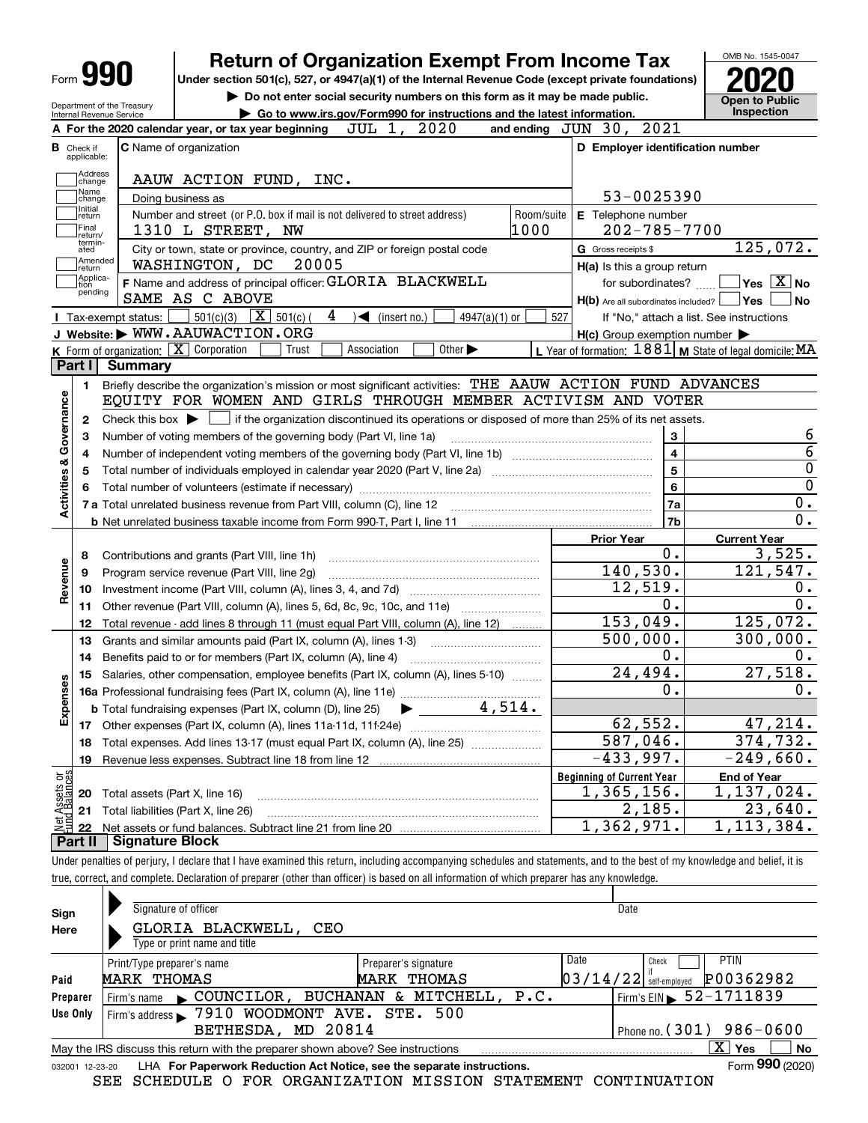| <b>Form 990</b>                                           |                      | <b>Return of Organization Exempt From Income Tax</b>                                                                                           |                                                           | OMB No. 1545-0047                                                                                                                                                                                                      |
|-----------------------------------------------------------|----------------------|------------------------------------------------------------------------------------------------------------------------------------------------|-----------------------------------------------------------|------------------------------------------------------------------------------------------------------------------------------------------------------------------------------------------------------------------------|
|                                                           |                      | Under section 501(c), 527, or 4947(a)(1) of the Internal Revenue Code (except private foundations)                                             |                                                           |                                                                                                                                                                                                                        |
|                                                           |                      | Do not enter social security numbers on this form as it may be made public.                                                                    |                                                           | Open to Public                                                                                                                                                                                                         |
| Department of the Treasury<br>Internal Revenue Service    |                      | Go to www.irs.gov/Form990 for instructions and the latest information.                                                                         |                                                           | Inspection                                                                                                                                                                                                             |
|                                                           |                      | JUL 1, 2020<br>A For the 2020 calendar year, or tax year beginning                                                                             | and ending JUN 30, 2021                                   |                                                                                                                                                                                                                        |
| Check if<br>applicable:                                   |                      | <b>C</b> Name of organization                                                                                                                  | D Employer identification number                          |                                                                                                                                                                                                                        |
| Address                                                   |                      |                                                                                                                                                |                                                           |                                                                                                                                                                                                                        |
| change<br>Name                                            |                      | AAUW ACTION FUND, INC.                                                                                                                         |                                                           |                                                                                                                                                                                                                        |
| change<br>Initial                                         |                      | Doing business as                                                                                                                              | 53-0025390                                                |                                                                                                                                                                                                                        |
| return<br>Final<br>return/                                |                      | Number and street (or P.O. box if mail is not delivered to street address)<br>1000<br>1310 L STREET, NW                                        | Room/suite<br>E Telephone number<br>$202 - 785 - 7700$    |                                                                                                                                                                                                                        |
| termin-<br>ated                                           |                      | City or town, state or province, country, and ZIP or foreign postal code                                                                       | G Gross receipts \$                                       | 125,072.                                                                                                                                                                                                               |
| Amended<br>return                                         |                      | WASHINGTON, DC<br>20005                                                                                                                        | H(a) Is this a group return                               |                                                                                                                                                                                                                        |
| Applica-<br>tion<br>pending                               |                      | F Name and address of principal officer: GLORIA BLACKWELL                                                                                      | for subordinates?                                         | $\blacksquare$ Yes $\overline{X}$ No                                                                                                                                                                                   |
|                                                           |                      | SAME AS C ABOVE                                                                                                                                | $H(b)$ Are all subordinates included? $\Box$ Yes          | No                                                                                                                                                                                                                     |
|                                                           | I Tax-exempt status: | 501(c)(3) $\boxed{\mathbf{X}}$ 501(c)(<br>4<br>$\sqrt{\bullet}$ (insert no.)<br>$4947(a)(1)$ or                                                | 527                                                       | If "No," attach a list. See instructions                                                                                                                                                                               |
|                                                           |                      | J Website: WWW.AAUWACTION.ORG                                                                                                                  | $H(c)$ Group exemption number $\blacktriangleright$       |                                                                                                                                                                                                                        |
|                                                           |                      | K Form of organization: X Corporation<br>Trust<br>Association<br>Other $\blacktriangleright$                                                   | L Year of formation: $1881$ M State of legal domicile: MA |                                                                                                                                                                                                                        |
| Part I                                                    | Summarv              |                                                                                                                                                |                                                           |                                                                                                                                                                                                                        |
| 1.                                                        |                      | Briefly describe the organization's mission or most significant activities: THE AAUW ACTION FUND ADVANCES                                      |                                                           |                                                                                                                                                                                                                        |
|                                                           |                      | EQUITY FOR WOMEN AND GIRLS THROUGH MEMBER ACTIVISM AND VOTER                                                                                   |                                                           |                                                                                                                                                                                                                        |
| 2                                                         |                      | Check this box $\triangleright$ $\blacksquare$ if the organization discontinued its operations or disposed of more than 25% of its net assets. |                                                           |                                                                                                                                                                                                                        |
|                                                           |                      | Number of voting members of the governing body (Part VI, line 1a)                                                                              | 3                                                         | 6                                                                                                                                                                                                                      |
| 4                                                         |                      |                                                                                                                                                | $\overline{\mathbf{4}}$                                   | $\overline{6}$                                                                                                                                                                                                         |
| 5                                                         |                      |                                                                                                                                                | 5                                                         | $\overline{0}$                                                                                                                                                                                                         |
|                                                           |                      |                                                                                                                                                |                                                           |                                                                                                                                                                                                                        |
|                                                           |                      |                                                                                                                                                | 6                                                         |                                                                                                                                                                                                                        |
|                                                           |                      |                                                                                                                                                | 7a                                                        |                                                                                                                                                                                                                        |
|                                                           |                      |                                                                                                                                                | 7b                                                        |                                                                                                                                                                                                                        |
|                                                           |                      |                                                                                                                                                | <b>Prior Year</b>                                         |                                                                                                                                                                                                                        |
|                                                           |                      |                                                                                                                                                | 0.                                                        | <b>Current Year</b>                                                                                                                                                                                                    |
| 8                                                         |                      | Contributions and grants (Part VIII, line 1h)                                                                                                  |                                                           |                                                                                                                                                                                                                        |
| 9                                                         |                      | Program service revenue (Part VIII, line 2g)                                                                                                   | 140,530.                                                  |                                                                                                                                                                                                                        |
| 10                                                        |                      |                                                                                                                                                | 12,519.                                                   |                                                                                                                                                                                                                        |
| 11                                                        |                      | Other revenue (Part VIII, column (A), lines 5, 6d, 8c, 9c, 10c, and 11e)                                                                       | 0.                                                        |                                                                                                                                                                                                                        |
| 12                                                        |                      | Total revenue - add lines 8 through 11 (must equal Part VIII, column (A), line 12)                                                             | 153,049.                                                  |                                                                                                                                                                                                                        |
| 13                                                        |                      | Grants and similar amounts paid (Part IX, column (A), lines 1-3) <i>manoronononononon</i>                                                      | 500,000.                                                  |                                                                                                                                                                                                                        |
| 14                                                        |                      | Benefits paid to or for members (Part IX, column (A), line 4)                                                                                  | 0.                                                        |                                                                                                                                                                                                                        |
|                                                           |                      | 15 Salaries, other compensation, employee benefits (Part IX, column (A), lines 5-10)                                                           | 24,494.                                                   |                                                                                                                                                                                                                        |
|                                                           |                      |                                                                                                                                                | $\overline{0}$ .                                          |                                                                                                                                                                                                                        |
|                                                           |                      | 4,514.<br><b>b</b> Total fundraising expenses (Part IX, column (D), line 25)                                                                   |                                                           |                                                                                                                                                                                                                        |
| 17                                                        |                      |                                                                                                                                                | 62,552.                                                   |                                                                                                                                                                                                                        |
| 18                                                        |                      | Total expenses. Add lines 13-17 (must equal Part IX, column (A), line 25)                                                                      | 587,046.                                                  |                                                                                                                                                                                                                        |
| 19                                                        |                      |                                                                                                                                                | $-433,997.$                                               |                                                                                                                                                                                                                        |
|                                                           |                      |                                                                                                                                                | <b>Beginning of Current Year</b>                          | <b>End of Year</b>                                                                                                                                                                                                     |
| Activities & Governance<br>Revenue<br>89<br>Expense<br>20 |                      | Total assets (Part X, line 16)                                                                                                                 | 1,365,156.                                                |                                                                                                                                                                                                                        |
| Net Assets or<br>Eund Balances<br>21<br>22                |                      | Total liabilities (Part X, line 26)                                                                                                            | 2,185.<br>1,362,971.                                      | $\overline{0}$<br>0.<br>$\overline{0}$ .<br>3,525.<br>121,547.<br>0.<br>0.<br>125,072.<br>300,000.<br>0.<br>27,518.<br>0.<br>47,214.<br>374,732.<br>$-249,660.$<br>1,137,024.<br>23,640.<br>$\overline{1}$ , 113, 384. |

| Sign            | Signature of officer                                                                                          |                      |      | Date                                   |  |  |  |  |  |
|-----------------|---------------------------------------------------------------------------------------------------------------|----------------------|------|----------------------------------------|--|--|--|--|--|
| Here            | GLORIA BLACKWELL, CEO                                                                                         |                      |      |                                        |  |  |  |  |  |
|                 | Type or print name and title                                                                                  |                      |      |                                        |  |  |  |  |  |
|                 | Print/Type preparer's name                                                                                    | Preparer's signature | Date | <b>PTIN</b><br>Check                   |  |  |  |  |  |
| Paid            | MARK THOMAS                                                                                                   | MARK THOMAS          |      | P00362982<br>$03/14/22$ self-employed  |  |  |  |  |  |
| Preparer        | COUNCILOR, BUCHANAN & MITCHELL, P.C.<br>Firm's name                                                           |                      |      | Firm's EIN $\triangleright$ 52-1711839 |  |  |  |  |  |
| Use Only        | Firm's address > 7910 WOODMONT AVE. STE. 500                                                                  |                      |      |                                        |  |  |  |  |  |
|                 | BETHESDA, MD 20814                                                                                            |                      |      | Phone no. $(301)$ 986-0600             |  |  |  |  |  |
|                 | $X \mid Y$ es<br><b>No</b><br>May the IRS discuss this return with the preparer shown above? See instructions |                      |      |                                        |  |  |  |  |  |
| 032001 12-23-20 | LHA For Paperwork Reduction Act Notice, see the separate instructions.                                        |                      |      | Form 990 (2020)                        |  |  |  |  |  |

SEE SCHEDULE O FOR ORGANIZATION MISSION STATEMENT CONTINUATION

true, correct, and complete. Declaration of preparer (other than officer) is based on all information of which preparer has any knowledge.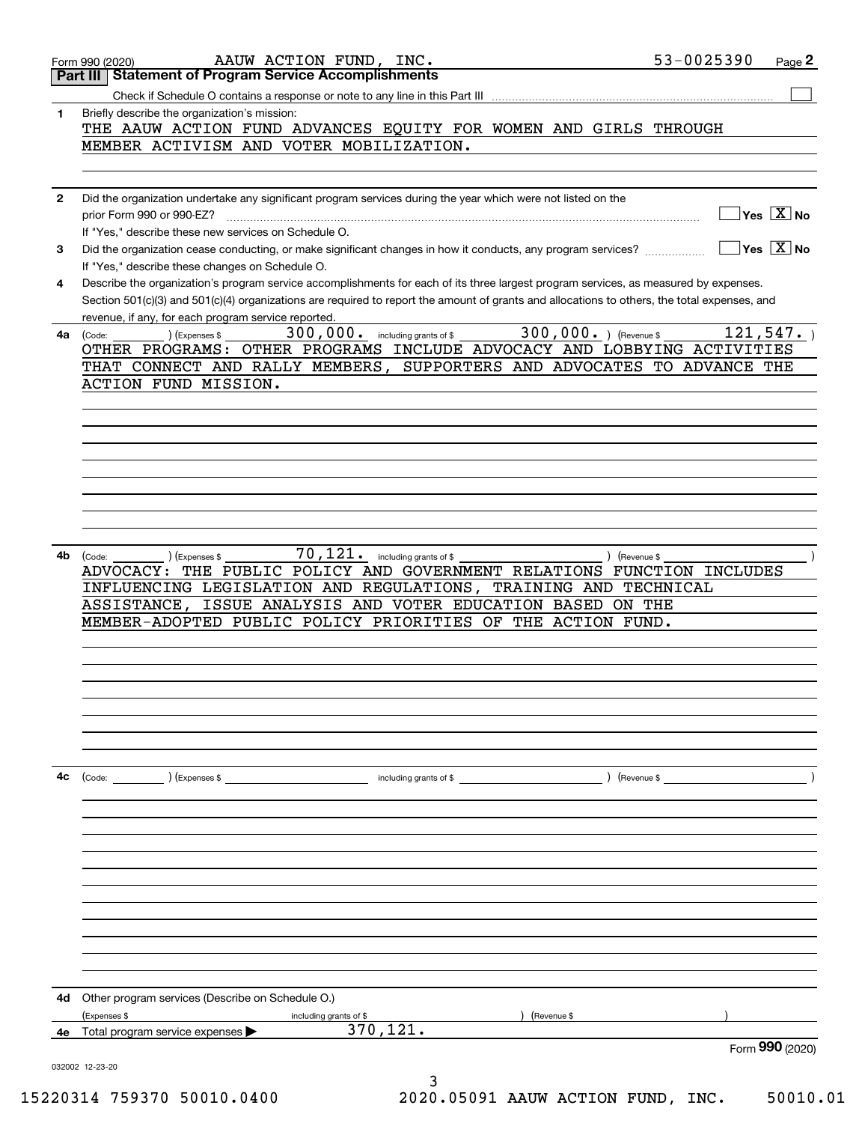|              | AAUW ACTION FUND, INC.<br>Form 990 (2020)                                                                                                    | 53-0025390<br>Page 2                      |
|--------------|----------------------------------------------------------------------------------------------------------------------------------------------|-------------------------------------------|
|              | <b>Statement of Program Service Accomplishments</b><br>Part III                                                                              |                                           |
|              |                                                                                                                                              |                                           |
| 1            | Briefly describe the organization's mission:<br>THE AAUW ACTION FUND ADVANCES EQUITY FOR WOMEN AND GIRLS THROUGH                             |                                           |
|              | MEMBER ACTIVISM AND VOTER MOBILIZATION.                                                                                                      |                                           |
|              |                                                                                                                                              |                                           |
|              |                                                                                                                                              |                                           |
| $\mathbf{2}$ | Did the organization undertake any significant program services during the year which were not listed on the                                 |                                           |
|              | prior Form 990 or 990-EZ?                                                                                                                    | $\overline{\mathsf{Yes} \ \mathbb{X}}$ No |
|              | If "Yes," describe these new services on Schedule O.                                                                                         |                                           |
| 3            | Did the organization cease conducting, or make significant changes in how it conducts, any program services?                                 | $\sqrt{}$ Yes $\sqrt{X}$ No               |
|              | If "Yes," describe these changes on Schedule O.                                                                                              |                                           |
| 4            | Describe the organization's program service accomplishments for each of its three largest program services, as measured by expenses.         |                                           |
|              | Section 501(c)(3) and 501(c)(4) organizations are required to report the amount of grants and allocations to others, the total expenses, and |                                           |
|              | revenue, if any, for each program service reported.<br>300,000. ) (Revenue \$<br>300,000. including grants of \$                             | 121, 547.                                 |
| 4a           | (Expenses \$<br>(Code:<br>OTHER PROGRAMS: OTHER PROGRAMS INCLUDE ADVOCACY AND LOBBYING ACTIVITIES                                            |                                           |
|              | THAT CONNECT AND RALLY MEMBERS, SUPPORTERS AND ADVOCATES TO ADVANCE THE                                                                      |                                           |
|              | ACTION FUND MISSION.                                                                                                                         |                                           |
|              |                                                                                                                                              |                                           |
|              |                                                                                                                                              |                                           |
|              |                                                                                                                                              |                                           |
|              |                                                                                                                                              |                                           |
|              |                                                                                                                                              |                                           |
|              |                                                                                                                                              |                                           |
|              |                                                                                                                                              |                                           |
|              |                                                                                                                                              |                                           |
|              | $\overline{70}$ , $121$ . including grants of \$                                                                                             |                                           |
| 4b           | ) (Revenue \$<br>(Code:<br>(Expenses \$<br>THE PUBLIC POLICY AND GOVERNMENT RELATIONS FUNCTION INCLUDES<br><b>ADVOCACY:</b>                  |                                           |
|              | INFLUENCING LEGISLATION AND REGULATIONS, TRAINING AND TECHNICAL                                                                              |                                           |
|              | ISSUE ANALYSIS AND VOTER EDUCATION BASED ON THE<br>ASSISTANCE,                                                                               |                                           |
|              | MEMBER-ADOPTED PUBLIC POLICY PRIORITIES OF THE ACTION FUND.                                                                                  |                                           |
|              |                                                                                                                                              |                                           |
|              |                                                                                                                                              |                                           |
|              |                                                                                                                                              |                                           |
|              |                                                                                                                                              |                                           |
|              |                                                                                                                                              |                                           |
|              |                                                                                                                                              |                                           |
|              |                                                                                                                                              |                                           |
| 4c           |                                                                                                                                              |                                           |
|              |                                                                                                                                              |                                           |
|              |                                                                                                                                              |                                           |
|              |                                                                                                                                              |                                           |
|              |                                                                                                                                              |                                           |
|              |                                                                                                                                              |                                           |
|              |                                                                                                                                              |                                           |
|              |                                                                                                                                              |                                           |
|              |                                                                                                                                              |                                           |
|              |                                                                                                                                              |                                           |
|              |                                                                                                                                              |                                           |
|              |                                                                                                                                              |                                           |
| 4d           | Other program services (Describe on Schedule O.)                                                                                             |                                           |
|              | (Expenses \$<br>(Revenue \$<br>including grants of \$                                                                                        |                                           |
|              | 370,121.<br><b>4e</b> Total program service expenses $\blacktriangleright$                                                                   |                                           |
|              |                                                                                                                                              | Form 990 (2020)                           |
|              | 032002 12-23-20                                                                                                                              |                                           |
|              | 3                                                                                                                                            |                                           |

15220314 759370 50010.0400 2020.05091 AAUW ACTION FUND, INC. 50010.01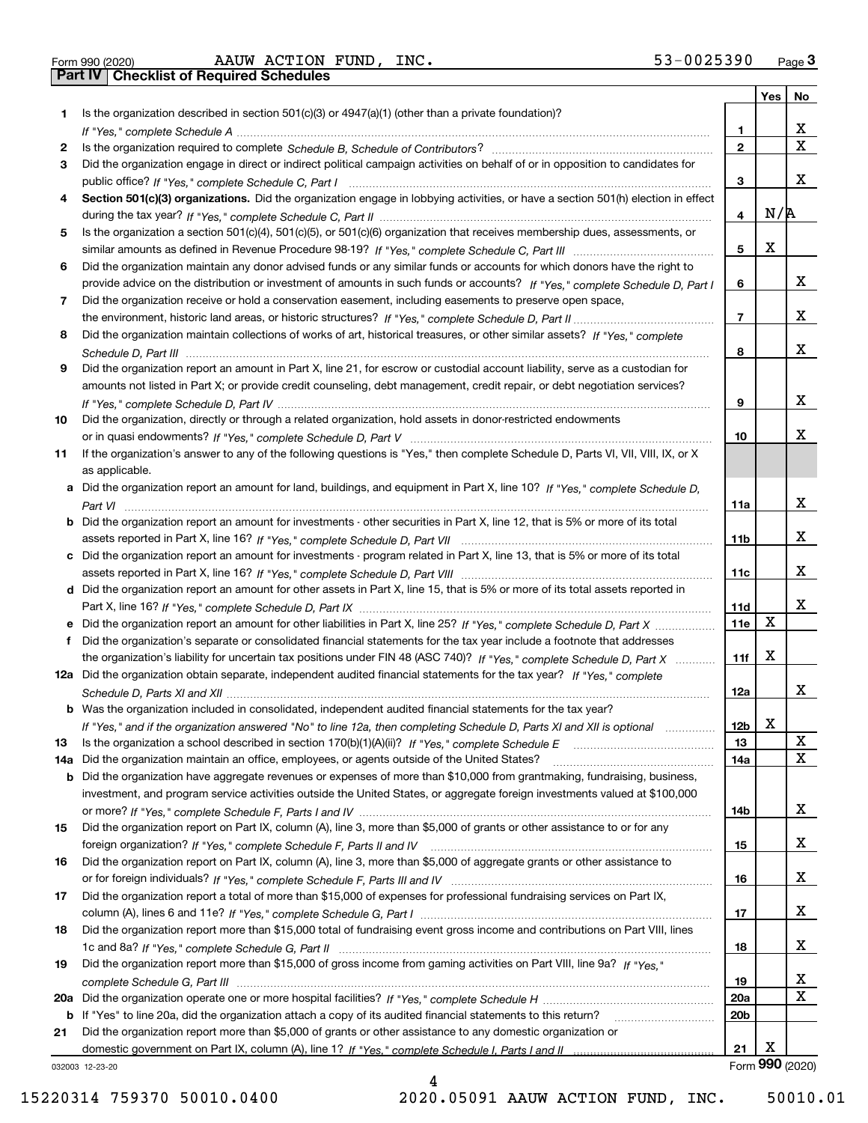|  | Form 990 (2020) |
|--|-----------------|
|  |                 |

Form 990 (2020) Page **3Part IV Checklist of Required Schedules** AAUW ACTION FUND, INC. 53-0025390

|     |                                                                                                                                       |                 | Yes | No                      |
|-----|---------------------------------------------------------------------------------------------------------------------------------------|-----------------|-----|-------------------------|
| 1.  | Is the organization described in section $501(c)(3)$ or $4947(a)(1)$ (other than a private foundation)?                               |                 |     |                         |
|     |                                                                                                                                       | 1.              |     | x                       |
| 2   |                                                                                                                                       | $\mathbf{2}$    |     | $\overline{\mathbf{x}}$ |
| 3   | Did the organization engage in direct or indirect political campaign activities on behalf of or in opposition to candidates for       |                 |     |                         |
|     |                                                                                                                                       | 3               |     | x                       |
| 4   | Section 501(c)(3) organizations. Did the organization engage in lobbying activities, or have a section 501(h) election in effect      |                 |     |                         |
|     |                                                                                                                                       | 4               | N/R |                         |
| 5   | Is the organization a section 501(c)(4), 501(c)(5), or 501(c)(6) organization that receives membership dues, assessments, or          |                 |     |                         |
|     |                                                                                                                                       | 5               | х   |                         |
| 6   | Did the organization maintain any donor advised funds or any similar funds or accounts for which donors have the right to             |                 |     |                         |
|     | provide advice on the distribution or investment of amounts in such funds or accounts? If "Yes," complete Schedule D, Part I          | 6               |     | x                       |
| 7   | Did the organization receive or hold a conservation easement, including easements to preserve open space,                             |                 |     | x                       |
|     |                                                                                                                                       | $\overline{7}$  |     |                         |
| 8   | Did the organization maintain collections of works of art, historical treasures, or other similar assets? If "Yes," complete          |                 |     | x                       |
|     |                                                                                                                                       | 8               |     |                         |
| 9   | Did the organization report an amount in Part X, line 21, for escrow or custodial account liability, serve as a custodian for         |                 |     |                         |
|     | amounts not listed in Part X; or provide credit counseling, debt management, credit repair, or debt negotiation services?             |                 |     | x                       |
|     |                                                                                                                                       | 9               |     |                         |
| 10  | Did the organization, directly or through a related organization, hold assets in donor-restricted endowments                          | 10              |     | x                       |
| 11  | If the organization's answer to any of the following questions is "Yes," then complete Schedule D, Parts VI, VII, VIII, IX, or X      |                 |     |                         |
|     | as applicable.                                                                                                                        |                 |     |                         |
|     | a Did the organization report an amount for land, buildings, and equipment in Part X, line 10? If "Yes," complete Schedule D.         |                 |     |                         |
|     |                                                                                                                                       | 11a             |     | x                       |
|     | <b>b</b> Did the organization report an amount for investments - other securities in Part X, line 12, that is 5% or more of its total |                 |     |                         |
|     |                                                                                                                                       | 11 <sub>b</sub> |     | x                       |
|     | c Did the organization report an amount for investments - program related in Part X, line 13, that is 5% or more of its total         |                 |     |                         |
|     |                                                                                                                                       | 11c             |     | x                       |
|     | d Did the organization report an amount for other assets in Part X, line 15, that is 5% or more of its total assets reported in       |                 |     |                         |
|     |                                                                                                                                       | 11d             |     | x                       |
|     |                                                                                                                                       | <b>11e</b>      | X   |                         |
| f   | Did the organization's separate or consolidated financial statements for the tax year include a footnote that addresses               |                 |     |                         |
|     | the organization's liability for uncertain tax positions under FIN 48 (ASC 740)? If "Yes," complete Schedule D, Part X                | 11f             | X   |                         |
|     | 12a Did the organization obtain separate, independent audited financial statements for the tax year? If "Yes," complete               |                 |     |                         |
|     |                                                                                                                                       | 12a             |     | x                       |
|     | <b>b</b> Was the organization included in consolidated, independent audited financial statements for the tax year?                    |                 |     |                         |
|     | If "Yes," and if the organization answered "No" to line 12a, then completing Schedule D, Parts XI and XII is optional                 | 12 <sub>b</sub> | X   |                         |
| 13  |                                                                                                                                       | 13              |     | X                       |
| 14a | Did the organization maintain an office, employees, or agents outside of the United States?                                           | 14a             |     | X                       |
|     | <b>b</b> Did the organization have aggregate revenues or expenses of more than \$10,000 from grantmaking, fundraising, business,      |                 |     |                         |
|     | investment, and program service activities outside the United States, or aggregate foreign investments valued at \$100,000            |                 |     |                         |
|     |                                                                                                                                       | 14b             |     | x                       |
| 15  | Did the organization report on Part IX, column (A), line 3, more than \$5,000 of grants or other assistance to or for any             |                 |     |                         |
|     |                                                                                                                                       | 15              |     | X                       |
| 16  | Did the organization report on Part IX, column (A), line 3, more than \$5,000 of aggregate grants or other assistance to              |                 |     |                         |
|     |                                                                                                                                       | 16              |     | X                       |
| 17  | Did the organization report a total of more than \$15,000 of expenses for professional fundraising services on Part IX,               |                 |     |                         |
|     |                                                                                                                                       | 17              |     | x                       |
| 18  | Did the organization report more than \$15,000 total of fundraising event gross income and contributions on Part VIII, lines          |                 |     |                         |
|     |                                                                                                                                       | 18              |     | x                       |
| 19  | Did the organization report more than \$15,000 of gross income from gaming activities on Part VIII, line 9a? If "Yes."                |                 |     |                         |
|     |                                                                                                                                       | 19              |     | X                       |
|     |                                                                                                                                       | 20a             |     | X                       |
|     | b If "Yes" to line 20a, did the organization attach a copy of its audited financial statements to this return?                        | 20 <sub>b</sub> |     |                         |
| 21  | Did the organization report more than \$5,000 of grants or other assistance to any domestic organization or                           |                 |     |                         |
|     |                                                                                                                                       | 21              | х   |                         |
|     | 032003 12-23-20                                                                                                                       |                 |     | Form 990 (2020)         |

032003 12-23-20

4 15220314 759370 50010.0400 2020.05091 AAUW ACTION FUND, INC. 50010.01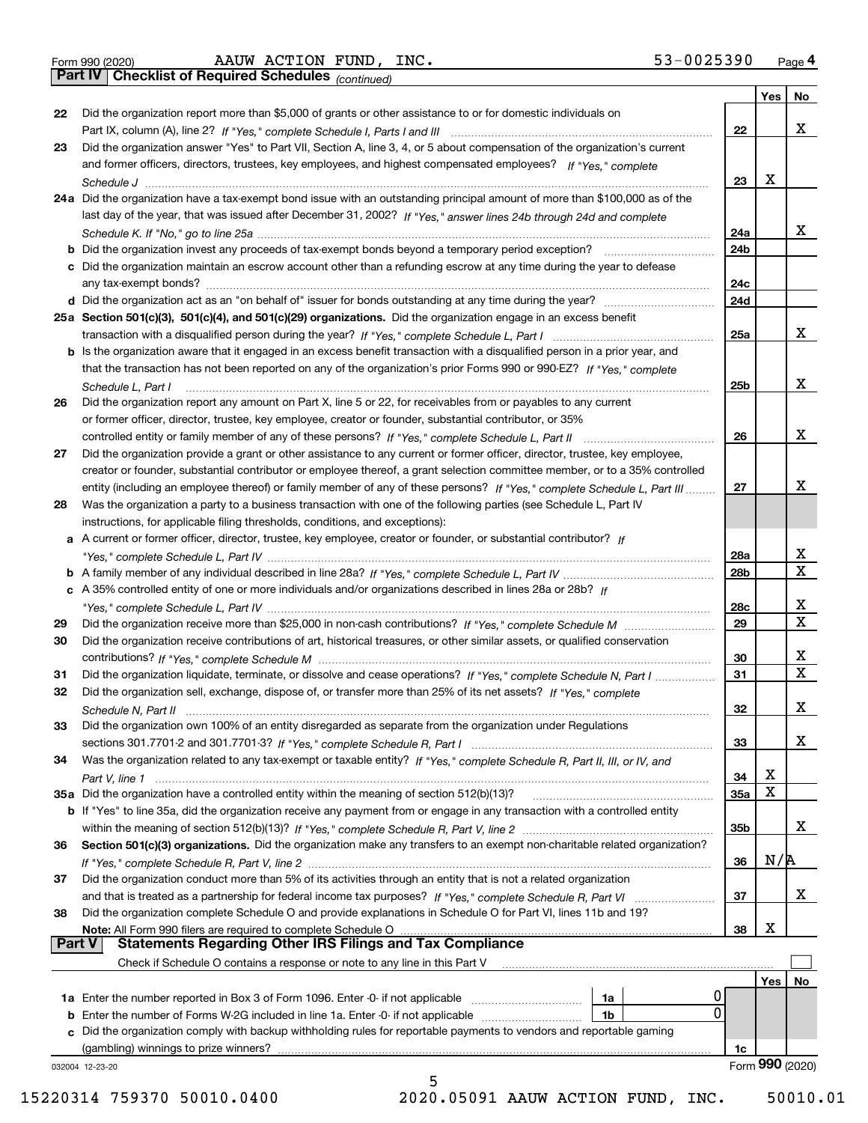|  | Form 990 (2020) |
|--|-----------------|
|  |                 |

Form 990 (2020) Page **4Part IV Checklist of Required Schedules** AAUW ACTION FUND, INC. 53-0025390

*(continued)*

|    |                                                                                                                                                               |                 | Yes | No                      |
|----|---------------------------------------------------------------------------------------------------------------------------------------------------------------|-----------------|-----|-------------------------|
| 22 | Did the organization report more than \$5,000 of grants or other assistance to or for domestic individuals on                                                 |                 |     |                         |
|    |                                                                                                                                                               | 22              |     | X                       |
| 23 | Did the organization answer "Yes" to Part VII, Section A, line 3, 4, or 5 about compensation of the organization's current                                    |                 |     |                         |
|    | and former officers, directors, trustees, key employees, and highest compensated employees? If "Yes," complete                                                |                 |     |                         |
|    |                                                                                                                                                               | 23              | х   |                         |
|    | 24a Did the organization have a tax-exempt bond issue with an outstanding principal amount of more than \$100,000 as of the                                   |                 |     |                         |
|    | last day of the year, that was issued after December 31, 2002? If "Yes," answer lines 24b through 24d and complete                                            |                 |     |                         |
|    |                                                                                                                                                               | 24a             |     | X                       |
|    |                                                                                                                                                               | 24 <sub>b</sub> |     |                         |
|    | c Did the organization maintain an escrow account other than a refunding escrow at any time during the year to defease                                        |                 |     |                         |
|    |                                                                                                                                                               | 24c             |     |                         |
|    |                                                                                                                                                               | 24d             |     |                         |
|    | 25a Section 501(c)(3), 501(c)(4), and 501(c)(29) organizations. Did the organization engage in an excess benefit                                              |                 |     |                         |
|    |                                                                                                                                                               | 25a             |     | X                       |
|    | b Is the organization aware that it engaged in an excess benefit transaction with a disqualified person in a prior year, and                                  |                 |     |                         |
|    | that the transaction has not been reported on any of the organization's prior Forms 990 or 990-EZ? If "Yes." complete                                         |                 |     |                         |
|    | Schedule L, Part I                                                                                                                                            | 25b             |     | X                       |
| 26 | Did the organization report any amount on Part X, line 5 or 22, for receivables from or payables to any current                                               |                 |     |                         |
|    |                                                                                                                                                               |                 |     |                         |
|    | or former officer, director, trustee, key employee, creator or founder, substantial contributor, or 35%                                                       |                 |     | X                       |
|    |                                                                                                                                                               | 26              |     |                         |
| 27 | Did the organization provide a grant or other assistance to any current or former officer, director, trustee, key employee,                                   |                 |     |                         |
|    | creator or founder, substantial contributor or employee thereof, a grant selection committee member, or to a 35% controlled                                   |                 |     |                         |
|    | entity (including an employee thereof) or family member of any of these persons? If "Yes," complete Schedule L, Part III                                      | 27              |     | х                       |
| 28 | Was the organization a party to a business transaction with one of the following parties (see Schedule L, Part IV                                             |                 |     |                         |
|    | instructions, for applicable filing thresholds, conditions, and exceptions):                                                                                  |                 |     |                         |
|    | a A current or former officer, director, trustee, key employee, creator or founder, or substantial contributor? If                                            |                 |     |                         |
|    |                                                                                                                                                               | 28a             |     | x                       |
|    |                                                                                                                                                               | 28b             |     | $\overline{\textbf{x}}$ |
|    | c A 35% controlled entity of one or more individuals and/or organizations described in lines 28a or 28b? If                                                   |                 |     |                         |
|    |                                                                                                                                                               | 28c             |     | $\mathbf{X}$            |
| 29 |                                                                                                                                                               | 29              |     | $\overline{\mathbf{x}}$ |
| 30 | Did the organization receive contributions of art, historical treasures, or other similar assets, or qualified conservation                                   |                 |     |                         |
|    |                                                                                                                                                               | 30              |     | х                       |
| 31 | Did the organization liquidate, terminate, or dissolve and cease operations? If "Yes," complete Schedule N, Part I                                            | 31              |     | $\overline{\mathbf{x}}$ |
| 32 | Did the organization sell, exchange, dispose of, or transfer more than 25% of its net assets? If "Yes," complete                                              |                 |     |                         |
|    | Schedule N. Part II www.communication.com/communications/communications/communications/communications/communic                                                | 32              |     | X                       |
| 33 | Did the organization own 100% of an entity disregarded as separate from the organization under Regulations                                                    |                 |     |                         |
|    |                                                                                                                                                               | 33              |     | X                       |
| 34 |                                                                                                                                                               |                 |     |                         |
|    | Was the organization related to any tax-exempt or taxable entity? If "Yes," complete Schedule R, Part II, III, or IV, and                                     | 34              | х   |                         |
|    |                                                                                                                                                               |                 | X   |                         |
|    |                                                                                                                                                               | 35a             |     |                         |
|    | b If "Yes" to line 35a, did the organization receive any payment from or engage in any transaction with a controlled entity                                   |                 |     |                         |
|    |                                                                                                                                                               | 35b             |     | X                       |
| 36 | Section 501(c)(3) organizations. Did the organization make any transfers to an exempt non-charitable related organization?                                    |                 |     |                         |
|    |                                                                                                                                                               | 36              | N/R |                         |
| 37 | Did the organization conduct more than 5% of its activities through an entity that is not a related organization                                              |                 |     |                         |
|    |                                                                                                                                                               | 37              |     | X                       |
| 38 | Did the organization complete Schedule O and provide explanations in Schedule O for Part VI, lines 11b and 19?                                                |                 |     |                         |
|    | Note: All Form 990 filers are required to complete Schedule O                                                                                                 | 38              | Х   |                         |
|    | <b>Statements Regarding Other IRS Filings and Tax Compliance</b><br><b>Part V</b>                                                                             |                 |     |                         |
|    | Check if Schedule O contains a response or note to any line in this Part V                                                                                    |                 |     |                         |
|    |                                                                                                                                                               |                 | Yes | No                      |
|    | 1a<br><b>1a</b> Enter the number reported in Box 3 of Form 1096. Enter -0- if not applicable <i>manumumumum</i>                                               |                 |     |                         |
|    | 0<br>1 <sub>b</sub><br><b>b</b> Enter the number of Forms W-2G included in line 1a. Enter -0- if not applicable                                               |                 |     |                         |
|    |                                                                                                                                                               |                 |     |                         |
|    |                                                                                                                                                               |                 |     |                         |
|    | c Did the organization comply with backup withholding rules for reportable payments to vendors and reportable gaming<br>(gambling) winnings to prize winners? | 1c              |     |                         |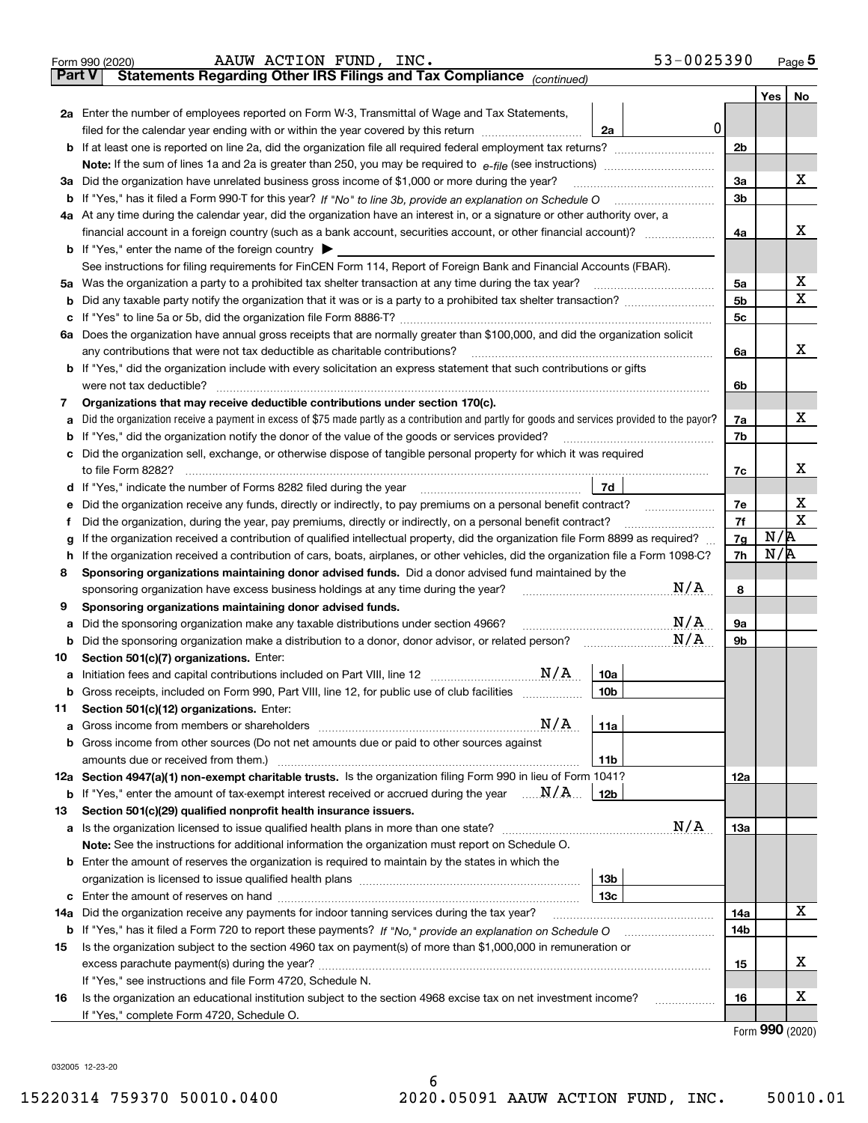|               | 53-0025390<br>AAUW ACTION FUND, INC.<br>Form 990 (2020)                                                                                         |                |                             | <u>Page 5</u> |
|---------------|-------------------------------------------------------------------------------------------------------------------------------------------------|----------------|-----------------------------|---------------|
| <b>Part V</b> | Statements Regarding Other IRS Filings and Tax Compliance (continued)                                                                           |                |                             |               |
|               |                                                                                                                                                 |                | Yes <sub>1</sub>            | No            |
|               | 2a Enter the number of employees reported on Form W-3, Transmittal of Wage and Tax Statements,                                                  |                |                             |               |
|               | $\mathbf 0$<br>2a<br>filed for the calendar year ending with or within the year covered by this return                                          |                |                             |               |
|               | <b>b</b> If at least one is reported on line 2a, did the organization file all required federal employment tax returns?                         | 2 <sub>b</sub> |                             |               |
|               |                                                                                                                                                 |                |                             |               |
| За            | Did the organization have unrelated business gross income of \$1,000 or more during the year?                                                   | 3a             |                             | x             |
|               |                                                                                                                                                 | 3 <sub>b</sub> |                             |               |
|               | 4a At any time during the calendar year, did the organization have an interest in, or a signature or other authority over, a                    |                |                             |               |
|               |                                                                                                                                                 | 4a             |                             | x             |
|               | <b>b</b> If "Yes," enter the name of the foreign country $\blacktriangleright$                                                                  |                |                             |               |
|               | See instructions for filing requirements for FinCEN Form 114, Report of Foreign Bank and Financial Accounts (FBAR).                             |                |                             |               |
|               | 5a Was the organization a party to a prohibited tax shelter transaction at any time during the tax year?                                        | 5a             |                             | X             |
| b             |                                                                                                                                                 | 5 <sub>b</sub> |                             | X             |
|               |                                                                                                                                                 | 5 <sub>c</sub> |                             |               |
| ба            | Does the organization have annual gross receipts that are normally greater than \$100,000, and did the organization solicit                     |                |                             |               |
|               | any contributions that were not tax deductible as charitable contributions?                                                                     | 6a             |                             | x             |
|               | <b>b</b> If "Yes," did the organization include with every solicitation an express statement that such contributions or gifts                   |                |                             |               |
|               | were not tax deductible?                                                                                                                        | 6b             |                             |               |
| 7             | Organizations that may receive deductible contributions under section 170(c).                                                                   |                |                             |               |
|               | Did the organization receive a payment in excess of \$75 made partly as a contribution and partly for goods and services provided to the payor? | 7a             |                             | X.            |
|               | If "Yes," did the organization notify the donor of the value of the goods or services provided?                                                 | 7b             |                             |               |
|               | Did the organization sell, exchange, or otherwise dispose of tangible personal property for which it was required                               |                |                             |               |
|               | to file Form 8282?                                                                                                                              | 7c             |                             | x             |
|               | 7d                                                                                                                                              |                |                             |               |
|               | Did the organization receive any funds, directly or indirectly, to pay premiums on a personal benefit contract?                                 | 7e             |                             | х             |
|               | Did the organization, during the year, pay premiums, directly or indirectly, on a personal benefit contract?                                    | 7f             |                             | $\mathbf X$   |
|               | If the organization received a contribution of qualified intellectual property, did the organization file Form 8899 as required?                | 7g             | N/R                         |               |
|               | If the organization received a contribution of cars, boats, airplanes, or other vehicles, did the organization file a Form 1098-C?              | 7h             | N/R                         |               |
| 8             | Sponsoring organizations maintaining donor advised funds. Did a donor advised fund maintained by the                                            |                |                             |               |
|               | N/A<br>sponsoring organization have excess business holdings at any time during the year?                                                       | 8              |                             |               |
| 9             | Sponsoring organizations maintaining donor advised funds.                                                                                       |                |                             |               |
|               | N/A<br>Did the sponsoring organization make any taxable distributions under section 4966?                                                       | 9a             |                             |               |
| b             | N/A<br>Did the sponsoring organization make a distribution to a donor, donor advisor, or related person?<br><u> Talanan Mariti (</u>            | 9b             |                             |               |
| 10            | Section 501(c)(7) organizations. Enter:                                                                                                         |                |                             |               |
|               | 10a                                                                                                                                             |                |                             |               |
| b             | Gross receipts, included on Form 990, Part VIII, line 12, for public use of club facilities<br>  10b                                            |                |                             |               |
| 11            | Section 501(c)(12) organizations. Enter:                                                                                                        |                |                             |               |
| a             | N/A<br>11a                                                                                                                                      |                |                             |               |
| b             | Gross income from other sources (Do not net amounts due or paid to other sources against                                                        |                |                             |               |
|               | amounts due or received from them.)<br>11b                                                                                                      |                |                             |               |
|               | 12a Section 4947(a)(1) non-exempt charitable trusts. Is the organization filing Form 990 in lieu of Form 1041?                                  | 12a            |                             |               |
| b             | If "Yes," enter the amount of tax-exempt interest received or accrued during the year $\ldots \mathbf{N}/\mathbf{A}$<br>12b                     |                |                             |               |
| 13            | Section 501(c)(29) qualified nonprofit health insurance issuers.                                                                                |                |                             |               |
|               | N/A<br>a Is the organization licensed to issue qualified health plans in more than one state?                                                   | 13а            |                             |               |
|               | Note: See the instructions for additional information the organization must report on Schedule O.                                               |                |                             |               |
|               | <b>b</b> Enter the amount of reserves the organization is required to maintain by the states in which the                                       |                |                             |               |
|               | 13b                                                                                                                                             |                |                             |               |
| с             | 13с                                                                                                                                             |                |                             |               |
| 14a           | Did the organization receive any payments for indoor tanning services during the tax year?                                                      | 14a            |                             | х             |
|               |                                                                                                                                                 | 14b            |                             |               |
| 15            | Is the organization subject to the section 4960 tax on payment(s) of more than \$1,000,000 in remuneration or                                   |                |                             |               |
|               |                                                                                                                                                 | 15             |                             | x             |
|               | If "Yes," see instructions and file Form 4720, Schedule N.                                                                                      |                |                             |               |
| 16            | Is the organization an educational institution subject to the section 4968 excise tax on net investment income?                                 | 16             |                             | х             |
|               | If "Yes," complete Form 4720, Schedule O.                                                                                                       |                |                             |               |
|               |                                                                                                                                                 |                | $F_{\text{arm}}$ 990 (2020) |               |

6

Form (2020) **990**

032005 12-23-20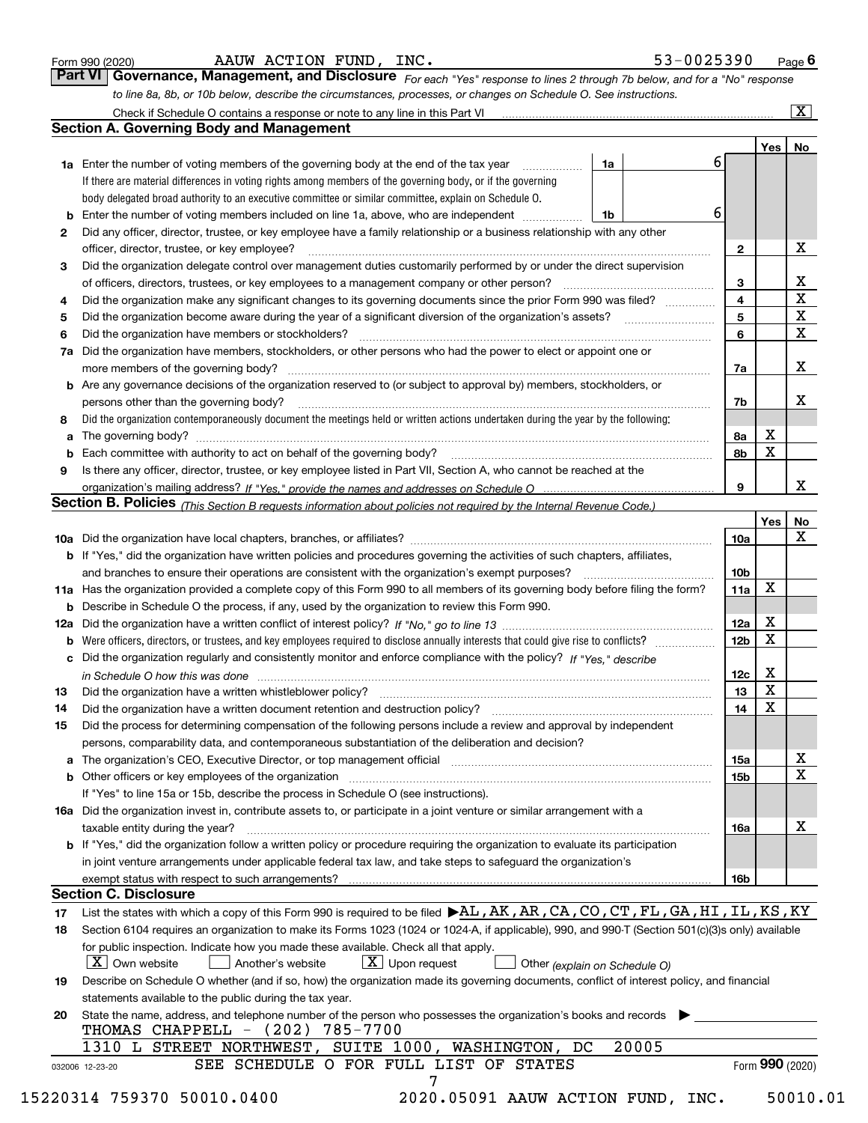|  | Form 990 (2020) |
|--|-----------------|
|  |                 |

| Form 990 (2020) | INC.<br>ACTION<br>FUND,<br><b>AAUW</b> | 53-0025390<br>Page |
|-----------------|----------------------------------------|--------------------|
|-----------------|----------------------------------------|--------------------|

| Form 990 (2020) |                                                                                                                                    | AAUW ACTION FUND, INC. |  |  | 53-0025390 | Page $6$ |  |
|-----------------|------------------------------------------------------------------------------------------------------------------------------------|------------------------|--|--|------------|----------|--|
|                 | <b>Part VI Governance, Management, and Disclosure</b> For each "Yes" response to lines 2 through 7b below, and for a "No" response |                        |  |  |            |          |  |
|                 | to line 8a, 8b, or 10b below, describe the circumstances, processes, or changes on Schedule O. See instructions.                   |                        |  |  |            |          |  |

|     | Check if Schedule O contains a response or note to any line in this Part VI                                                                                                                                                    |    |       |                 |             | $\overline{\mathbf{x}}$ |
|-----|--------------------------------------------------------------------------------------------------------------------------------------------------------------------------------------------------------------------------------|----|-------|-----------------|-------------|-------------------------|
|     | <b>Section A. Governing Body and Management</b>                                                                                                                                                                                |    |       |                 |             |                         |
|     |                                                                                                                                                                                                                                |    |       |                 | Yes         | No                      |
|     | <b>1a</b> Enter the number of voting members of the governing body at the end of the tax year<br>.                                                                                                                             | 1a |       | 6               |             |                         |
|     | If there are material differences in voting rights among members of the governing body, or if the governing                                                                                                                    |    |       |                 |             |                         |
|     | body delegated broad authority to an executive committee or similar committee, explain on Schedule O.                                                                                                                          |    |       |                 |             |                         |
|     | Enter the number of voting members included on line 1a, above, who are independent                                                                                                                                             | 1b | 6     |                 |             |                         |
| 2   | Did any officer, director, trustee, or key employee have a family relationship or a business relationship with any other                                                                                                       |    |       |                 |             |                         |
|     | officer, director, trustee, or key employee?                                                                                                                                                                                   |    |       | $\mathbf{2}$    |             | х                       |
| з   | Did the organization delegate control over management duties customarily performed by or under the direct supervision                                                                                                          |    |       |                 |             |                         |
|     | of officers, directors, trustees, or key employees to a management company or other person?                                                                                                                                    |    |       | 3               |             | х                       |
| 4   | Did the organization make any significant changes to its governing documents since the prior Form 990 was filed?                                                                                                               |    |       | 4               |             | $\mathbf X$             |
| 5   |                                                                                                                                                                                                                                |    |       | 5               |             | X                       |
| 6   | Did the organization have members or stockholders?                                                                                                                                                                             |    |       | 6               |             | $\mathbf X$             |
| 7a  | Did the organization have members, stockholders, or other persons who had the power to elect or appoint one or                                                                                                                 |    |       |                 |             |                         |
|     | more members of the governing body?                                                                                                                                                                                            |    |       | 7a              |             | x                       |
| b   | Are any governance decisions of the organization reserved to (or subject to approval by) members, stockholders, or                                                                                                             |    |       |                 |             |                         |
|     | persons other than the governing body?                                                                                                                                                                                         |    |       | 7b              |             | х                       |
| 8   | Did the organization contemporaneously document the meetings held or written actions undertaken during the year by the following:                                                                                              |    |       |                 |             |                         |
| a   |                                                                                                                                                                                                                                |    |       | 8а              | х           |                         |
|     | Each committee with authority to act on behalf of the governing body? [11] manufacture manufacture with authority to act on behalf of the governing body? [11] manufacture with authority of the state with an interval and th |    |       | 8b              | $\mathbf X$ |                         |
| 9   | Is there any officer, director, trustee, or key employee listed in Part VII, Section A, who cannot be reached at the                                                                                                           |    |       |                 |             |                         |
|     |                                                                                                                                                                                                                                |    |       | 9               |             | х                       |
|     | Section B. Policies <sub>(This Section B requests information about policies not required by the Internal Revenue Code.)</sub>                                                                                                 |    |       |                 |             |                         |
|     |                                                                                                                                                                                                                                |    |       |                 | Yes         | No                      |
|     |                                                                                                                                                                                                                                |    |       | <b>10a</b>      |             | х                       |
|     | <b>b</b> If "Yes," did the organization have written policies and procedures governing the activities of such chapters, affiliates,                                                                                            |    |       |                 |             |                         |
|     | and branches to ensure their operations are consistent with the organization's exempt purposes?                                                                                                                                |    |       | 10 <sub>b</sub> |             |                         |
| 11a | Has the organization provided a complete copy of this Form 990 to all members of its governing body before filing the form?                                                                                                    |    |       | 11a             | $\mathbf X$ |                         |
| b   | Describe in Schedule O the process, if any, used by the organization to review this Form 990.                                                                                                                                  |    |       |                 |             |                         |
| 12a |                                                                                                                                                                                                                                |    |       | 12a             | х           |                         |
| b   | Were officers, directors, or trustees, and key employees required to disclose annually interests that could give rise to conflicts?                                                                                            |    |       | 12 <sub>b</sub> | X           |                         |
| c   | Did the organization regularly and consistently monitor and enforce compliance with the policy? If "Yes," describe                                                                                                             |    |       |                 |             |                         |
|     | in Schedule O how this was done measured and the control of the control of the state of the control of the control of the control of the control of the control of the control of the control of the control of the control of |    |       | 12c             | Х           |                         |
| 13  | Did the organization have a written whistleblower policy?                                                                                                                                                                      |    |       | 13              | $\mathbf X$ |                         |
| 14  | Did the organization have a written document retention and destruction policy?                                                                                                                                                 |    |       | 14              | $\mathbf X$ |                         |
| 15  | Did the process for determining compensation of the following persons include a review and approval by independent                                                                                                             |    |       |                 |             |                         |
|     | persons, comparability data, and contemporaneous substantiation of the deliberation and decision?                                                                                                                              |    |       |                 |             |                         |
|     | The organization's CEO, Executive Director, or top management official manufactured contains and contained a support of the Director, or top management official manufactured and contain a support of the state of the state  |    |       | 15a             |             | х                       |
|     | Other officers or key employees of the organization                                                                                                                                                                            |    |       | 15b             |             | $\mathbf X$             |
|     | If "Yes" to line 15a or 15b, describe the process in Schedule O (see instructions).                                                                                                                                            |    |       |                 |             |                         |
|     | 16a Did the organization invest in, contribute assets to, or participate in a joint venture or similar arrangement with a                                                                                                      |    |       |                 |             |                         |
|     | taxable entity during the year?                                                                                                                                                                                                |    |       | 16a             |             | х                       |
|     | <b>b</b> If "Yes," did the organization follow a written policy or procedure requiring the organization to evaluate its participation                                                                                          |    |       |                 |             |                         |
|     | in joint venture arrangements under applicable federal tax law, and take steps to safeguard the organization's                                                                                                                 |    |       |                 |             |                         |
|     | exempt status with respect to such arrangements?                                                                                                                                                                               |    |       | 16b             |             |                         |
|     | <b>Section C. Disclosure</b>                                                                                                                                                                                                   |    |       |                 |             |                         |
| 17  | List the states with which a copy of this Form 990 is required to be filed $\blacktriangleright$ AL, AK, AR, CA, CO, CT, FL, GA, HI, IL, KS, KY                                                                                |    |       |                 |             |                         |
| 18  | Section 6104 requires an organization to make its Forms 1023 (1024 or 1024-A, if applicable), 990, and 990-T (Section 501(c)(3)s only) available                                                                               |    |       |                 |             |                         |
|     | for public inspection. Indicate how you made these available. Check all that apply.                                                                                                                                            |    |       |                 |             |                         |
|     | $X$ Own website<br>$X$ Upon request<br>Another's website<br>Other (explain on Schedule O)                                                                                                                                      |    |       |                 |             |                         |
| 19  | Describe on Schedule O whether (and if so, how) the organization made its governing documents, conflict of interest policy, and financial                                                                                      |    |       |                 |             |                         |
|     | statements available to the public during the tax year.                                                                                                                                                                        |    |       |                 |             |                         |
| 20  | State the name, address, and telephone number of the person who possesses the organization's books and records                                                                                                                 |    |       |                 |             |                         |
|     | 785-7700<br>THOMAS CHAPPELL $-$ (202)                                                                                                                                                                                          |    |       |                 |             |                         |
|     | L STREET NORTHWEST, SUITE 1000, WASHINGTON, DC<br>1310                                                                                                                                                                         |    | 20005 |                 |             |                         |
|     | SEE SCHEDULE O FOR FULL LIST OF STATES<br>032006 12-23-20                                                                                                                                                                      |    |       |                 |             | Form 990 (2020)         |
|     | 7                                                                                                                                                                                                                              |    |       |                 |             |                         |

15220314 759370 50010.0400 2020.05091 AAUW ACTION FUND, INC. 50010.01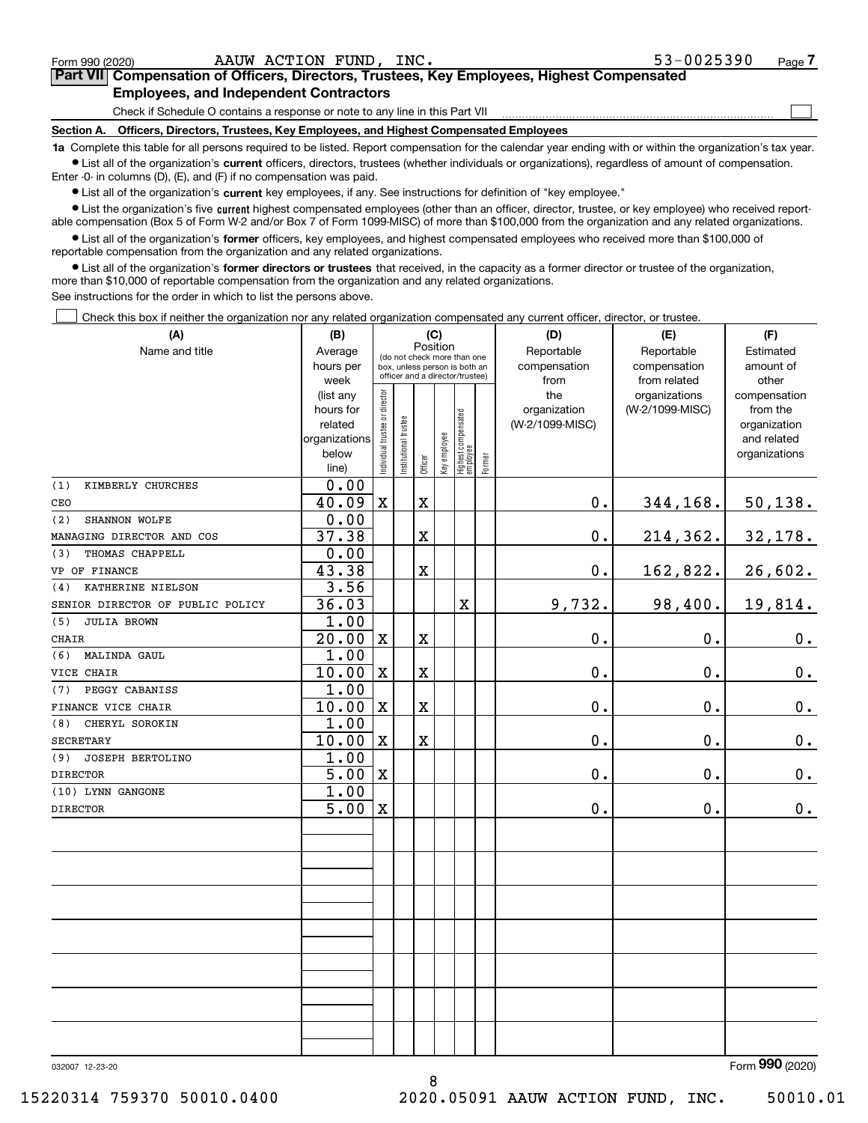| Form 990 (2020)                                                                                                                                             | AAUW ACTION FUND, INC.                                                                     | 53-0025390 | Page |  |  |  |  |  |
|-------------------------------------------------------------------------------------------------------------------------------------------------------------|--------------------------------------------------------------------------------------------|------------|------|--|--|--|--|--|
|                                                                                                                                                             | Part VII Compensation of Officers, Directors, Trustees, Key Employees, Highest Compensated |            |      |  |  |  |  |  |
|                                                                                                                                                             | <b>Employees, and Independent Contractors</b>                                              |            |      |  |  |  |  |  |
|                                                                                                                                                             | Check if Schedule O contains a response or note to any line in this Part VII               |            |      |  |  |  |  |  |
| Section A.                                                                                                                                                  | Officers, Directors, Trustees, Key Employees, and Highest Compensated Employees            |            |      |  |  |  |  |  |
| 1a. Complete this table for all persons required to be listed. Benort compensation for the calendar year ending with or within the organization's tax year. |                                                                                            |            |      |  |  |  |  |  |

**1a •** List all of the organization's current officers, directors, trustees (whether individuals or organizations), regardless of amount of compensation. Complete this table for all persons required to be listed. Report compensation for the calendar year ending with or within the organization's tax year. Enter -0- in columns (D), (E), and (F) if no compensation was paid.

 $\bullet$  List all of the organization's  $\,$ current key employees, if any. See instructions for definition of "key employee."

**•** List the organization's five current highest compensated employees (other than an officer, director, trustee, or key employee) who received reportable compensation (Box 5 of Form W-2 and/or Box 7 of Form 1099-MISC) of more than \$100,000 from the organization and any related organizations.

**•** List all of the organization's former officers, key employees, and highest compensated employees who received more than \$100,000 of reportable compensation from the organization and any related organizations.

**former directors or trustees**  ¥ List all of the organization's that received, in the capacity as a former director or trustee of the organization, more than \$10,000 of reportable compensation from the organization and any related organizations.

See instructions for the order in which to list the persons above.

Check this box if neither the organization nor any related organization compensated any current officer, director, or trustee.  $\mathcal{L}^{\text{max}}$ 

| (A)                              | (C)<br>(B)    |                                         |                                                                  |                         |              |                                  |           | (D)             | (E)             | (F)           |
|----------------------------------|---------------|-----------------------------------------|------------------------------------------------------------------|-------------------------|--------------|----------------------------------|-----------|-----------------|-----------------|---------------|
| Name and title                   | Average       | Position<br>(do not check more than one |                                                                  |                         |              |                                  |           | Reportable      | Reportable      | Estimated     |
|                                  | hours per     |                                         | box, unless person is both an<br>officer and a director/trustee) |                         | compensation | compensation                     | amount of |                 |                 |               |
|                                  | week          |                                         |                                                                  |                         |              |                                  |           | from            | from related    | other         |
|                                  | (list any     |                                         |                                                                  |                         |              |                                  |           | the             | organizations   | compensation  |
|                                  | hours for     |                                         |                                                                  |                         |              |                                  |           | organization    | (W-2/1099-MISC) | from the      |
|                                  | related       |                                         |                                                                  |                         |              |                                  |           | (W-2/1099-MISC) |                 | organization  |
|                                  | organizations |                                         |                                                                  |                         |              |                                  |           |                 |                 | and related   |
|                                  | below         | ndividual trustee or director           | nstitutional trustee                                             | Officer                 | Key employee | Highest compensated<br> employee | Former    |                 |                 | organizations |
|                                  | line)         |                                         |                                                                  |                         |              |                                  |           |                 |                 |               |
| (1)<br>KIMBERLY CHURCHES         | 0.00          |                                         |                                                                  |                         |              |                                  |           |                 |                 |               |
| CEO                              | 40.09         | X                                       |                                                                  | $\mathbf X$             |              |                                  |           | 0.              | 344,168.        | 50, 138.      |
| SHANNON WOLFE<br>(2)             | 0.00          |                                         |                                                                  |                         |              |                                  |           |                 |                 |               |
| MANAGING DIRECTOR AND COS        | 37.38         |                                         |                                                                  | $\overline{\textbf{X}}$ |              |                                  |           | $0$ .           | 214,362.        | 32,178.       |
| THOMAS CHAPPELL<br>(3)           | 0.00          |                                         |                                                                  |                         |              |                                  |           |                 |                 |               |
| VP OF FINANCE                    | 43.38         |                                         |                                                                  | $\rm X$                 |              |                                  |           | 0.              | 162,822.        | 26,602.       |
| KATHERINE NIELSON<br>(4)         | 3.56          |                                         |                                                                  |                         |              |                                  |           |                 |                 |               |
| SENIOR DIRECTOR OF PUBLIC POLICY | 36.03         |                                         |                                                                  |                         |              | $\rm X$                          |           | 9,732.          | 98,400.         | 19,814.       |
| <b>JULIA BROWN</b><br>(5)        | 1.00          |                                         |                                                                  |                         |              |                                  |           |                 |                 |               |
| <b>CHAIR</b>                     | 20.00         | $\mathbf X$                             |                                                                  | X                       |              |                                  |           | 0.              | 0.              | 0.            |
| (6)<br>MALINDA GAUL              | 1.00          |                                         |                                                                  |                         |              |                                  |           |                 |                 |               |
| VICE CHAIR                       | 10.00         | X                                       |                                                                  | $\overline{\textbf{X}}$ |              |                                  |           | 0.              | 0.              | $0_{.}$       |
| PEGGY CABANISS<br>(7)            | 1.00          |                                         |                                                                  |                         |              |                                  |           |                 |                 |               |
| FINANCE VICE CHAIR               | 10.00         | $\mathbf X$                             |                                                                  | $\overline{\textbf{X}}$ |              |                                  |           | 0.              | 0.              | 0.            |
| (8)<br>CHERYL SOROKIN            | 1.00          |                                         |                                                                  |                         |              |                                  |           |                 |                 |               |
| <b>SECRETARY</b>                 | 10.00         | $\mathbf X$                             |                                                                  | $\overline{\mathbf{X}}$ |              |                                  |           | 0.              | 0.              | 0.            |
| JOSEPH BERTOLINO<br>(9)          | 1.00          |                                         |                                                                  |                         |              |                                  |           |                 |                 |               |
| <b>DIRECTOR</b>                  | 5.00          | $\mathbf X$                             |                                                                  |                         |              |                                  |           | $\mathbf 0$ .   | 0.              | 0.            |
| (10) LYNN GANGONE                | 1.00          |                                         |                                                                  |                         |              |                                  |           |                 |                 |               |
| <b>DIRECTOR</b>                  | 5.00          | $\mathbf X$                             |                                                                  |                         |              |                                  |           | 0.              | $0$ .           | $\mathbf 0$ . |
|                                  |               |                                         |                                                                  |                         |              |                                  |           |                 |                 |               |
|                                  |               |                                         |                                                                  |                         |              |                                  |           |                 |                 |               |
|                                  |               |                                         |                                                                  |                         |              |                                  |           |                 |                 |               |
|                                  |               |                                         |                                                                  |                         |              |                                  |           |                 |                 |               |
|                                  |               |                                         |                                                                  |                         |              |                                  |           |                 |                 |               |
|                                  |               |                                         |                                                                  |                         |              |                                  |           |                 |                 |               |
|                                  |               |                                         |                                                                  |                         |              |                                  |           |                 |                 |               |
|                                  |               |                                         |                                                                  |                         |              |                                  |           |                 |                 |               |
|                                  |               |                                         |                                                                  |                         |              |                                  |           |                 |                 |               |
|                                  |               |                                         |                                                                  |                         |              |                                  |           |                 |                 |               |
|                                  |               |                                         |                                                                  |                         |              |                                  |           |                 |                 |               |
|                                  |               |                                         |                                                                  |                         |              |                                  |           |                 |                 |               |
|                                  |               |                                         |                                                                  |                         |              |                                  |           |                 |                 |               |
|                                  |               |                                         |                                                                  |                         |              |                                  |           |                 |                 |               |

8

032007 12-23-20

Form (2020) **990**

15220314 759370 50010.0400 2020.05091 AAUW ACTION FUND, INC. 50010.01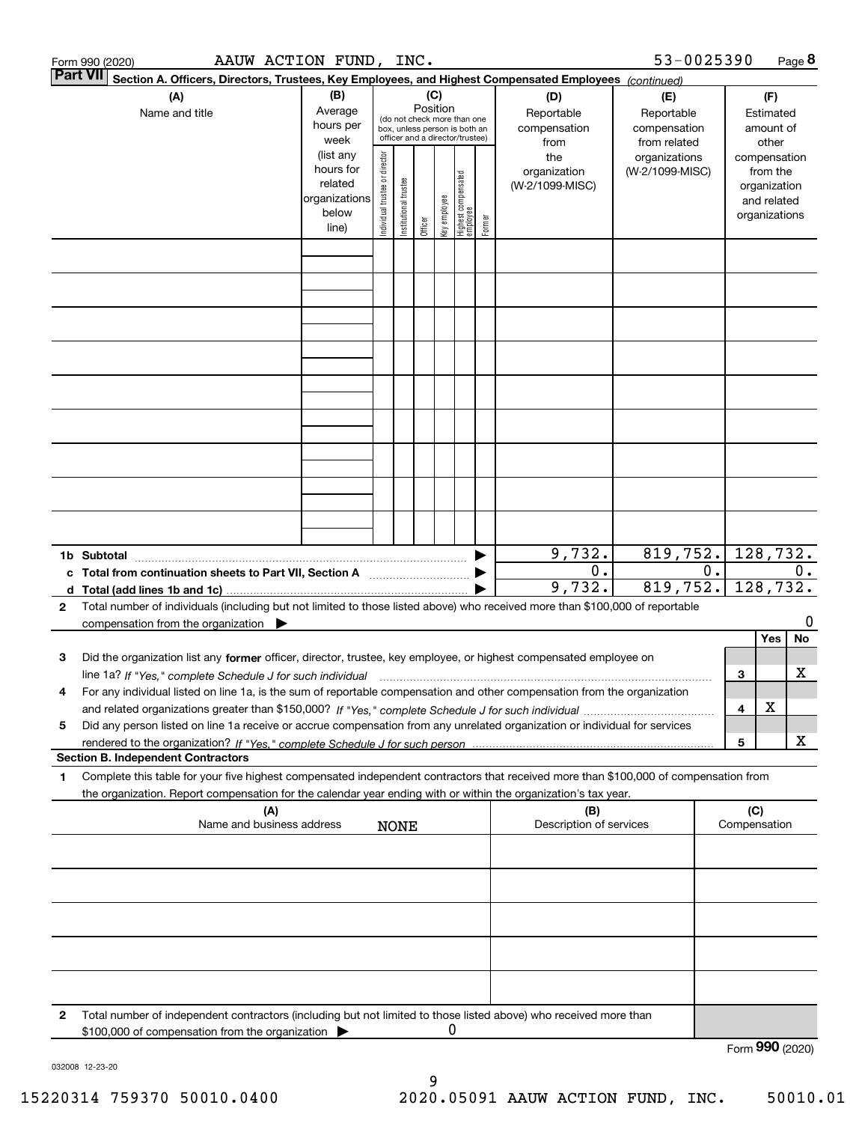|                                                                                                                     | AAUW ACTION FUND, INC.<br>Form 990 (2020)                                                                                                                                                                                                                                    |                                                                      |                                |                       |                 |              |                                                                                                 |        |                                           | 53-0025390                                        |       |                 |                                                                          | Page 8 |
|---------------------------------------------------------------------------------------------------------------------|------------------------------------------------------------------------------------------------------------------------------------------------------------------------------------------------------------------------------------------------------------------------------|----------------------------------------------------------------------|--------------------------------|-----------------------|-----------------|--------------|-------------------------------------------------------------------------------------------------|--------|-------------------------------------------|---------------------------------------------------|-------|-----------------|--------------------------------------------------------------------------|--------|
| ∣Part VII<br>Section A. Officers, Directors, Trustees, Key Employees, and Highest Compensated Employees (continued) |                                                                                                                                                                                                                                                                              |                                                                      |                                |                       |                 |              |                                                                                                 |        |                                           |                                                   |       |                 |                                                                          |        |
|                                                                                                                     | (A)<br>Name and title                                                                                                                                                                                                                                                        | (B)<br>Average<br>hours per<br>week                                  |                                |                       | (C)<br>Position |              | (do not check more than one<br>box, unless person is both an<br>officer and a director/trustee) |        | (D)<br>Reportable<br>compensation<br>from | (E)<br>Reportable<br>compensation<br>from related |       |                 | (F)<br>Estimated<br>amount of<br>other                                   |        |
|                                                                                                                     |                                                                                                                                                                                                                                                                              | (list any<br>hours for<br>related<br>organizations<br>below<br>line) | Individual trustee or director | Institutional trustee | Officer         | key employee | Highest compensated<br>  employee                                                               | Former | the<br>organization<br>(W-2/1099-MISC)    | organizations<br>(W-2/1099-MISC)                  |       |                 | compensation<br>from the<br>organization<br>and related<br>organizations |        |
|                                                                                                                     |                                                                                                                                                                                                                                                                              |                                                                      |                                |                       |                 |              |                                                                                                 |        |                                           |                                                   |       |                 |                                                                          |        |
|                                                                                                                     |                                                                                                                                                                                                                                                                              |                                                                      |                                |                       |                 |              |                                                                                                 |        |                                           |                                                   |       |                 |                                                                          |        |
|                                                                                                                     |                                                                                                                                                                                                                                                                              |                                                                      |                                |                       |                 |              |                                                                                                 |        |                                           |                                                   |       |                 |                                                                          |        |
|                                                                                                                     |                                                                                                                                                                                                                                                                              |                                                                      |                                |                       |                 |              |                                                                                                 |        |                                           |                                                   |       |                 |                                                                          |        |
|                                                                                                                     |                                                                                                                                                                                                                                                                              |                                                                      |                                |                       |                 |              |                                                                                                 |        |                                           |                                                   |       |                 |                                                                          |        |
|                                                                                                                     |                                                                                                                                                                                                                                                                              |                                                                      |                                |                       |                 |              |                                                                                                 |        |                                           |                                                   |       |                 |                                                                          |        |
|                                                                                                                     |                                                                                                                                                                                                                                                                              |                                                                      |                                |                       |                 |              |                                                                                                 |        |                                           |                                                   |       |                 |                                                                          |        |
|                                                                                                                     |                                                                                                                                                                                                                                                                              |                                                                      |                                |                       |                 |              |                                                                                                 |        |                                           |                                                   |       |                 |                                                                          |        |
|                                                                                                                     | 1b Subtotal                                                                                                                                                                                                                                                                  |                                                                      |                                |                       |                 |              |                                                                                                 |        | 9,732.                                    | 819,752.                                          |       |                 | 128,732.                                                                 |        |
|                                                                                                                     | c Total from continuation sheets to Part VII, Section A                                                                                                                                                                                                                      |                                                                      |                                |                       |                 |              |                                                                                                 |        | 0.<br>9,732.                              | 819,752.                                          | $0$ . |                 | 128,732.                                                                 | 0.     |
| 2                                                                                                                   | Total number of individuals (including but not limited to those listed above) who received more than \$100,000 of reportable<br>compensation from the organization $\blacktriangleright$                                                                                     |                                                                      |                                |                       |                 |              |                                                                                                 |        |                                           |                                                   |       |                 |                                                                          | 0      |
|                                                                                                                     |                                                                                                                                                                                                                                                                              |                                                                      |                                |                       |                 |              |                                                                                                 |        |                                           |                                                   |       |                 | Yes                                                                      | No     |
| з                                                                                                                   | Did the organization list any former officer, director, trustee, key employee, or highest compensated employee on                                                                                                                                                            |                                                                      |                                |                       |                 |              |                                                                                                 |        |                                           |                                                   |       |                 |                                                                          |        |
| 4                                                                                                                   | line 1a? If "Yes," complete Schedule J for such individual material content content to the 1a? If "Yes," complete Schedule J for such individual<br>For any individual listed on line 1a, is the sum of reportable compensation and other compensation from the organization |                                                                      |                                |                       |                 |              |                                                                                                 |        |                                           |                                                   |       | 3               |                                                                          | х      |
|                                                                                                                     |                                                                                                                                                                                                                                                                              |                                                                      |                                |                       |                 |              |                                                                                                 |        |                                           |                                                   |       | 4               | X                                                                        |        |
| 5                                                                                                                   | Did any person listed on line 1a receive or accrue compensation from any unrelated organization or individual for services                                                                                                                                                   |                                                                      |                                |                       |                 |              |                                                                                                 |        |                                           |                                                   |       |                 |                                                                          |        |
|                                                                                                                     | <b>Section B. Independent Contractors</b>                                                                                                                                                                                                                                    |                                                                      |                                |                       |                 |              |                                                                                                 |        |                                           |                                                   |       | 5               |                                                                          | X      |
| 1                                                                                                                   | Complete this table for your five highest compensated independent contractors that received more than \$100,000 of compensation from                                                                                                                                         |                                                                      |                                |                       |                 |              |                                                                                                 |        |                                           |                                                   |       |                 |                                                                          |        |
|                                                                                                                     | the organization. Report compensation for the calendar year ending with or within the organization's tax year.<br>(A)                                                                                                                                                        |                                                                      |                                |                       |                 |              |                                                                                                 |        | (B)                                       |                                                   |       | (C)             |                                                                          |        |
|                                                                                                                     | Name and business address                                                                                                                                                                                                                                                    |                                                                      |                                | <b>NONE</b>           |                 |              |                                                                                                 |        | Description of services                   |                                                   |       | Compensation    |                                                                          |        |
|                                                                                                                     |                                                                                                                                                                                                                                                                              |                                                                      |                                |                       |                 |              |                                                                                                 |        |                                           |                                                   |       |                 |                                                                          |        |
|                                                                                                                     |                                                                                                                                                                                                                                                                              |                                                                      |                                |                       |                 |              |                                                                                                 |        |                                           |                                                   |       |                 |                                                                          |        |
|                                                                                                                     |                                                                                                                                                                                                                                                                              |                                                                      |                                |                       |                 |              |                                                                                                 |        |                                           |                                                   |       |                 |                                                                          |        |
|                                                                                                                     |                                                                                                                                                                                                                                                                              |                                                                      |                                |                       |                 |              |                                                                                                 |        |                                           |                                                   |       |                 |                                                                          |        |
| 2                                                                                                                   | Total number of independent contractors (including but not limited to those listed above) who received more than                                                                                                                                                             |                                                                      |                                |                       |                 |              |                                                                                                 |        |                                           |                                                   |       |                 |                                                                          |        |
|                                                                                                                     | \$100,000 of compensation from the organization                                                                                                                                                                                                                              |                                                                      |                                |                       |                 | 0            |                                                                                                 |        |                                           |                                                   |       | Form 990 (2020) |                                                                          |        |

032008 12-23-20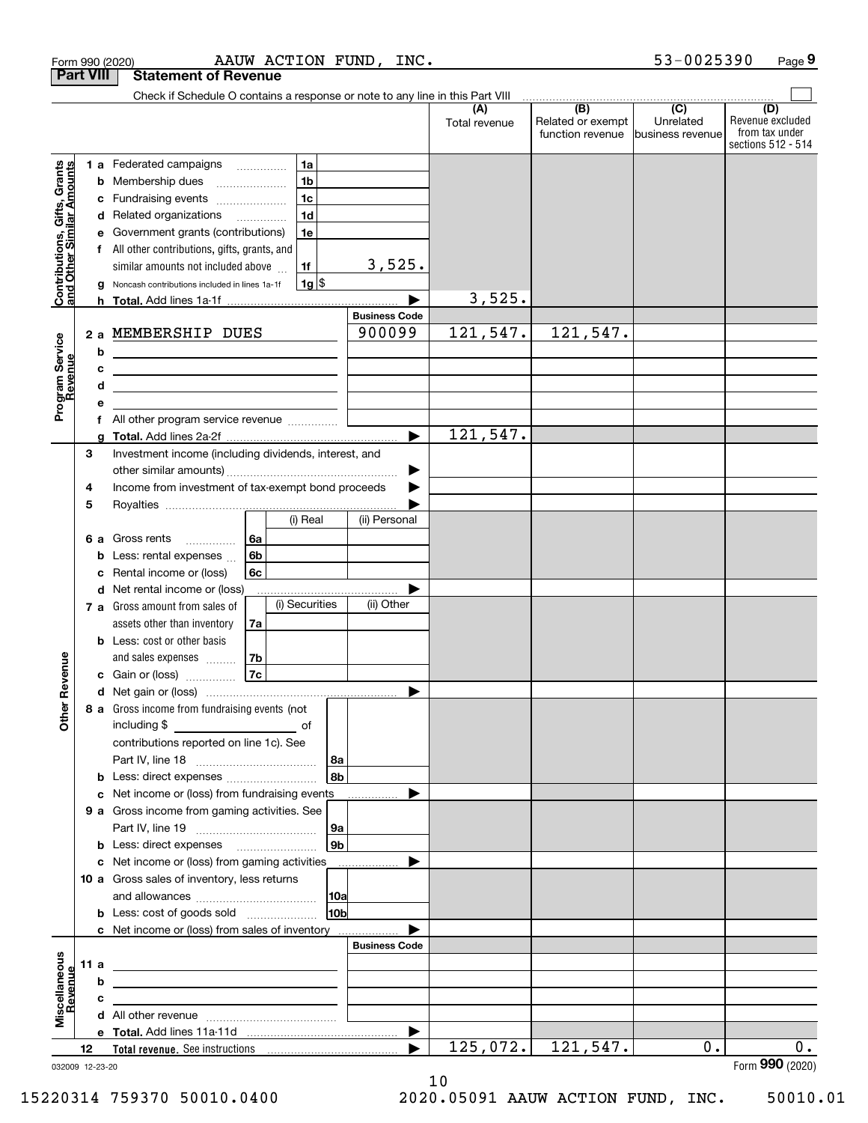|                                                           |                  | AAUW ACTION FUND, INC.<br>Form 990 (2020)                                                                                                                                                                                                                                                           |                        |                      |                                                         | 53-0025390                    | Page 9                                                   |
|-----------------------------------------------------------|------------------|-----------------------------------------------------------------------------------------------------------------------------------------------------------------------------------------------------------------------------------------------------------------------------------------------------|------------------------|----------------------|---------------------------------------------------------|-------------------------------|----------------------------------------------------------|
|                                                           | <b>Part VIII</b> | <b>Statement of Revenue</b>                                                                                                                                                                                                                                                                         |                        |                      |                                                         |                               |                                                          |
|                                                           |                  | Check if Schedule O contains a response or note to any line in this Part VIII                                                                                                                                                                                                                       |                        |                      | $\overbrace{ }$ (B) $\overbrace{ }$ (C) $\overbrace{ }$ |                               | (D)                                                      |
|                                                           |                  |                                                                                                                                                                                                                                                                                                     |                        | (A)<br>Total revenue | Related or exempt<br>function revenue                   | Unrelated<br>business revenue | Revenue excluded<br>from tax under<br>sections 512 - 514 |
|                                                           |                  | 1a<br>1 a Federated campaigns                                                                                                                                                                                                                                                                       |                        |                      |                                                         |                               |                                                          |
|                                                           |                  | 1 <sub>b</sub><br><b>b</b> Membership dues<br>$\ldots \ldots \ldots \ldots \ldots$                                                                                                                                                                                                                  |                        |                      |                                                         |                               |                                                          |
|                                                           |                  | 1 <sub>c</sub><br>c Fundraising events                                                                                                                                                                                                                                                              |                        |                      |                                                         |                               |                                                          |
| Contributions, Gifts, Grants<br>and Other Similar Amounts |                  | 1 <sub>d</sub><br>d Related organizations                                                                                                                                                                                                                                                           |                        |                      |                                                         |                               |                                                          |
|                                                           | е                | 1e<br>Government grants (contributions)                                                                                                                                                                                                                                                             |                        |                      |                                                         |                               |                                                          |
|                                                           | f                | All other contributions, gifts, grants, and                                                                                                                                                                                                                                                         |                        |                      |                                                         |                               |                                                          |
|                                                           |                  | 1f<br>similar amounts not included above                                                                                                                                                                                                                                                            | 3,525.                 |                      |                                                         |                               |                                                          |
|                                                           | a                | $1g$ \$<br>Noncash contributions included in lines 1a-1f                                                                                                                                                                                                                                            |                        |                      |                                                         |                               |                                                          |
|                                                           |                  |                                                                                                                                                                                                                                                                                                     | <b>Business Code</b>   | 3,525.               |                                                         |                               |                                                          |
|                                                           |                  | 2 a MEMBERSHIP DUES                                                                                                                                                                                                                                                                                 | 900099                 | 121, 547.            | 121,547.                                                |                               |                                                          |
| Program Service<br>Revenue                                | b                |                                                                                                                                                                                                                                                                                                     |                        |                      |                                                         |                               |                                                          |
|                                                           | c                |                                                                                                                                                                                                                                                                                                     |                        |                      |                                                         |                               |                                                          |
|                                                           | d                |                                                                                                                                                                                                                                                                                                     |                        |                      |                                                         |                               |                                                          |
|                                                           | е                | <u> 1989 - Johann Barn, mars ann an t-Amhain ann an t-Amhain an t-Amhain an t-Amhain an t-Amhain an t-Amhain an t-</u>                                                                                                                                                                              |                        |                      |                                                         |                               |                                                          |
|                                                           |                  | f All other program service revenue                                                                                                                                                                                                                                                                 |                        |                      |                                                         |                               |                                                          |
|                                                           |                  |                                                                                                                                                                                                                                                                                                     |                        | 121,547.             |                                                         |                               |                                                          |
|                                                           | 3                | Investment income (including dividends, interest, and                                                                                                                                                                                                                                               |                        |                      |                                                         |                               |                                                          |
|                                                           |                  |                                                                                                                                                                                                                                                                                                     |                        |                      |                                                         |                               |                                                          |
|                                                           | 4                | Income from investment of tax-exempt bond proceeds                                                                                                                                                                                                                                                  |                        |                      |                                                         |                               |                                                          |
|                                                           | 5                |                                                                                                                                                                                                                                                                                                     |                        |                      |                                                         |                               |                                                          |
|                                                           |                  | (i) Real                                                                                                                                                                                                                                                                                            | (ii) Personal          |                      |                                                         |                               |                                                          |
|                                                           |                  | 6a<br><b>6 a</b> Gross rents                                                                                                                                                                                                                                                                        |                        |                      |                                                         |                               |                                                          |
|                                                           |                  | 6b<br><b>b</b> Less: rental expenses                                                                                                                                                                                                                                                                |                        |                      |                                                         |                               |                                                          |
|                                                           | с                | 6c<br>Rental income or (loss)                                                                                                                                                                                                                                                                       |                        |                      |                                                         |                               |                                                          |
|                                                           |                  | d Net rental income or (loss)<br>(i) Securities<br>7 a Gross amount from sales of                                                                                                                                                                                                                   | (ii) Other             |                      |                                                         |                               |                                                          |
|                                                           |                  | assets other than inventory<br>7a                                                                                                                                                                                                                                                                   |                        |                      |                                                         |                               |                                                          |
|                                                           |                  | <b>b</b> Less: cost or other basis                                                                                                                                                                                                                                                                  |                        |                      |                                                         |                               |                                                          |
|                                                           |                  | 7b<br>and sales expenses                                                                                                                                                                                                                                                                            |                        |                      |                                                         |                               |                                                          |
| evenue                                                    |                  | 7c<br>c Gain or (loss)                                                                                                                                                                                                                                                                              |                        |                      |                                                         |                               |                                                          |
|                                                           |                  |                                                                                                                                                                                                                                                                                                     |                        |                      |                                                         |                               |                                                          |
| Other R                                                   |                  | 8 a Gross income from fundraising events (not                                                                                                                                                                                                                                                       |                        |                      |                                                         |                               |                                                          |
|                                                           |                  |                                                                                                                                                                                                                                                                                                     |                        |                      |                                                         |                               |                                                          |
|                                                           |                  | contributions reported on line 1c). See                                                                                                                                                                                                                                                             |                        |                      |                                                         |                               |                                                          |
|                                                           |                  |                                                                                                                                                                                                                                                                                                     | 8a                     |                      |                                                         |                               |                                                          |
|                                                           |                  | <b>b</b> Less: direct expenses <b>constants b</b>                                                                                                                                                                                                                                                   | 8 <sub>b</sub>         |                      |                                                         |                               |                                                          |
|                                                           |                  | c Net income or (loss) from fundraising events                                                                                                                                                                                                                                                      |                        |                      |                                                         |                               |                                                          |
|                                                           |                  | 9 a Gross income from gaming activities. See                                                                                                                                                                                                                                                        |                        |                      |                                                         |                               |                                                          |
|                                                           |                  |                                                                                                                                                                                                                                                                                                     | 9a                     |                      |                                                         |                               |                                                          |
|                                                           |                  | <b>b</b> Less: direct expenses <b>manually</b>                                                                                                                                                                                                                                                      | 9 <sub>b</sub>         |                      |                                                         |                               |                                                          |
|                                                           |                  | c Net income or (loss) from gaming activities _______________                                                                                                                                                                                                                                       |                        |                      |                                                         |                               |                                                          |
|                                                           |                  | 10 a Gross sales of inventory, less returns                                                                                                                                                                                                                                                         |                        |                      |                                                         |                               |                                                          |
|                                                           |                  |                                                                                                                                                                                                                                                                                                     | 10a<br>10 <sub>b</sub> |                      |                                                         |                               |                                                          |
|                                                           |                  | <b>b</b> Less: cost of goods sold                                                                                                                                                                                                                                                                   |                        |                      |                                                         |                               |                                                          |
|                                                           |                  | c Net income or (loss) from sales of inventory                                                                                                                                                                                                                                                      | <b>Business Code</b>   |                      |                                                         |                               |                                                          |
|                                                           | 11 a             |                                                                                                                                                                                                                                                                                                     |                        |                      |                                                         |                               |                                                          |
| Miscellaneous                                             | b                | <u>state and the state of the state of the state of the state of the state of the state of the state of the state of the state of the state of the state of the state of the state of the state of the state of the state of the</u><br><u> 1989 - Jan Stern Harrison, fransk politik (d. 1989)</u> |                        |                      |                                                         |                               |                                                          |
| Revenue                                                   | c                | the control of the control of the control of the control of the control of                                                                                                                                                                                                                          |                        |                      |                                                         |                               |                                                          |
|                                                           |                  |                                                                                                                                                                                                                                                                                                     |                        |                      |                                                         |                               |                                                          |
|                                                           |                  |                                                                                                                                                                                                                                                                                                     |                        |                      |                                                         |                               |                                                          |
|                                                           | 12               |                                                                                                                                                                                                                                                                                                     |                        | 125,072.             | 121,547.                                                | 0.                            | $0$ .                                                    |
|                                                           | 032009 12-23-20  |                                                                                                                                                                                                                                                                                                     |                        |                      |                                                         |                               | Form 990 (2020)                                          |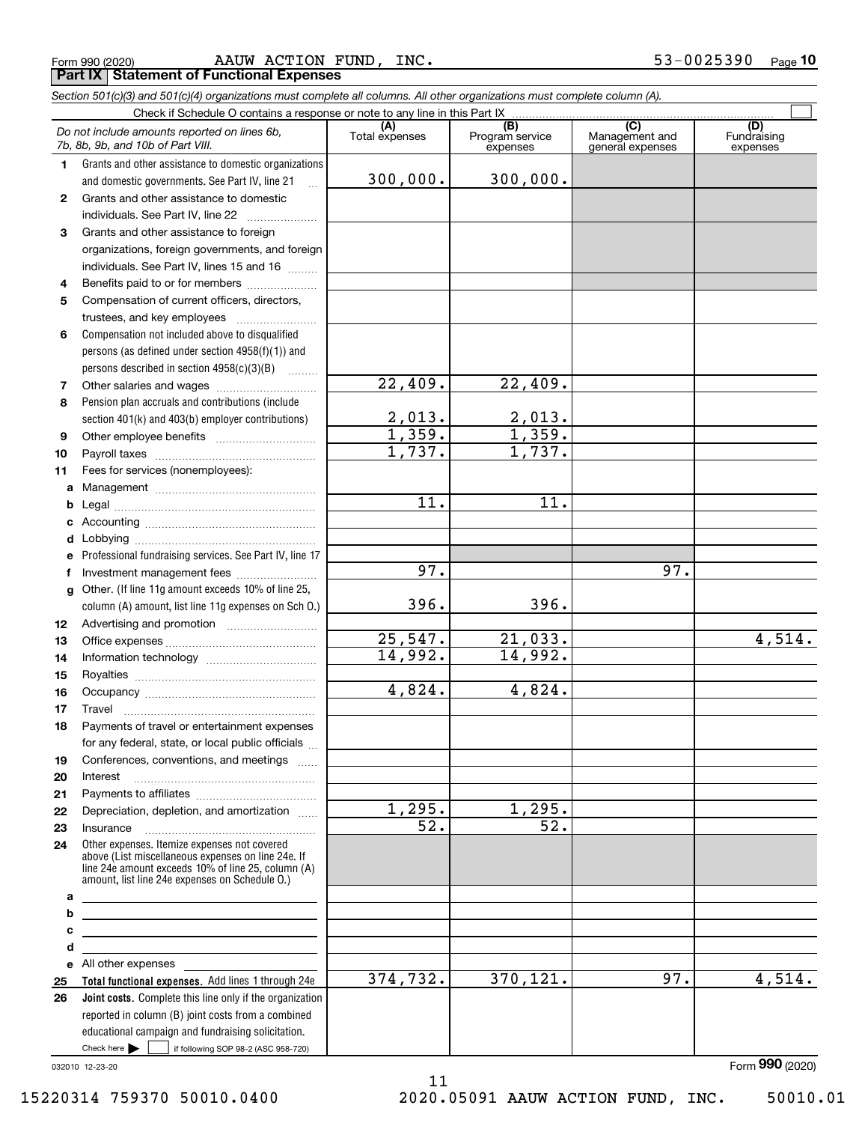|  | Form 990 (2020) |
|--|-----------------|
|  |                 |

Form 990 (2020) Page AAUW ACTION FUND, INC. 53-0025390 **Part IX Statement of Functional Expenses**

*Section 501(c)(3) and 501(c)(4) organizations must complete all columns. All other organizations must complete column (A).*

|              | Do not include amounts reported on lines 6b.<br>7b, 8b, 9b, and 10b of Part VIII.                                                                                                                          | (A)<br>Total expenses  | $\overline{(B)}$<br>Program service<br>expenses | $\overline{C}$<br>Management and<br>general expenses | (D)<br>Fundraising<br>expenses |
|--------------|------------------------------------------------------------------------------------------------------------------------------------------------------------------------------------------------------------|------------------------|-------------------------------------------------|------------------------------------------------------|--------------------------------|
| 1            | Grants and other assistance to domestic organizations                                                                                                                                                      |                        |                                                 |                                                      |                                |
|              | and domestic governments. See Part IV, line 21                                                                                                                                                             | 300,000.               | 300,000.                                        |                                                      |                                |
| $\mathbf{2}$ | Grants and other assistance to domestic                                                                                                                                                                    |                        |                                                 |                                                      |                                |
|              | individuals. See Part IV, line 22                                                                                                                                                                          |                        |                                                 |                                                      |                                |
| 3            | Grants and other assistance to foreign                                                                                                                                                                     |                        |                                                 |                                                      |                                |
|              | organizations, foreign governments, and foreign                                                                                                                                                            |                        |                                                 |                                                      |                                |
|              | individuals. See Part IV, lines 15 and 16                                                                                                                                                                  |                        |                                                 |                                                      |                                |
| 4            | Benefits paid to or for members                                                                                                                                                                            |                        |                                                 |                                                      |                                |
| 5            | Compensation of current officers, directors,                                                                                                                                                               |                        |                                                 |                                                      |                                |
|              |                                                                                                                                                                                                            |                        |                                                 |                                                      |                                |
| 6            | Compensation not included above to disqualified                                                                                                                                                            |                        |                                                 |                                                      |                                |
|              | persons (as defined under section $4958(f)(1)$ ) and                                                                                                                                                       |                        |                                                 |                                                      |                                |
|              | persons described in section 4958(c)(3)(B)                                                                                                                                                                 |                        |                                                 |                                                      |                                |
| 7            |                                                                                                                                                                                                            | $\overline{22}$ , 409. | 22,409.                                         |                                                      |                                |
| 8            | Pension plan accruals and contributions (include                                                                                                                                                           |                        |                                                 |                                                      |                                |
|              | section 401(k) and 403(b) employer contributions)                                                                                                                                                          | 2,013.                 | 2,013.                                          |                                                      |                                |
| 9            |                                                                                                                                                                                                            | 1,359.                 | 1,359.                                          |                                                      |                                |
| 10           |                                                                                                                                                                                                            | 1,737.                 | $\overline{1,737}$ .                            |                                                      |                                |
| 11           | Fees for services (nonemployees):                                                                                                                                                                          |                        |                                                 |                                                      |                                |
| a            |                                                                                                                                                                                                            |                        |                                                 |                                                      |                                |
| b            |                                                                                                                                                                                                            | $\overline{11}$ .      | $\overline{11}$ .                               |                                                      |                                |
| c            |                                                                                                                                                                                                            |                        |                                                 |                                                      |                                |
| d            |                                                                                                                                                                                                            |                        |                                                 |                                                      |                                |
| е            | Professional fundraising services. See Part IV, line 17                                                                                                                                                    | 97.                    |                                                 | 97.                                                  |                                |
| f            | Investment management fees                                                                                                                                                                                 |                        |                                                 |                                                      |                                |
| g            | Other. (If line 11g amount exceeds 10% of line 25,                                                                                                                                                         | 396.                   | 396.                                            |                                                      |                                |
|              | column (A) amount, list line 11g expenses on Sch O.)                                                                                                                                                       |                        |                                                 |                                                      |                                |
| 12           |                                                                                                                                                                                                            | 25,547.                | 21,033.                                         |                                                      | 4,514.                         |
| 13           |                                                                                                                                                                                                            | 14,992.                | 14,992.                                         |                                                      |                                |
| 14           |                                                                                                                                                                                                            |                        |                                                 |                                                      |                                |
| 15           |                                                                                                                                                                                                            | 4,824.                 | 4,824.                                          |                                                      |                                |
| 16<br>17     | Travel                                                                                                                                                                                                     |                        |                                                 |                                                      |                                |
| 18           | Payments of travel or entertainment expenses                                                                                                                                                               |                        |                                                 |                                                      |                                |
|              | for any federal, state, or local public officials                                                                                                                                                          |                        |                                                 |                                                      |                                |
| 19           | Conferences, conventions, and meetings                                                                                                                                                                     |                        |                                                 |                                                      |                                |
| 20           | Interest                                                                                                                                                                                                   |                        |                                                 |                                                      |                                |
| 21           |                                                                                                                                                                                                            |                        |                                                 |                                                      |                                |
| 22           | Depreciation, depletion, and amortization                                                                                                                                                                  | 1,295.                 | 1,295.                                          |                                                      |                                |
| 23           | Insurance                                                                                                                                                                                                  | 52.                    | 52.                                             |                                                      |                                |
| 24           | Other expenses. Itemize expenses not covered<br>above (List miscellaneous expenses on line 24e. If<br>line 24e amount exceeds 10% of line 25, column (A)<br>amount, list line 24e expenses on Schedule 0.) |                        |                                                 |                                                      |                                |
| а            | <u> 1989 - Johann Stein, marwolaethau a bhann an t-Amhainn an t-Amhainn an t-Amhainn an t-Amhainn an t-Amhainn an</u>                                                                                      |                        |                                                 |                                                      |                                |
| b            | <u> 1989 - Johann Stein, mars an deus Amerikaansk kommunister (</u>                                                                                                                                        |                        |                                                 |                                                      |                                |
| с            | <u> 1989 - Johann Barbara, martin amerikan basar dan berasal dalam basar dalam basar dalam basar dalam basar dala</u>                                                                                      |                        |                                                 |                                                      |                                |
| d            | <u> 1989 - Johann Stein, mars an deus Amerikaansk kommunister (</u>                                                                                                                                        |                        |                                                 |                                                      |                                |
| е            | All other expenses                                                                                                                                                                                         |                        |                                                 |                                                      |                                |
| 25           | Total functional expenses. Add lines 1 through 24e                                                                                                                                                         | 374,732.               | 370,121.                                        | 97.                                                  | 4,514.                         |
| 26           | Joint costs. Complete this line only if the organization                                                                                                                                                   |                        |                                                 |                                                      |                                |
|              | reported in column (B) joint costs from a combined                                                                                                                                                         |                        |                                                 |                                                      |                                |
|              | educational campaign and fundraising solicitation.                                                                                                                                                         |                        |                                                 |                                                      |                                |

11

032010 12-23-20

Check here  $\blacktriangleright$ 

Check here  $\begin{array}{|c|c|c|c|c|}\hline \text{ } & \text{ if following SOP 98-2 (ASC 958-720)} \hline \end{array}$ 

Form (2020) **990**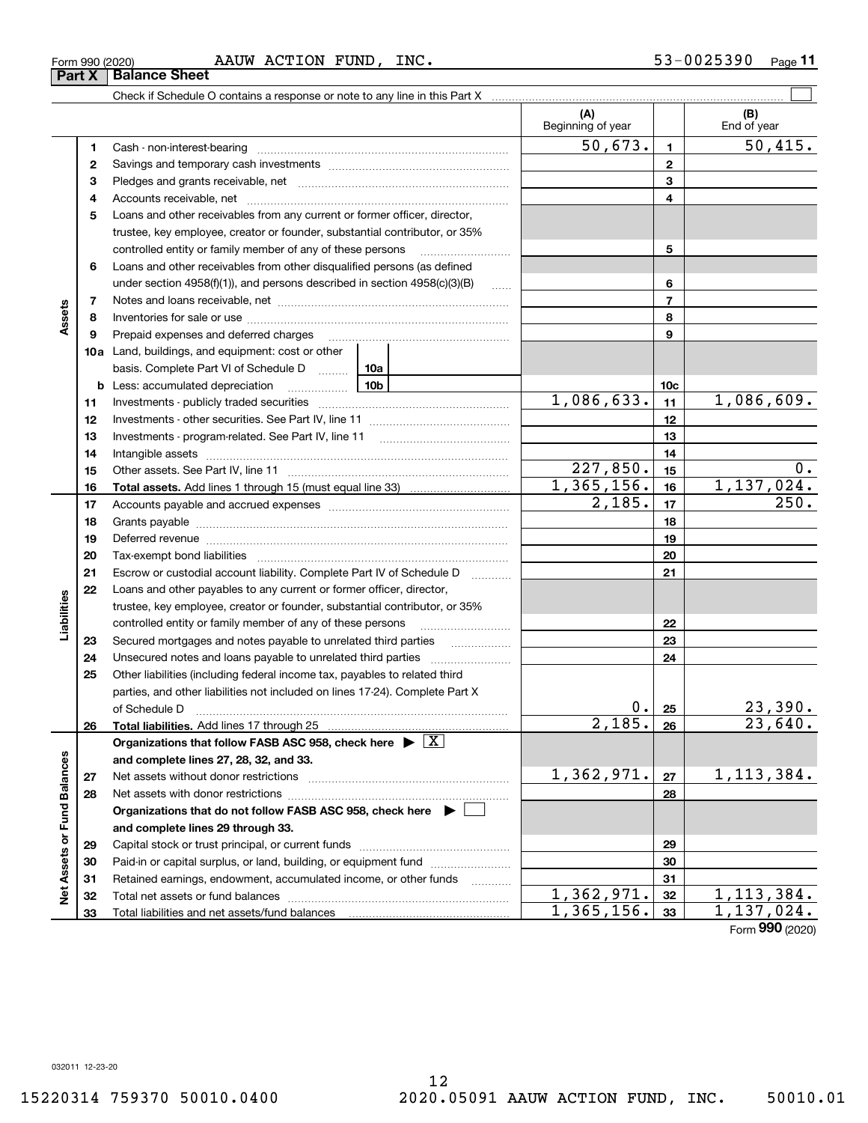**Liabilities**

Liabilities

**Net Assets or Fund Balances**

Net Assets or Fund Balances

# Check if Schedule O contains a response or note to any line in this Part X

| 1  |                                                                                       | 50,673.    | 1              | 50,415.        |
|----|---------------------------------------------------------------------------------------|------------|----------------|----------------|
| 2  |                                                                                       |            | $\mathbf{2}$   |                |
| з  |                                                                                       |            | 3              |                |
| 4  |                                                                                       |            | 4              |                |
| 5  | Loans and other receivables from any current or former officer, director,             |            |                |                |
|    | trustee, key employee, creator or founder, substantial contributor, or 35%            |            |                |                |
|    | controlled entity or family member of any of these persons                            |            | 5              |                |
| 6  | Loans and other receivables from other disqualified persons (as defined               |            |                |                |
|    | under section $4958(f)(1)$ , and persons described in section $4958(c)(3)(B)$         | $\ldots$   | 6              |                |
| 7  |                                                                                       |            | $\overline{7}$ |                |
| 8  |                                                                                       |            | 8              |                |
| 9  | Prepaid expenses and deferred charges                                                 |            | 9              |                |
|    | <b>10a</b> Land, buildings, and equipment: cost or other                              |            |                |                |
|    | basis. Complete Part VI of Schedule D  10a                                            |            |                |                |
| b  | <u>10b</u><br>Less: accumulated depreciation                                          |            | 10c            |                |
| 11 |                                                                                       | 1,086,633. | 11             | 1,086,609.     |
| 12 |                                                                                       |            | 12             |                |
| 13 |                                                                                       |            | 13             |                |
| 14 |                                                                                       |            | 14             |                |
| 15 |                                                                                       | 227,850.   | 15             | 0.             |
| 16 |                                                                                       | 1,365,156. | 16             | 1,137,024.     |
| 17 |                                                                                       | 2,185.     | 17             | 250.           |
| 18 |                                                                                       |            | 18             |                |
| 19 |                                                                                       |            | 19             |                |
| 20 |                                                                                       |            | 20             |                |
| 21 | Escrow or custodial account liability. Complete Part IV of Schedule D<br>$\cdots$     |            | 21             |                |
| 22 | Loans and other payables to any current or former officer, director,                  |            |                |                |
|    | trustee, key employee, creator or founder, substantial contributor, or 35%            |            |                |                |
|    | controlled entity or family member of any of these persons                            |            | 22             |                |
| 23 |                                                                                       |            | 23             |                |
| 24 | Unsecured notes and loans payable to unrelated third parties                          |            | 24             |                |
| 25 | Other liabilities (including federal income tax, payables to related third            |            |                |                |
|    | parties, and other liabilities not included on lines 17-24). Complete Part X          |            |                |                |
|    | of Schedule D                                                                         | $0$ .      | 25             | <u>23,390.</u> |
| 26 |                                                                                       | 2,185.     | 26             | 23,640.        |
|    | Organizations that follow FASB ASC 958, check here $\triangleright \lfloor X \rfloor$ |            |                |                |
|    | and complete lines 27, 28, 32, and 33.                                                |            |                |                |
| 27 |                                                                                       | 1,362,971. | 27             | 1,113,384.     |
| 28 |                                                                                       |            | 28             |                |
|    | Organizations that do not follow FASB ASC 958, check here $\blacktriangleright$       |            |                |                |
|    | and complete lines 29 through 33.                                                     |            |                |                |
| 29 |                                                                                       |            | 29             |                |
| 30 | Paid-in or capital surplus, or land, building, or equipment fund                      |            | 30             |                |
| 31 | Retained earnings, endowment, accumulated income, or other funds                      |            | 31             |                |
| 32 |                                                                                       | 1,362,971. | 32             | 1, 113, 384.   |
| 33 |                                                                                       | 1,365,156. | 33             | 1,137,024.     |

Form 990 (2020) Page AAUW ACTION FUND, INC. 53-0025390 **11**

(B)<br>End of year

 $\mathcal{L}^{\text{max}}$ 

**(A) (B)**

Beginning of year | | End of year

Form (2020) **990**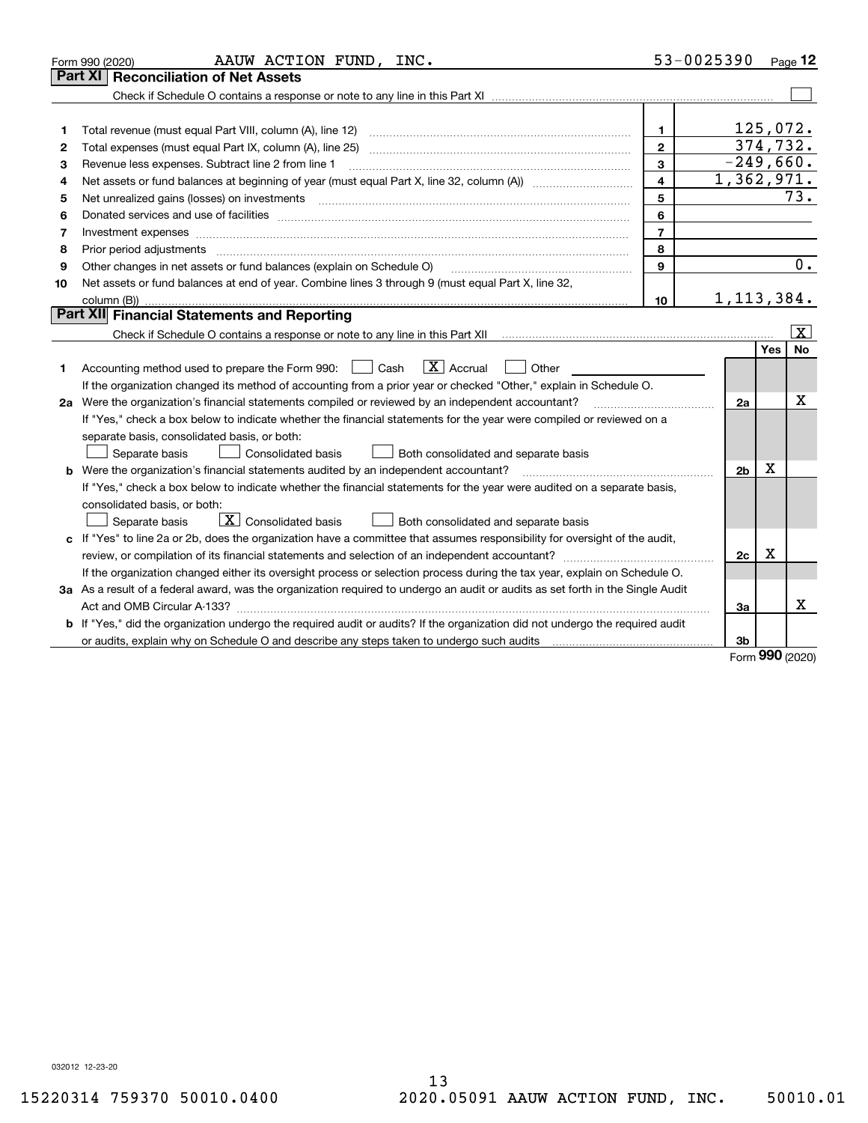|    | AAUW ACTION FUND, INC.<br>Form 990 (2020)                                                                                                                                                                                      |                | 53-0025390     |            | Page 12                 |
|----|--------------------------------------------------------------------------------------------------------------------------------------------------------------------------------------------------------------------------------|----------------|----------------|------------|-------------------------|
|    | <b>Reconciliation of Net Assets</b><br>Part XI                                                                                                                                                                                 |                |                |            |                         |
|    |                                                                                                                                                                                                                                |                |                |            |                         |
|    |                                                                                                                                                                                                                                |                |                |            |                         |
| 1  | Total revenue (must equal Part VIII, column (A), line 12)                                                                                                                                                                      | $\mathbf{1}$   | 125,072.       |            |                         |
| 2  |                                                                                                                                                                                                                                | $\mathbf{2}$   |                |            | 374,732.                |
| 3  | Revenue less expenses. Subtract line 2 from line 1                                                                                                                                                                             | 3              | $-249,660.$    |            |                         |
| 4  |                                                                                                                                                                                                                                | 4              | 1,362,971.     |            |                         |
| 5  | Net unrealized gains (losses) on investments [11] matter continuum matter is a set of the set of the set of the                                                                                                                | 5              |                |            | 73.                     |
| 6  | Donated services and use of facilities [111] matter contracts and the service of facilities [11] matter contracts and use of facilities [11] matter contracts and the service of facilities [11] matter contracts and the serv | 6              |                |            |                         |
| 7  | Investment expenses www.communication.communication.com/www.communication.com/www.communication.com                                                                                                                            | $\overline{7}$ |                |            |                         |
| 8  | Prior period adjustments                                                                                                                                                                                                       | 8              |                |            |                         |
| 9  | Other changes in net assets or fund balances (explain on Schedule O)                                                                                                                                                           | $\mathbf{Q}$   |                |            | 0.                      |
| 10 | Net assets or fund balances at end of year. Combine lines 3 through 9 (must equal Part X, line 32,                                                                                                                             |                |                |            |                         |
|    |                                                                                                                                                                                                                                | 10             | 1, 113, 384.   |            |                         |
|    | Part XII Financial Statements and Reporting                                                                                                                                                                                    |                |                |            |                         |
|    |                                                                                                                                                                                                                                |                |                |            | $\overline{\mathbf{X}}$ |
|    |                                                                                                                                                                                                                                |                |                | Yes        | No                      |
| 1  | $\boxed{\mathbf{X}}$ Accrual<br>Accounting method used to prepare the Form 990: <u>I</u> Cash<br>Other                                                                                                                         |                |                |            |                         |
|    | If the organization changed its method of accounting from a prior year or checked "Other," explain in Schedule O.                                                                                                              |                |                |            |                         |
|    | 2a Were the organization's financial statements compiled or reviewed by an independent accountant?                                                                                                                             |                | 2a             |            | x                       |
|    | If "Yes," check a box below to indicate whether the financial statements for the year were compiled or reviewed on a                                                                                                           |                |                |            |                         |
|    | separate basis, consolidated basis, or both:                                                                                                                                                                                   |                |                |            |                         |
|    | Separate basis<br>Consolidated basis<br>Both consolidated and separate basis                                                                                                                                                   |                |                |            |                         |
|    | <b>b</b> Were the organization's financial statements audited by an independent accountant?                                                                                                                                    |                | 2 <sub>b</sub> | Х          |                         |
|    | If "Yes," check a box below to indicate whether the financial statements for the year were audited on a separate basis,                                                                                                        |                |                |            |                         |
|    | consolidated basis, or both:                                                                                                                                                                                                   |                |                |            |                         |
|    | $\overline{X}$ Consolidated basis<br>Both consolidated and separate basis<br>Separate basis                                                                                                                                    |                |                |            |                         |
|    | c If "Yes" to line 2a or 2b, does the organization have a committee that assumes responsibility for oversight of the audit,                                                                                                    |                |                |            |                         |
|    |                                                                                                                                                                                                                                |                | 2c             | х          |                         |
|    | If the organization changed either its oversight process or selection process during the tax year, explain on Schedule O.                                                                                                      |                |                |            |                         |
|    | 3a As a result of a federal award, was the organization required to undergo an audit or audits as set forth in the Single Audit                                                                                                |                |                |            |                         |
|    |                                                                                                                                                                                                                                |                | Зa             |            | х                       |
|    | b If "Yes," did the organization undergo the required audit or audits? If the organization did not undergo the required audit                                                                                                  |                |                |            |                         |
|    | or audits, explain why on Schedule O and describe any steps taken to undergo such audits [11] outcome manuscrimon                                                                                                              |                | 3b             | <u>nnn</u> |                         |

Form (2020) **990**

032012 12-23-20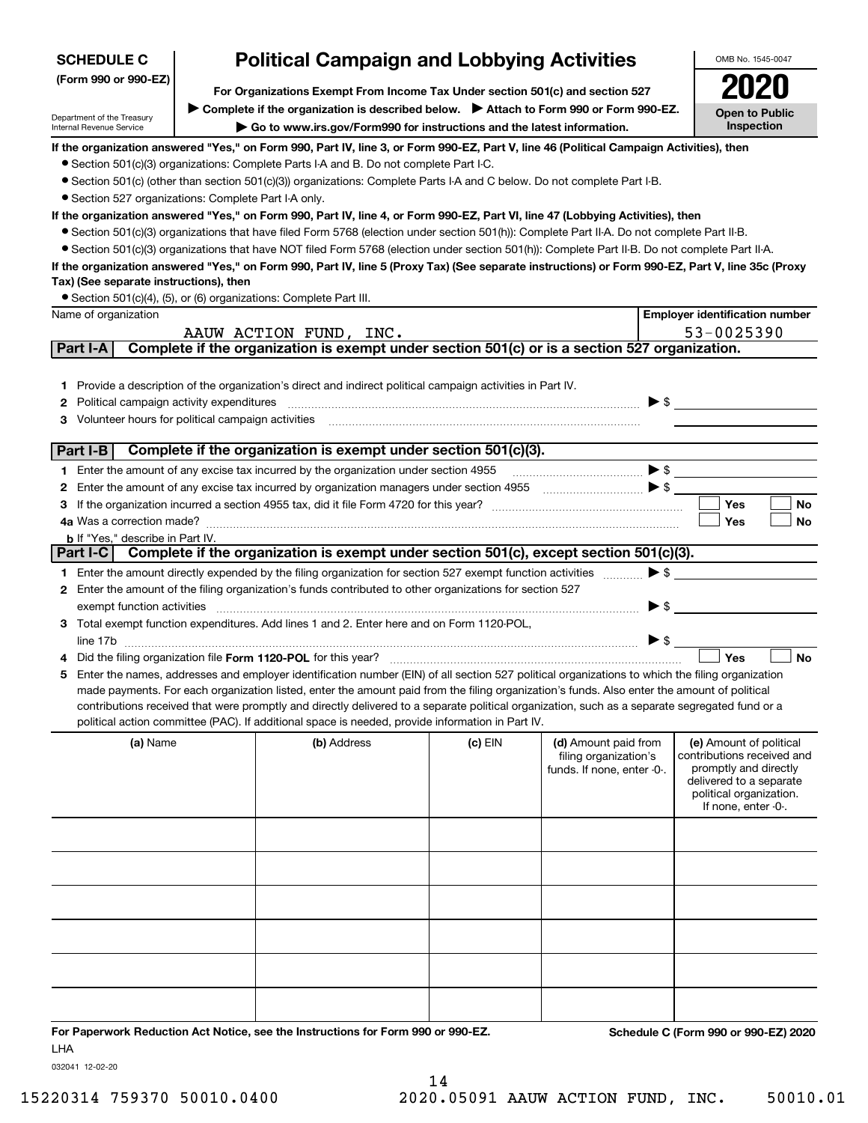| <b>SCHEDULE C</b>                                                  | <b>Political Campaign and Lobbying Activities</b>                                                                                                                                                                                                                                                   |           |                            |                          | OMB No. 1545-0047                                |
|--------------------------------------------------------------------|-----------------------------------------------------------------------------------------------------------------------------------------------------------------------------------------------------------------------------------------------------------------------------------------------------|-----------|----------------------------|--------------------------|--------------------------------------------------|
| (Form 990 or 990-EZ)                                               | For Organizations Exempt From Income Tax Under section 501(c) and section 527                                                                                                                                                                                                                       |           |                            |                          |                                                  |
|                                                                    | ▶ Complete if the organization is described below. ▶ Attach to Form 990 or Form 990-EZ.                                                                                                                                                                                                             |           |                            |                          |                                                  |
| Department of the Treasury<br>Internal Revenue Service             | Go to www.irs.gov/Form990 for instructions and the latest information.                                                                                                                                                                                                                              |           |                            |                          | <b>Open to Public</b><br>Inspection              |
|                                                                    | If the organization answered "Yes," on Form 990, Part IV, line 3, or Form 990-EZ, Part V, line 46 (Political Campaign Activities), then                                                                                                                                                             |           |                            |                          |                                                  |
|                                                                    | • Section 501(c)(3) organizations: Complete Parts I-A and B. Do not complete Part I-C.                                                                                                                                                                                                              |           |                            |                          |                                                  |
|                                                                    | ● Section 501(c) (other than section 501(c)(3)) organizations: Complete Parts I-A and C below. Do not complete Part I-B.                                                                                                                                                                            |           |                            |                          |                                                  |
| • Section 527 organizations: Complete Part I-A only.               |                                                                                                                                                                                                                                                                                                     |           |                            |                          |                                                  |
|                                                                    | If the organization answered "Yes," on Form 990, Part IV, line 4, or Form 990-EZ, Part VI, line 47 (Lobbying Activities), then                                                                                                                                                                      |           |                            |                          |                                                  |
|                                                                    | • Section 501(c)(3) organizations that have filed Form 5768 (election under section 501(h)): Complete Part II-A. Do not complete Part II-B.                                                                                                                                                         |           |                            |                          |                                                  |
|                                                                    | • Section 501(c)(3) organizations that have NOT filed Form 5768 (election under section 501(h)): Complete Part II-B. Do not complete Part II-A.<br>If the organization answered "Yes," on Form 990, Part IV, line 5 (Proxy Tax) (See separate instructions) or Form 990-EZ, Part V, line 35c (Proxy |           |                            |                          |                                                  |
| Tax) (See separate instructions), then                             |                                                                                                                                                                                                                                                                                                     |           |                            |                          |                                                  |
| • Section 501(c)(4), (5), or (6) organizations: Complete Part III. |                                                                                                                                                                                                                                                                                                     |           |                            |                          |                                                  |
| Name of organization                                               |                                                                                                                                                                                                                                                                                                     |           |                            |                          | <b>Employer identification number</b>            |
|                                                                    | AAUW ACTION FUND, INC.                                                                                                                                                                                                                                                                              |           |                            |                          | 53-0025390                                       |
| Part I-A                                                           | Complete if the organization is exempt under section 501(c) or is a section 527 organization.                                                                                                                                                                                                       |           |                            |                          |                                                  |
|                                                                    |                                                                                                                                                                                                                                                                                                     |           |                            |                          |                                                  |
| 1.                                                                 | Provide a description of the organization's direct and indirect political campaign activities in Part IV.                                                                                                                                                                                           |           |                            |                          |                                                  |
| Political campaign activity expenditures<br>2                      |                                                                                                                                                                                                                                                                                                     |           |                            | $\blacktriangleright$ \$ |                                                  |
| Volunteer hours for political campaign activities<br>З             |                                                                                                                                                                                                                                                                                                     |           |                            |                          |                                                  |
| Part I-B                                                           | Complete if the organization is exempt under section 501(c)(3).                                                                                                                                                                                                                                     |           |                            |                          |                                                  |
|                                                                    |                                                                                                                                                                                                                                                                                                     |           |                            | $\blacktriangleright$ \$ |                                                  |
| 2                                                                  | 1 Enter the amount of any excise tax incurred by the organization under section 4955                                                                                                                                                                                                                |           |                            |                          |                                                  |
| З                                                                  |                                                                                                                                                                                                                                                                                                     |           |                            |                          | Yes<br>No                                        |
|                                                                    |                                                                                                                                                                                                                                                                                                     |           |                            |                          | Yes<br>No                                        |
| <b>b</b> If "Yes," describe in Part IV.                            |                                                                                                                                                                                                                                                                                                     |           |                            |                          |                                                  |
| Part I-C                                                           | Complete if the organization is exempt under section 501(c), except section 501(c)(3).                                                                                                                                                                                                              |           |                            |                          |                                                  |
|                                                                    | 1 Enter the amount directly expended by the filing organization for section 527 exempt function activities                                                                                                                                                                                          |           |                            | $\blacktriangleright$ \$ |                                                  |
|                                                                    | 2 Enter the amount of the filing organization's funds contributed to other organizations for section 527                                                                                                                                                                                            |           |                            |                          |                                                  |
| exempt function activities                                         |                                                                                                                                                                                                                                                                                                     |           |                            | $\blacktriangleright$ \$ |                                                  |
|                                                                    | 3 Total exempt function expenditures. Add lines 1 and 2. Enter here and on Form 1120-POL,                                                                                                                                                                                                           |           |                            |                          |                                                  |
|                                                                    |                                                                                                                                                                                                                                                                                                     |           |                            | $\blacktriangleright$ \$ |                                                  |
|                                                                    | Did the filing organization file Form 1120-POL for this year?                                                                                                                                                                                                                                       |           |                            |                          | Yes<br><b>No</b>                                 |
| 5.                                                                 | Enter the names, addresses and employer identification number (EIN) of all section 527 political organizations to which the filing organization<br>made payments. For each organization listed, enter the amount paid from the filing organization's funds. Also enter the amount of political      |           |                            |                          |                                                  |
|                                                                    | contributions received that were promptly and directly delivered to a separate political organization, such as a separate segregated fund or a                                                                                                                                                      |           |                            |                          |                                                  |
|                                                                    | political action committee (PAC). If additional space is needed, provide information in Part IV.                                                                                                                                                                                                    |           |                            |                          |                                                  |
| (a) Name                                                           | (b) Address                                                                                                                                                                                                                                                                                         | $(c)$ EIN | (d) Amount paid from       |                          | (e) Amount of political                          |
|                                                                    |                                                                                                                                                                                                                                                                                                     |           | filing organization's      |                          | contributions received and                       |
|                                                                    |                                                                                                                                                                                                                                                                                                     |           | funds. If none, enter -0-. |                          | promptly and directly<br>delivered to a separate |
|                                                                    |                                                                                                                                                                                                                                                                                                     |           |                            |                          | political organization.                          |
|                                                                    |                                                                                                                                                                                                                                                                                                     |           |                            |                          | If none, enter -0-.                              |
|                                                                    |                                                                                                                                                                                                                                                                                                     |           |                            |                          |                                                  |
|                                                                    |                                                                                                                                                                                                                                                                                                     |           |                            |                          |                                                  |
|                                                                    |                                                                                                                                                                                                                                                                                                     |           |                            |                          |                                                  |
|                                                                    |                                                                                                                                                                                                                                                                                                     |           |                            |                          |                                                  |
|                                                                    |                                                                                                                                                                                                                                                                                                     |           |                            |                          |                                                  |
|                                                                    |                                                                                                                                                                                                                                                                                                     |           |                            |                          |                                                  |
|                                                                    |                                                                                                                                                                                                                                                                                                     |           |                            |                          |                                                  |
|                                                                    |                                                                                                                                                                                                                                                                                                     |           |                            |                          |                                                  |
|                                                                    |                                                                                                                                                                                                                                                                                                     |           |                            |                          |                                                  |
|                                                                    |                                                                                                                                                                                                                                                                                                     |           |                            |                          |                                                  |
|                                                                    |                                                                                                                                                                                                                                                                                                     |           |                            |                          |                                                  |
| <b>LHA</b>                                                         | For Paperwork Reduction Act Notice, see the Instructions for Form 990 or 990-EZ.                                                                                                                                                                                                                    |           |                            |                          | Schedule C (Form 990 or 990-EZ) 2020             |

032041 12-02-20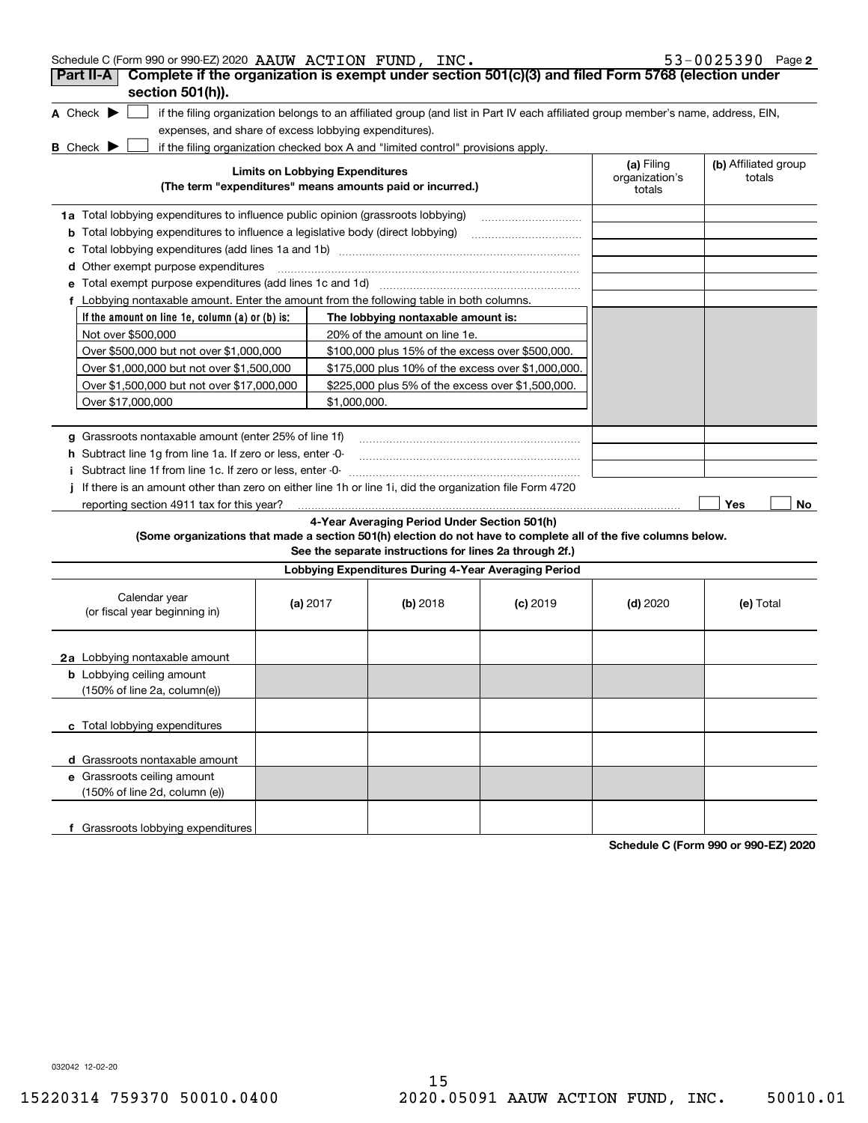| Schedule C (Form 990 or 990-EZ) 2020 AAUW ACTION FUND, INC.                                                                                                        |                                                                                                     |  |                                                                                                         |            |            | 53-0025390 Page 2 |  |  |  |
|--------------------------------------------------------------------------------------------------------------------------------------------------------------------|-----------------------------------------------------------------------------------------------------|--|---------------------------------------------------------------------------------------------------------|------------|------------|-------------------|--|--|--|
| Complete if the organization is exempt under section 501(c)(3) and filed Form 5768 (election under<br>Part II-A                                                    |                                                                                                     |  |                                                                                                         |            |            |                   |  |  |  |
| section 501(h)).                                                                                                                                                   |                                                                                                     |  |                                                                                                         |            |            |                   |  |  |  |
| A Check $\blacktriangleright$<br>if the filing organization belongs to an affiliated group (and list in Part IV each affiliated group member's name, address, EIN, |                                                                                                     |  |                                                                                                         |            |            |                   |  |  |  |
| expenses, and share of excess lobbying expenditures).                                                                                                              |                                                                                                     |  |                                                                                                         |            |            |                   |  |  |  |
| <b>B</b> Check $\blacktriangleright$                                                                                                                               |                                                                                                     |  | if the filing organization checked box A and "limited control" provisions apply.                        |            |            |                   |  |  |  |
|                                                                                                                                                                    | <b>Limits on Lobbying Expenditures</b><br>(The term "expenditures" means amounts paid or incurred.) |  |                                                                                                         |            |            |                   |  |  |  |
| <b>1a</b> Total lobbying expenditures to influence public opinion (grassroots lobbying)                                                                            |                                                                                                     |  |                                                                                                         |            |            |                   |  |  |  |
| <b>b</b> Total lobbying expenditures to influence a legislative body (direct lobbying)                                                                             |                                                                                                     |  |                                                                                                         |            |            |                   |  |  |  |
|                                                                                                                                                                    |                                                                                                     |  |                                                                                                         |            |            |                   |  |  |  |
| <b>d</b> Other exempt purpose expenditures                                                                                                                         |                                                                                                     |  |                                                                                                         |            |            |                   |  |  |  |
| e Total exempt purpose expenditures (add lines 1c and 1d)                                                                                                          |                                                                                                     |  |                                                                                                         |            |            |                   |  |  |  |
| f Lobbying nontaxable amount. Enter the amount from the following table in both columns.                                                                           |                                                                                                     |  |                                                                                                         |            |            |                   |  |  |  |
| If the amount on line 1e, column (a) or (b) is:                                                                                                                    |                                                                                                     |  | The lobbying nontaxable amount is:                                                                      |            |            |                   |  |  |  |
| Not over \$500,000                                                                                                                                                 |                                                                                                     |  | 20% of the amount on line 1e.                                                                           |            |            |                   |  |  |  |
| Over \$500,000 but not over \$1,000,000                                                                                                                            |                                                                                                     |  | \$100,000 plus 15% of the excess over \$500,000.                                                        |            |            |                   |  |  |  |
| Over \$1,000,000 but not over \$1,500,000                                                                                                                          |                                                                                                     |  | \$175,000 plus 10% of the excess over \$1,000,000.                                                      |            |            |                   |  |  |  |
| Over \$1,500,000 but not over \$17,000,000<br>\$225,000 plus 5% of the excess over \$1,500,000.                                                                    |                                                                                                     |  |                                                                                                         |            |            |                   |  |  |  |
| Over \$17,000,000<br>\$1,000,000.                                                                                                                                  |                                                                                                     |  |                                                                                                         |            |            |                   |  |  |  |
|                                                                                                                                                                    |                                                                                                     |  |                                                                                                         |            |            |                   |  |  |  |
| g Grassroots nontaxable amount (enter 25% of line 1f)                                                                                                              |                                                                                                     |  |                                                                                                         |            |            |                   |  |  |  |
| h Subtract line 1g from line 1a. If zero or less, enter -0-                                                                                                        |                                                                                                     |  |                                                                                                         |            |            |                   |  |  |  |
| i Subtract line 1f from line 1c. If zero or less, enter -0-                                                                                                        |                                                                                                     |  |                                                                                                         |            |            |                   |  |  |  |
| j If there is an amount other than zero on either line 1h or line 1i, did the organization file Form 4720                                                          |                                                                                                     |  |                                                                                                         |            |            |                   |  |  |  |
| reporting section 4911 tax for this year?                                                                                                                          |                                                                                                     |  |                                                                                                         |            |            | Yes<br>No         |  |  |  |
| (Some organizations that made a section 501(h) election do not have to complete all of the five columns below.                                                     |                                                                                                     |  | 4-Year Averaging Period Under Section 501(h)<br>See the separate instructions for lines 2a through 2f.) |            |            |                   |  |  |  |
|                                                                                                                                                                    |                                                                                                     |  | Lobbying Expenditures During 4-Year Averaging Period                                                    |            |            |                   |  |  |  |
| Calendar year<br>(or fiscal year beginning in)                                                                                                                     | (a) $2017$                                                                                          |  | (b) 2018                                                                                                | $(c)$ 2019 | $(d)$ 2020 | (e) Total         |  |  |  |
| 2a Lobbying nontaxable amount                                                                                                                                      |                                                                                                     |  |                                                                                                         |            |            |                   |  |  |  |
| <b>b</b> Lobbying ceiling amount<br>$(150\% \text{ of line } 2a, \text{ column}(e))$                                                                               |                                                                                                     |  |                                                                                                         |            |            |                   |  |  |  |
| c Total lobbying expenditures                                                                                                                                      |                                                                                                     |  |                                                                                                         |            |            |                   |  |  |  |
| d Grassroots nontaxable amount                                                                                                                                     |                                                                                                     |  |                                                                                                         |            |            |                   |  |  |  |
| e Grassroots ceiling amount                                                                                                                                        |                                                                                                     |  |                                                                                                         |            |            |                   |  |  |  |
| (150% of line 2d, column (e))                                                                                                                                      |                                                                                                     |  |                                                                                                         |            |            |                   |  |  |  |
| f Grassroots lobbying expenditures                                                                                                                                 |                                                                                                     |  |                                                                                                         |            |            |                   |  |  |  |

**Schedule C (Form 990 or 990-EZ) 2020**

032042 12-02-20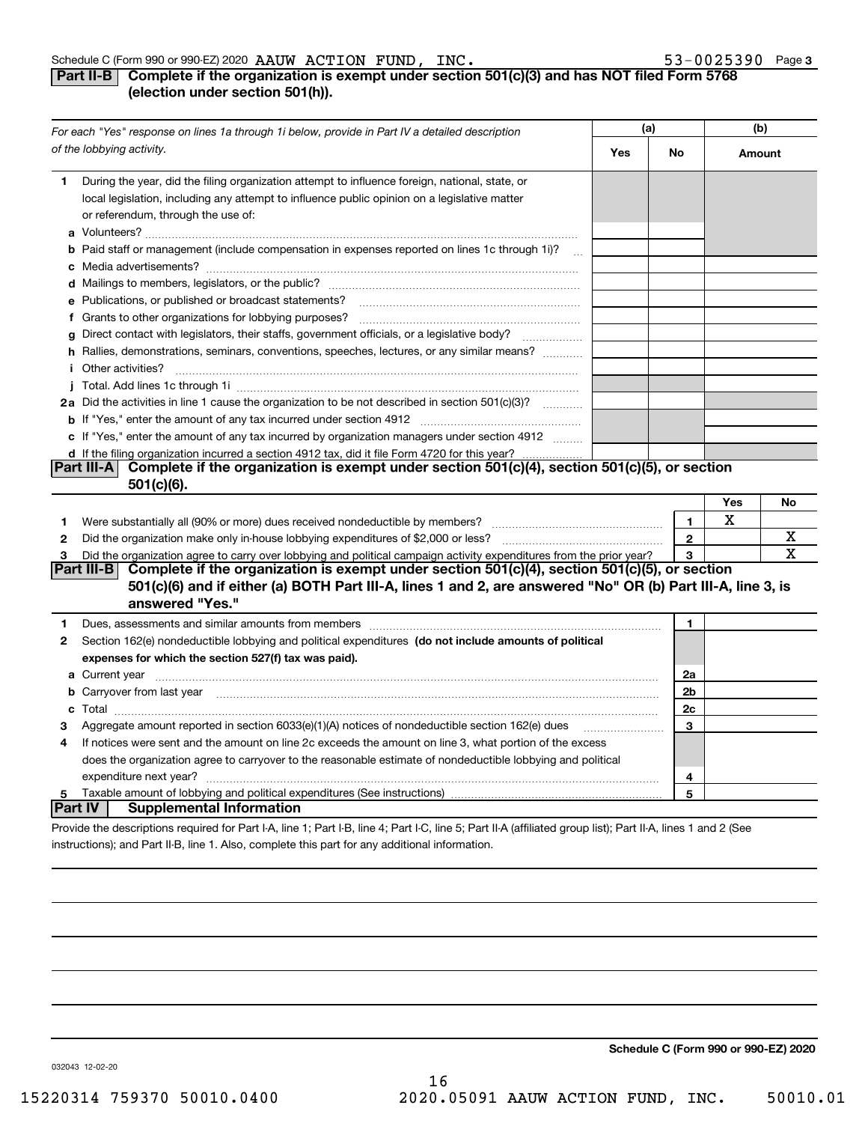### **3**

### **Part II-B** Complete if the organization is exempt under section 501(c)(3) and has NOT filed Form 5768 **(election under section 501(h)).**

|                | For each "Yes" response on lines 1a through 1i below, provide in Part IV a detailed description                                                                                                                                           |     | (a)                     |        | (b) |  |
|----------------|-------------------------------------------------------------------------------------------------------------------------------------------------------------------------------------------------------------------------------------------|-----|-------------------------|--------|-----|--|
|                | of the lobbying activity.                                                                                                                                                                                                                 | Yes | No                      | Amount |     |  |
| 1              | During the year, did the filing organization attempt to influence foreign, national, state, or<br>local legislation, including any attempt to influence public opinion on a legislative matter<br>or referendum, through the use of:      |     |                         |        |     |  |
|                | <b>b</b> Paid staff or management (include compensation in expenses reported on lines 1c through 1i)?<br>$\sim$                                                                                                                           |     |                         |        |     |  |
|                |                                                                                                                                                                                                                                           |     |                         |        |     |  |
|                | e Publications, or published or broadcast statements?                                                                                                                                                                                     |     |                         |        |     |  |
|                |                                                                                                                                                                                                                                           |     |                         |        |     |  |
|                | g Direct contact with legislators, their staffs, government officials, or a legislative body?                                                                                                                                             |     |                         |        |     |  |
|                | h Rallies, demonstrations, seminars, conventions, speeches, lectures, or any similar means?                                                                                                                                               |     |                         |        |     |  |
|                | <i>i</i> Other activities?                                                                                                                                                                                                                |     |                         |        |     |  |
|                |                                                                                                                                                                                                                                           |     |                         |        |     |  |
|                | 2a Did the activities in line 1 cause the organization to be not described in section 501(c)(3)?                                                                                                                                          |     |                         |        |     |  |
|                | <b>b</b> If "Yes," enter the amount of any tax incurred under section 4912                                                                                                                                                                |     |                         |        |     |  |
|                | c If "Yes," enter the amount of any tax incurred by organization managers under section 4912<br>d If the filing organization incurred a section 4912 tax, did it file Form 4720 for this year?                                            |     |                         |        |     |  |
|                | Part III-A Complete if the organization is exempt under section 501(c)(4), section 501(c)(5), or section<br>501(c)(6).                                                                                                                    |     |                         | Yes    | No  |  |
|                |                                                                                                                                                                                                                                           |     |                         | х      |     |  |
| 1              | Were substantially all (90% or more) dues received nondeductible by members?                                                                                                                                                              |     | $\mathbf{1}$<br>$\bf 2$ |        | х   |  |
| $\mathbf{2}$   |                                                                                                                                                                                                                                           |     | 3                       |        | х   |  |
| 3              | Did the organization agree to carry over lobbying and political campaign activity expenditures from the prior year?<br>Complete if the organization is exempt under section 501(c)(4), section 501(c)(5), or section<br>Part III-B        |     |                         |        |     |  |
|                | 501(c)(6) and if either (a) BOTH Part III-A, lines 1 and 2, are answered "No" OR (b) Part III-A, line 3, is<br>answered "Yes."                                                                                                            |     |                         |        |     |  |
| 1              |                                                                                                                                                                                                                                           |     | 1                       |        |     |  |
| 2              | Section 162(e) nondeductible lobbying and political expenditures (do not include amounts of political                                                                                                                                     |     |                         |        |     |  |
|                | expenses for which the section 527(f) tax was paid).                                                                                                                                                                                      |     |                         |        |     |  |
|                |                                                                                                                                                                                                                                           |     | 2a                      |        |     |  |
|                | <b>b</b> Carryover from last year <i>maching machine content to content to the content of the content of the content of the content of the content of the content of the content of the content of the content of the content of the </i> |     | 2b                      |        |     |  |
|                |                                                                                                                                                                                                                                           |     | 2c                      |        |     |  |
| з              | Aggregate amount reported in section 6033(e)(1)(A) notices of nondeductible section 162(e) dues                                                                                                                                           |     | 3                       |        |     |  |
| 4              | If notices were sent and the amount on line 2c exceeds the amount on line 3, what portion of the excess                                                                                                                                   |     |                         |        |     |  |
|                | does the organization agree to carryover to the reasonable estimate of nondeductible lobbying and political                                                                                                                               |     |                         |        |     |  |
|                |                                                                                                                                                                                                                                           |     | $\overline{4}$          |        |     |  |
| 5              |                                                                                                                                                                                                                                           |     | 5                       |        |     |  |
| <b>Part IV</b> | <b>Supplemental Information</b>                                                                                                                                                                                                           |     |                         |        |     |  |
|                | Provide the descriptions required for Part I-A, line 1; Part I-B, line 4; Part I-C, line 5; Part II-A (affiliated group list); Part II-A, lines 1 and 2 (See                                                                              |     |                         |        |     |  |

instructions); and Part II-B, line 1. Also, complete this part for any additional information.

**Schedule C (Form 990 or 990-EZ) 2020**

032043 12-02-20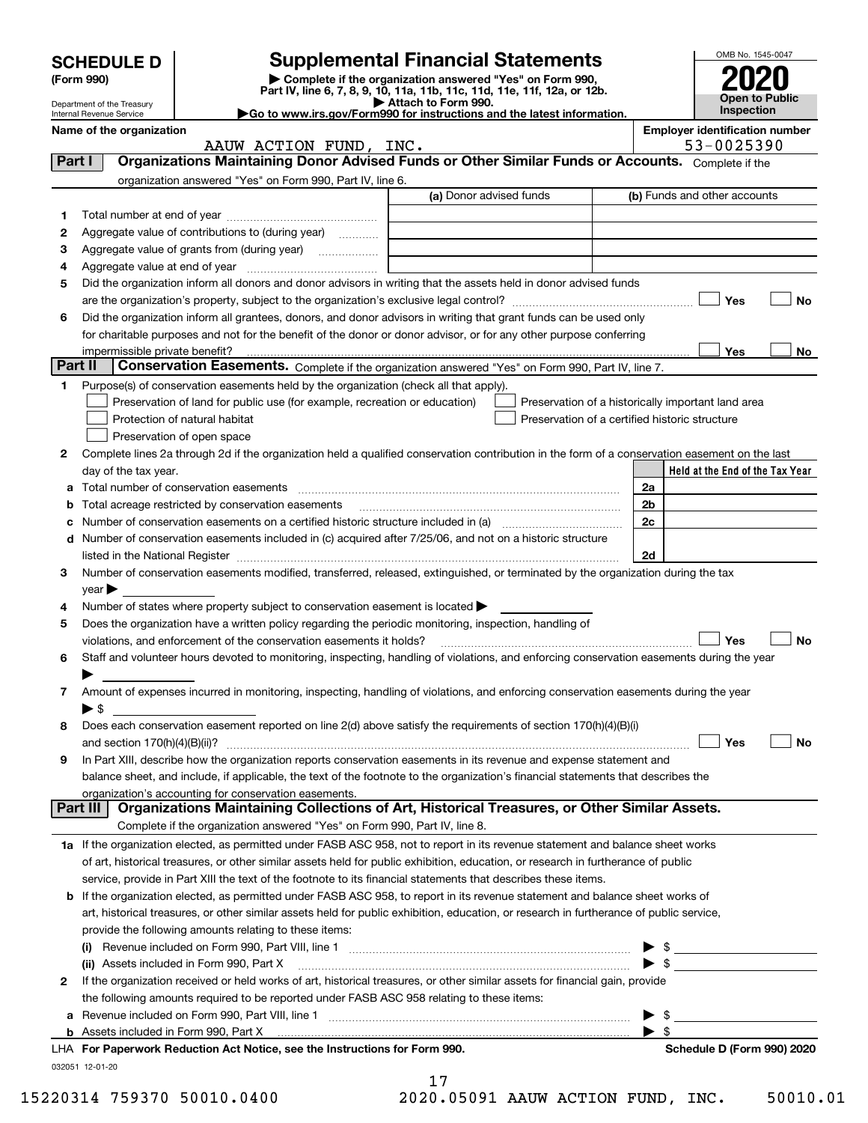|         | <b>SCHEDULE D</b>                                                                                                                |                                                                                                                                                                                                                              | <b>Supplemental Financial Statements</b>                                                        |                                                | OMB No. 1545-0047                                   |  |  |  |  |
|---------|----------------------------------------------------------------------------------------------------------------------------------|------------------------------------------------------------------------------------------------------------------------------------------------------------------------------------------------------------------------------|-------------------------------------------------------------------------------------------------|------------------------------------------------|-----------------------------------------------------|--|--|--|--|
|         | (Form 990)                                                                                                                       |                                                                                                                                                                                                                              | Complete if the organization answered "Yes" on Form 990,                                        |                                                |                                                     |  |  |  |  |
|         | Department of the Treasury                                                                                                       |                                                                                                                                                                                                                              | Part IV, line 6, 7, 8, 9, 10, 11a, 11b, 11c, 11d, 11e, 11f, 12a, or 12b.<br>Attach to Form 990. |                                                | Open to Public                                      |  |  |  |  |
|         | Internal Revenue Service                                                                                                         |                                                                                                                                                                                                                              | Go to www.irs.gov/Form990 for instructions and the latest information.                          |                                                | <b>Inspection</b>                                   |  |  |  |  |
|         | Name of the organization                                                                                                         | AAUW ACTION FUND, INC.                                                                                                                                                                                                       |                                                                                                 |                                                | <b>Employer identification number</b><br>53-0025390 |  |  |  |  |
| Part I  |                                                                                                                                  | Organizations Maintaining Donor Advised Funds or Other Similar Funds or Accounts. Complete if the                                                                                                                            |                                                                                                 |                                                |                                                     |  |  |  |  |
|         |                                                                                                                                  | organization answered "Yes" on Form 990, Part IV, line 6.                                                                                                                                                                    |                                                                                                 |                                                |                                                     |  |  |  |  |
|         |                                                                                                                                  |                                                                                                                                                                                                                              | (a) Donor advised funds                                                                         |                                                | (b) Funds and other accounts                        |  |  |  |  |
| 1       |                                                                                                                                  |                                                                                                                                                                                                                              |                                                                                                 |                                                |                                                     |  |  |  |  |
| 2       |                                                                                                                                  | Aggregate value of contributions to (during year)                                                                                                                                                                            |                                                                                                 |                                                |                                                     |  |  |  |  |
| З       |                                                                                                                                  |                                                                                                                                                                                                                              | <u> 1980 - Johann Barn, amerikansk politiker (d. 1980)</u>                                      |                                                |                                                     |  |  |  |  |
| 4       |                                                                                                                                  |                                                                                                                                                                                                                              |                                                                                                 |                                                |                                                     |  |  |  |  |
| 5       |                                                                                                                                  | Did the organization inform all donors and donor advisors in writing that the assets held in donor advised funds                                                                                                             |                                                                                                 |                                                | Yes<br>No                                           |  |  |  |  |
|         | Did the organization inform all grantees, donors, and donor advisors in writing that grant funds can be used only                |                                                                                                                                                                                                                              |                                                                                                 |                                                |                                                     |  |  |  |  |
| 6       |                                                                                                                                  | for charitable purposes and not for the benefit of the donor or donor advisor, or for any other purpose conferring                                                                                                           |                                                                                                 |                                                |                                                     |  |  |  |  |
|         | impermissible private benefit?                                                                                                   |                                                                                                                                                                                                                              |                                                                                                 |                                                | <b>Yes</b><br>No.                                   |  |  |  |  |
| Part II |                                                                                                                                  | Conservation Easements. Complete if the organization answered "Yes" on Form 990, Part IV, line 7.                                                                                                                            |                                                                                                 |                                                |                                                     |  |  |  |  |
| 1.      |                                                                                                                                  | Purpose(s) of conservation easements held by the organization (check all that apply).                                                                                                                                        |                                                                                                 |                                                |                                                     |  |  |  |  |
|         |                                                                                                                                  | Preservation of land for public use (for example, recreation or education)                                                                                                                                                   |                                                                                                 |                                                | Preservation of a historically important land area  |  |  |  |  |
|         |                                                                                                                                  | Protection of natural habitat                                                                                                                                                                                                |                                                                                                 | Preservation of a certified historic structure |                                                     |  |  |  |  |
|         |                                                                                                                                  | Preservation of open space                                                                                                                                                                                                   |                                                                                                 |                                                |                                                     |  |  |  |  |
| 2       |                                                                                                                                  | Complete lines 2a through 2d if the organization held a qualified conservation contribution in the form of a conservation easement on the last                                                                               |                                                                                                 |                                                |                                                     |  |  |  |  |
|         | day of the tax year.                                                                                                             |                                                                                                                                                                                                                              |                                                                                                 |                                                | Held at the End of the Tax Year                     |  |  |  |  |
| а       |                                                                                                                                  |                                                                                                                                                                                                                              |                                                                                                 | 2a                                             |                                                     |  |  |  |  |
| b       |                                                                                                                                  | Total acreage restricted by conservation easements                                                                                                                                                                           |                                                                                                 | 2 <sub>b</sub>                                 |                                                     |  |  |  |  |
| c       |                                                                                                                                  | Number of conservation easements on a certified historic structure included in (a) manufacture included in (a)<br>d Number of conservation easements included in (c) acquired after 7/25/06, and not on a historic structure |                                                                                                 | 2c                                             |                                                     |  |  |  |  |
|         |                                                                                                                                  |                                                                                                                                                                                                                              |                                                                                                 | 2d                                             |                                                     |  |  |  |  |
| З.      | Number of conservation easements modified, transferred, released, extinguished, or terminated by the organization during the tax |                                                                                                                                                                                                                              |                                                                                                 |                                                |                                                     |  |  |  |  |
|         | $\mathsf{year}$                                                                                                                  |                                                                                                                                                                                                                              |                                                                                                 |                                                |                                                     |  |  |  |  |
| 4       |                                                                                                                                  | Number of states where property subject to conservation easement is located >                                                                                                                                                |                                                                                                 |                                                |                                                     |  |  |  |  |
| 5       |                                                                                                                                  | Does the organization have a written policy regarding the periodic monitoring, inspection, handling of                                                                                                                       |                                                                                                 |                                                |                                                     |  |  |  |  |
|         |                                                                                                                                  | violations, and enforcement of the conservation easements it holds?                                                                                                                                                          |                                                                                                 |                                                | Yes<br>No                                           |  |  |  |  |
| 6       |                                                                                                                                  | Staff and volunteer hours devoted to monitoring, inspecting, handling of violations, and enforcing conservation easements during the year                                                                                    |                                                                                                 |                                                |                                                     |  |  |  |  |
|         |                                                                                                                                  |                                                                                                                                                                                                                              |                                                                                                 |                                                |                                                     |  |  |  |  |
| 7       |                                                                                                                                  | Amount of expenses incurred in monitoring, inspecting, handling of violations, and enforcing conservation easements during the year                                                                                          |                                                                                                 |                                                |                                                     |  |  |  |  |
| 8       | $\blacktriangleright$ \$                                                                                                         | Does each conservation easement reported on line 2(d) above satisfy the requirements of section 170(h)(4)(B)(i)                                                                                                              |                                                                                                 |                                                |                                                     |  |  |  |  |
|         |                                                                                                                                  |                                                                                                                                                                                                                              |                                                                                                 |                                                | Yes<br>No                                           |  |  |  |  |
| 9       |                                                                                                                                  | In Part XIII, describe how the organization reports conservation easements in its revenue and expense statement and                                                                                                          |                                                                                                 |                                                |                                                     |  |  |  |  |
|         |                                                                                                                                  | balance sheet, and include, if applicable, the text of the footnote to the organization's financial statements that describes the                                                                                            |                                                                                                 |                                                |                                                     |  |  |  |  |
|         |                                                                                                                                  | organization's accounting for conservation easements.                                                                                                                                                                        |                                                                                                 |                                                |                                                     |  |  |  |  |
|         | Part III                                                                                                                         | Organizations Maintaining Collections of Art, Historical Treasures, or Other Similar Assets.                                                                                                                                 |                                                                                                 |                                                |                                                     |  |  |  |  |
|         |                                                                                                                                  | Complete if the organization answered "Yes" on Form 990, Part IV, line 8.                                                                                                                                                    |                                                                                                 |                                                |                                                     |  |  |  |  |
|         |                                                                                                                                  | 1a If the organization elected, as permitted under FASB ASC 958, not to report in its revenue statement and balance sheet works                                                                                              |                                                                                                 |                                                |                                                     |  |  |  |  |
|         |                                                                                                                                  | of art, historical treasures, or other similar assets held for public exhibition, education, or research in furtherance of public                                                                                            |                                                                                                 |                                                |                                                     |  |  |  |  |
|         |                                                                                                                                  | service, provide in Part XIII the text of the footnote to its financial statements that describes these items.                                                                                                               |                                                                                                 |                                                |                                                     |  |  |  |  |
|         |                                                                                                                                  | <b>b</b> If the organization elected, as permitted under FASB ASC 958, to report in its revenue statement and balance sheet works of                                                                                         |                                                                                                 |                                                |                                                     |  |  |  |  |
|         |                                                                                                                                  | art, historical treasures, or other similar assets held for public exhibition, education, or research in furtherance of public service,<br>provide the following amounts relating to these items:                            |                                                                                                 |                                                |                                                     |  |  |  |  |
|         |                                                                                                                                  |                                                                                                                                                                                                                              |                                                                                                 | ▶                                              | $\frac{1}{2}$                                       |  |  |  |  |
|         |                                                                                                                                  |                                                                                                                                                                                                                              |                                                                                                 |                                                | $\triangleright$ \$                                 |  |  |  |  |
| 2       |                                                                                                                                  | If the organization received or held works of art, historical treasures, or other similar assets for financial gain, provide                                                                                                 |                                                                                                 |                                                |                                                     |  |  |  |  |
|         |                                                                                                                                  | the following amounts required to be reported under FASB ASC 958 relating to these items:                                                                                                                                    |                                                                                                 |                                                |                                                     |  |  |  |  |
| a       |                                                                                                                                  | Revenue included on Form 990, Part VIII, line 1 [2000] [2000] [2000] [2000] [3000] [3000] [3000] [3000] [3000                                                                                                                |                                                                                                 | -\$                                            | <u> 1980 - Johann Barbara, martxa alemaniar a</u>   |  |  |  |  |
|         |                                                                                                                                  |                                                                                                                                                                                                                              |                                                                                                 |                                                |                                                     |  |  |  |  |
|         |                                                                                                                                  | LHA For Paperwork Reduction Act Notice, see the Instructions for Form 990.                                                                                                                                                   |                                                                                                 |                                                | Schedule D (Form 990) 2020                          |  |  |  |  |
|         | 032051 12-01-20                                                                                                                  |                                                                                                                                                                                                                              | 17                                                                                              |                                                |                                                     |  |  |  |  |

15220314 759370 50010.0400 2020.05091 AAUW ACTION FUND, INC. 50010.01

|  |  |  |  | 20.05091 AATTW 2 |  |  |
|--|--|--|--|------------------|--|--|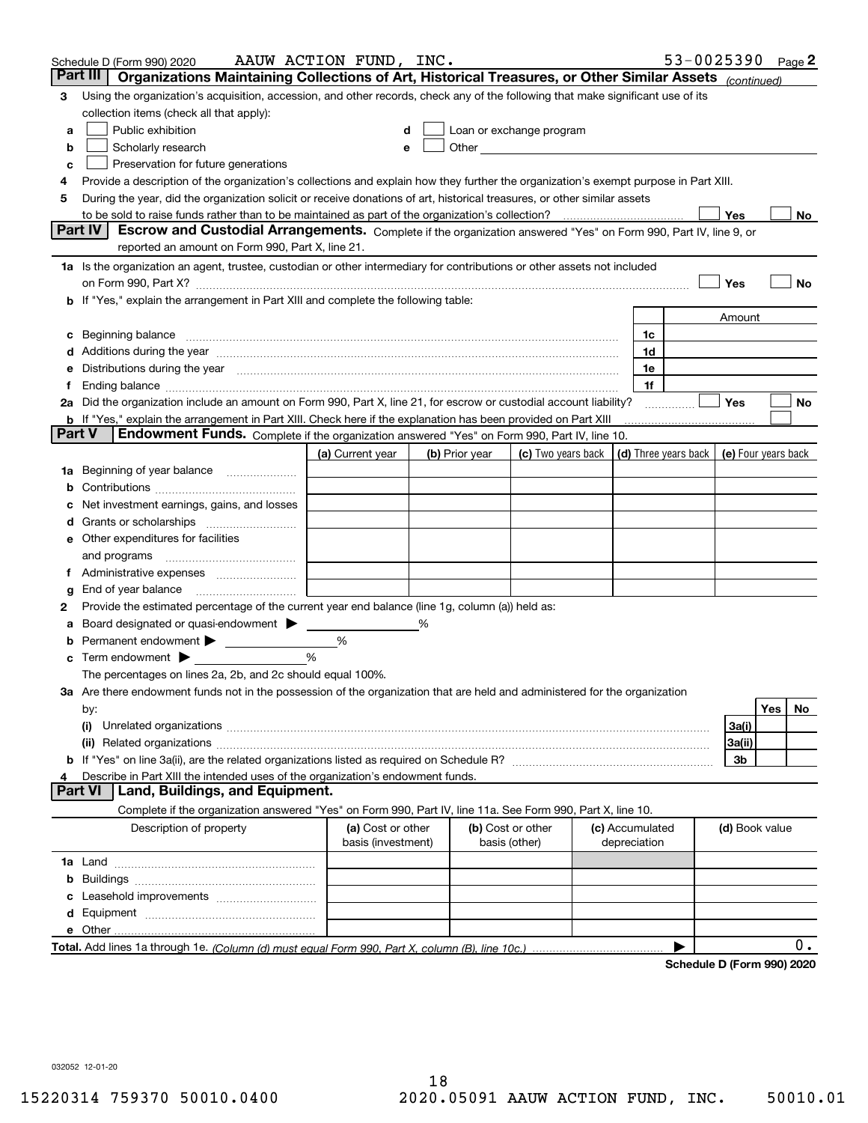|        | Schedule D (Form 990) 2020                                                                                                                                                                                                          | AAUW ACTION FUND, INC. |   |                |                                                                                                                                                                                                                                |                      | 53-0025390                 |                     |     | Page 2 |
|--------|-------------------------------------------------------------------------------------------------------------------------------------------------------------------------------------------------------------------------------------|------------------------|---|----------------|--------------------------------------------------------------------------------------------------------------------------------------------------------------------------------------------------------------------------------|----------------------|----------------------------|---------------------|-----|--------|
|        | Organizations Maintaining Collections of Art, Historical Treasures, or Other Similar Assets (continued)<br>Part III                                                                                                                 |                        |   |                |                                                                                                                                                                                                                                |                      |                            |                     |     |        |
| 3      | Using the organization's acquisition, accession, and other records, check any of the following that make significant use of its                                                                                                     |                        |   |                |                                                                                                                                                                                                                                |                      |                            |                     |     |        |
|        | collection items (check all that apply):                                                                                                                                                                                            |                        |   |                |                                                                                                                                                                                                                                |                      |                            |                     |     |        |
| a      | Public exhibition                                                                                                                                                                                                                   | d                      |   |                | Loan or exchange program                                                                                                                                                                                                       |                      |                            |                     |     |        |
| b      | Scholarly research                                                                                                                                                                                                                  | е                      |   |                | Other the contract of the contract of the contract of the contract of the contract of the contract of the contract of the contract of the contract of the contract of the contract of the contract of the contract of the cont |                      |                            |                     |     |        |
| с      | Preservation for future generations                                                                                                                                                                                                 |                        |   |                |                                                                                                                                                                                                                                |                      |                            |                     |     |        |
| 4      | Provide a description of the organization's collections and explain how they further the organization's exempt purpose in Part XIII.                                                                                                |                        |   |                |                                                                                                                                                                                                                                |                      |                            |                     |     |        |
| 5      | During the year, did the organization solicit or receive donations of art, historical treasures, or other similar assets                                                                                                            |                        |   |                |                                                                                                                                                                                                                                |                      |                            |                     |     |        |
|        |                                                                                                                                                                                                                                     |                        |   |                |                                                                                                                                                                                                                                |                      |                            | Yes                 |     | No     |
|        | <b>Part IV</b><br>Escrow and Custodial Arrangements. Complete if the organization answered "Yes" on Form 990, Part IV, line 9, or<br>reported an amount on Form 990, Part X, line 21.                                               |                        |   |                |                                                                                                                                                                                                                                |                      |                            |                     |     |        |
|        | 1a Is the organization an agent, trustee, custodian or other intermediary for contributions or other assets not included                                                                                                            |                        |   |                |                                                                                                                                                                                                                                |                      |                            |                     |     |        |
|        |                                                                                                                                                                                                                                     |                        |   |                |                                                                                                                                                                                                                                |                      |                            | Yes                 |     | No     |
|        | b If "Yes," explain the arrangement in Part XIII and complete the following table:                                                                                                                                                  |                        |   |                |                                                                                                                                                                                                                                |                      |                            |                     |     |        |
|        |                                                                                                                                                                                                                                     |                        |   |                |                                                                                                                                                                                                                                |                      |                            | Amount              |     |        |
| c      | Beginning balance material content contracts and all the content of the content of the content of the content of the content of the content of the content of the content of the content of the content of the content of the       |                        |   |                |                                                                                                                                                                                                                                | 1c                   |                            |                     |     |        |
|        |                                                                                                                                                                                                                                     |                        |   |                |                                                                                                                                                                                                                                | 1d                   |                            |                     |     |        |
| е      | Distributions during the year measurement contains and all the state of the state of the state of the state of                                                                                                                      |                        |   |                |                                                                                                                                                                                                                                | 1e                   |                            |                     |     |        |
| Ť.     | Ending balance measurements are all the contract of the contract of the contract of the contract of the contract of the contract of the contract of the contract of the contract of the contract of the contract of the contra      |                        |   |                |                                                                                                                                                                                                                                | 1f                   |                            |                     |     |        |
|        | 2a Did the organization include an amount on Form 990, Part X, line 21, for escrow or custodial account liability?                                                                                                                  |                        |   |                |                                                                                                                                                                                                                                |                      |                            | Yes                 |     | No     |
|        | b If "Yes," explain the arrangement in Part XIII. Check here if the explanation has been provided on Part XIII                                                                                                                      |                        |   |                |                                                                                                                                                                                                                                |                      |                            |                     |     |        |
| Part V | Endowment Funds. Complete if the organization answered "Yes" on Form 990, Part IV, line 10.                                                                                                                                         |                        |   |                |                                                                                                                                                                                                                                |                      |                            |                     |     |        |
|        |                                                                                                                                                                                                                                     | (a) Current year       |   | (b) Prior year | (c) Two years back                                                                                                                                                                                                             | (d) Three years back |                            | (e) Four years back |     |        |
|        | 1a Beginning of year balance                                                                                                                                                                                                        |                        |   |                |                                                                                                                                                                                                                                |                      |                            |                     |     |        |
| b      |                                                                                                                                                                                                                                     |                        |   |                |                                                                                                                                                                                                                                |                      |                            |                     |     |        |
|        | Net investment earnings, gains, and losses                                                                                                                                                                                          |                        |   |                |                                                                                                                                                                                                                                |                      |                            |                     |     |        |
| d      |                                                                                                                                                                                                                                     |                        |   |                |                                                                                                                                                                                                                                |                      |                            |                     |     |        |
|        | e Other expenditures for facilities                                                                                                                                                                                                 |                        |   |                |                                                                                                                                                                                                                                |                      |                            |                     |     |        |
|        | and programs                                                                                                                                                                                                                        |                        |   |                |                                                                                                                                                                                                                                |                      |                            |                     |     |        |
| Ť.     |                                                                                                                                                                                                                                     |                        |   |                |                                                                                                                                                                                                                                |                      |                            |                     |     |        |
| g      | End of year balance                                                                                                                                                                                                                 |                        |   |                |                                                                                                                                                                                                                                |                      |                            |                     |     |        |
| 2      | Provide the estimated percentage of the current year end balance (line 1g, column (a)) held as:                                                                                                                                     |                        |   |                |                                                                                                                                                                                                                                |                      |                            |                     |     |        |
| а      | Board designated or quasi-endowment                                                                                                                                                                                                 |                        | % |                |                                                                                                                                                                                                                                |                      |                            |                     |     |        |
| b      | Permanent endowment >                                                                                                                                                                                                               | %                      |   |                |                                                                                                                                                                                                                                |                      |                            |                     |     |        |
| c      | Term endowment $\blacktriangleright$                                                                                                                                                                                                | %                      |   |                |                                                                                                                                                                                                                                |                      |                            |                     |     |        |
|        | The percentages on lines 2a, 2b, and 2c should equal 100%.                                                                                                                                                                          |                        |   |                |                                                                                                                                                                                                                                |                      |                            |                     |     |        |
|        | 3a Are there endowment funds not in the possession of the organization that are held and administered for the organization                                                                                                          |                        |   |                |                                                                                                                                                                                                                                |                      |                            |                     |     |        |
|        | by:                                                                                                                                                                                                                                 |                        |   |                |                                                                                                                                                                                                                                |                      |                            |                     | Yes | No.    |
|        | (i)                                                                                                                                                                                                                                 |                        |   |                |                                                                                                                                                                                                                                |                      |                            | 3a(i)               |     |        |
|        | (ii) Related organizations <b>constructions</b> and construction of the construction of the construction of the construction of the construction of the construction of the construction of the construction of the construction of |                        |   |                |                                                                                                                                                                                                                                |                      |                            | 3a(ii)              |     |        |
|        |                                                                                                                                                                                                                                     |                        |   |                |                                                                                                                                                                                                                                |                      |                            | 3b                  |     |        |
| 4      | Describe in Part XIII the intended uses of the organization's endowment funds.                                                                                                                                                      |                        |   |                |                                                                                                                                                                                                                                |                      |                            |                     |     |        |
|        | Land, Buildings, and Equipment.<br>Part VI                                                                                                                                                                                          |                        |   |                |                                                                                                                                                                                                                                |                      |                            |                     |     |        |
|        | Complete if the organization answered "Yes" on Form 990, Part IV, line 11a. See Form 990, Part X, line 10.                                                                                                                          |                        |   |                |                                                                                                                                                                                                                                |                      |                            |                     |     |        |
|        | Description of property                                                                                                                                                                                                             | (a) Cost or other      |   |                | (b) Cost or other                                                                                                                                                                                                              | (c) Accumulated      |                            | (d) Book value      |     |        |
|        |                                                                                                                                                                                                                                     | basis (investment)     |   |                | basis (other)                                                                                                                                                                                                                  | depreciation         |                            |                     |     |        |
|        |                                                                                                                                                                                                                                     |                        |   |                |                                                                                                                                                                                                                                |                      |                            |                     |     |        |
| b      |                                                                                                                                                                                                                                     |                        |   |                |                                                                                                                                                                                                                                |                      |                            |                     |     |        |
| c      | Leasehold improvements                                                                                                                                                                                                              |                        |   |                |                                                                                                                                                                                                                                |                      |                            |                     |     |        |
| d      |                                                                                                                                                                                                                                     |                        |   |                |                                                                                                                                                                                                                                |                      |                            |                     |     |        |
|        |                                                                                                                                                                                                                                     |                        |   |                |                                                                                                                                                                                                                                |                      |                            |                     |     |        |
|        |                                                                                                                                                                                                                                     |                        |   |                |                                                                                                                                                                                                                                |                      |                            |                     |     | 0.     |
|        |                                                                                                                                                                                                                                     |                        |   |                |                                                                                                                                                                                                                                |                      | Schedule D (Form 990) 2020 |                     |     |        |

032052 12-01-20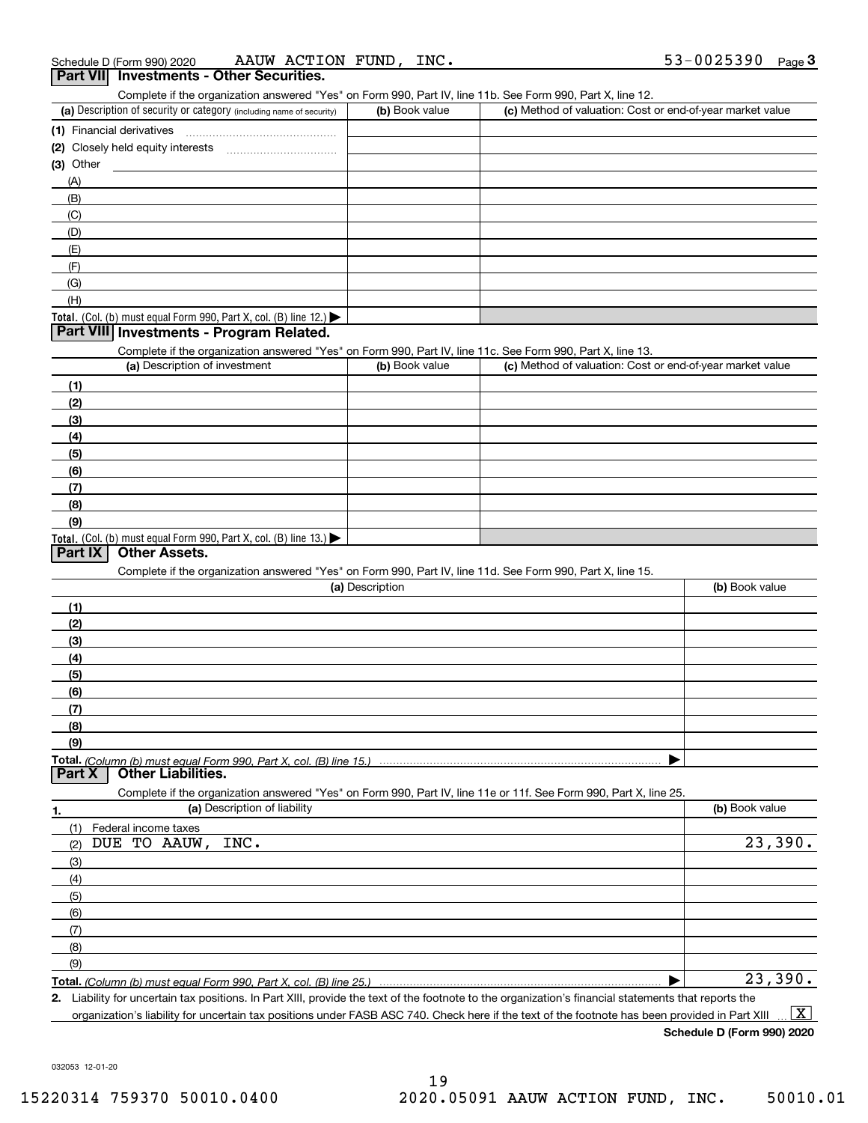| Schedule D (Form 990) 2020 | AAUW | ACTION | FUND | INC. | 0025390-،<br>. | Page |
|----------------------------|------|--------|------|------|----------------|------|
|                            |      |        |      |      |                |      |

| <b>Part VIII</b><br><b>Investments - Other Securities.</b>                                                 |                |                                                           |
|------------------------------------------------------------------------------------------------------------|----------------|-----------------------------------------------------------|
| Complete if the organization answered "Yes" on Form 990, Part IV, line 11b. See Form 990, Part X, line 12. |                |                                                           |
| (a) Description of security or category (including name of security)                                       | (b) Book value | (c) Method of valuation: Cost or end-of-year market value |
| (1) Financial derivatives                                                                                  |                |                                                           |
|                                                                                                            |                |                                                           |
| $(3)$ Other                                                                                                |                |                                                           |
| (A)                                                                                                        |                |                                                           |
| (B)                                                                                                        |                |                                                           |
| (C)                                                                                                        |                |                                                           |
| (D)                                                                                                        |                |                                                           |
| (E)                                                                                                        |                |                                                           |
| (F)                                                                                                        |                |                                                           |
| (G)                                                                                                        |                |                                                           |
| (H)                                                                                                        |                |                                                           |
| <b>Total.</b> (Col. (b) must equal Form 990, Part X, col. (B) line 12.) $\blacktriangleright$              |                |                                                           |
| Part VIII Investments - Program Related.                                                                   |                |                                                           |
| Complete if the organization answered "Yes" on Form 990, Part IV, line 11c. See Form 990, Part X, line 13. |                |                                                           |
| (a) Description of investment                                                                              | (b) Book value | (c) Method of valuation: Cost or end-of-year market value |
| (1)                                                                                                        |                |                                                           |
| (2)                                                                                                        |                |                                                           |

| (2)                                                                                           |  |
|-----------------------------------------------------------------------------------------------|--|
| (3)                                                                                           |  |
| (4)                                                                                           |  |
| (5)                                                                                           |  |
| (6)                                                                                           |  |
| (7)                                                                                           |  |
| (8)                                                                                           |  |
| (9)                                                                                           |  |
| <b>Total.</b> (Col. (b) must equal Form 990, Part X, col. (B) line 13.) $\blacktriangleright$ |  |
| $D_{\text{out}}$ IV $\overline{O_{\text{in}}$ $\overline{O_{\text{in}}}}$                     |  |

### **Part IX Other Assets.**

Complete if the organization answered "Yes" on Form 990, Part IV, line 11d. See Form 990, Part X, line 15.

| (a) Description                                                                                                        | (b) Book value |
|------------------------------------------------------------------------------------------------------------------------|----------------|
| (1)                                                                                                                    |                |
| (2)                                                                                                                    |                |
| $\frac{1}{2}$                                                                                                          |                |
| (4)                                                                                                                    |                |
| $\frac{1}{1}$                                                                                                          |                |
| (6)                                                                                                                    |                |
| $\frac{1}{2}$                                                                                                          |                |
| (8)                                                                                                                    |                |
| (9)                                                                                                                    |                |
|                                                                                                                        |                |
| Part X Other Liabilities.                                                                                              |                |
| Occasions of the concerted the concerned IV call on Fause 000, Dout IV, the 44s on 44f, One Fause 000, Dout V, then OF |                |

| Complete if the organization answered "Yes" on Form 990, Part IV, line 11e or 11f. See Form 990, Part X, line 25. |                |  |  |  |  |  |  |
|-------------------------------------------------------------------------------------------------------------------|----------------|--|--|--|--|--|--|
| (a) Description of liability<br>1.                                                                                | (b) Book value |  |  |  |  |  |  |
| Federal income taxes                                                                                              |                |  |  |  |  |  |  |
| DUE TO AAUW, INC.<br>(2)                                                                                          | 23,390.        |  |  |  |  |  |  |
| (3)                                                                                                               |                |  |  |  |  |  |  |
| (4)                                                                                                               |                |  |  |  |  |  |  |
| (5)                                                                                                               |                |  |  |  |  |  |  |
| (6)                                                                                                               |                |  |  |  |  |  |  |
| (7)                                                                                                               |                |  |  |  |  |  |  |
| (8)                                                                                                               |                |  |  |  |  |  |  |
| (9)                                                                                                               |                |  |  |  |  |  |  |
|                                                                                                                   | 23,390.        |  |  |  |  |  |  |

**2.**Liability for uncertain tax positions. In Part XIII, provide the text of the footnote to the organization's financial statements that reports the organization's liability for uncertain tax positions under FASB ASC 740. Check here if the text of the footnote has been provided in Part XIII  $\boxed{\text{X}}$ 

**Schedule D (Form 990) 2020**

032053 12-01-20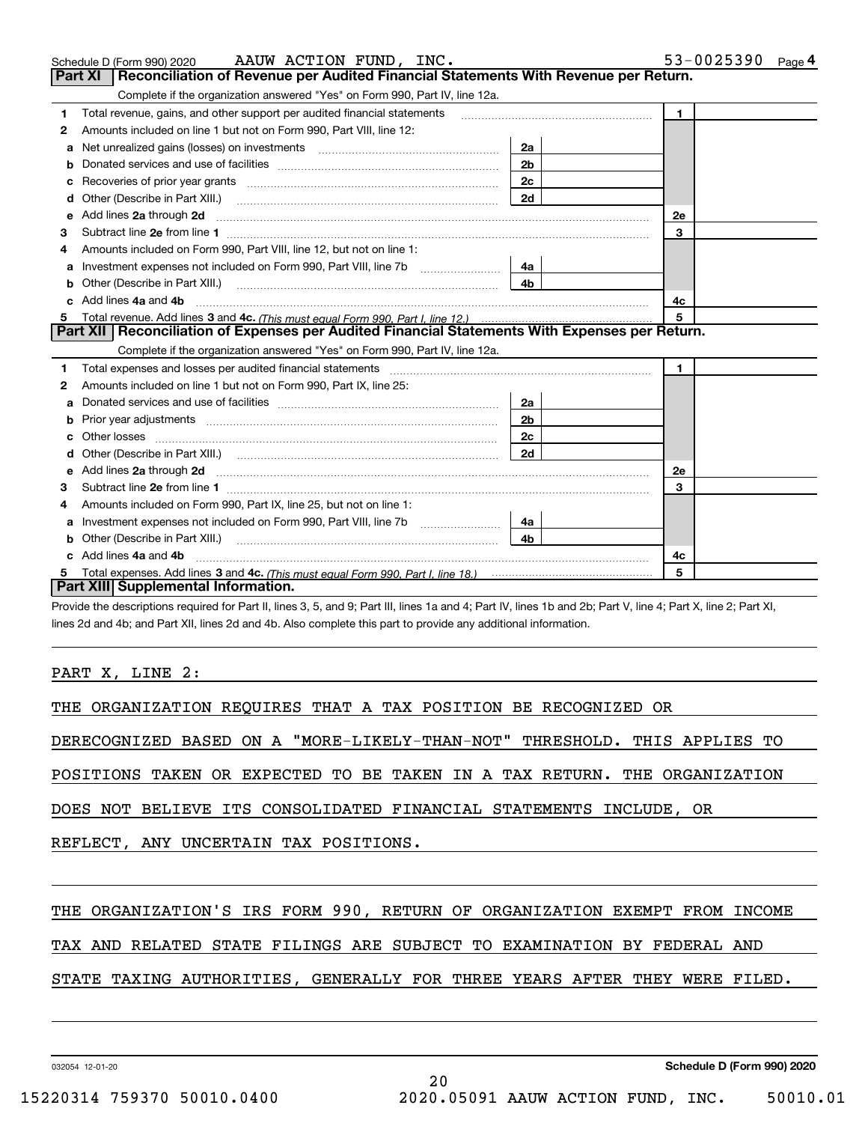|   | AAUW ACTION FUND, INC.<br>Schedule D (Form 990) 2020                                                                                                                                                                                |                | 53-0025390   | Page 4 |  |  |
|---|-------------------------------------------------------------------------------------------------------------------------------------------------------------------------------------------------------------------------------------|----------------|--------------|--------|--|--|
|   | Reconciliation of Revenue per Audited Financial Statements With Revenue per Return.<br>Part XI                                                                                                                                      |                |              |        |  |  |
|   | Complete if the organization answered "Yes" on Form 990, Part IV, line 12a.                                                                                                                                                         |                |              |        |  |  |
| 1 | Total revenue, gains, and other support per audited financial statements                                                                                                                                                            |                | $\mathbf{1}$ |        |  |  |
| 2 | Amounts included on line 1 but not on Form 990, Part VIII, line 12:                                                                                                                                                                 |                |              |        |  |  |
| a |                                                                                                                                                                                                                                     | 2a             |              |        |  |  |
|   |                                                                                                                                                                                                                                     | 2 <sub>b</sub> |              |        |  |  |
|   | Recoveries of prior year grants [11,111] Recoveries of prior year grants [11,111] Recoveries of prior year grants                                                                                                                   | 2c             |              |        |  |  |
| d |                                                                                                                                                                                                                                     | 2d             |              |        |  |  |
| е | Add lines 2a through 2d                                                                                                                                                                                                             |                | <b>2e</b>    |        |  |  |
| 3 |                                                                                                                                                                                                                                     |                | 3            |        |  |  |
| 4 | Amounts included on Form 990, Part VIII, line 12, but not on line 1:                                                                                                                                                                |                |              |        |  |  |
|   | Investment expenses not included on Form 990, Part VIII, line 7b [111] [11] Investment expenses not included on Form 990, Part VIII, line 7b                                                                                        | 4a             |              |        |  |  |
| b | Other (Describe in Part XIII.) <b>Construction Contract Construction</b> Chern Construction Construction Construction                                                                                                               | 4 <sub>b</sub> |              |        |  |  |
|   | Add lines 4a and 4b                                                                                                                                                                                                                 |                | 4c           |        |  |  |
| 5 |                                                                                                                                                                                                                                     |                | 5            |        |  |  |
|   | Part XII   Reconciliation of Expenses per Audited Financial Statements With Expenses per Return.                                                                                                                                    |                |              |        |  |  |
|   | Complete if the organization answered "Yes" on Form 990, Part IV, line 12a.                                                                                                                                                         |                |              |        |  |  |
| 1 |                                                                                                                                                                                                                                     |                | $\mathbf{1}$ |        |  |  |
| 2 | Amounts included on line 1 but not on Form 990, Part IX, line 25:                                                                                                                                                                   |                |              |        |  |  |
| a |                                                                                                                                                                                                                                     | 2a             |              |        |  |  |
| b |                                                                                                                                                                                                                                     | 2 <sub>b</sub> |              |        |  |  |
|   |                                                                                                                                                                                                                                     | 2 <sub>c</sub> |              |        |  |  |
|   |                                                                                                                                                                                                                                     | 2d             |              |        |  |  |
| е | Add lines 2a through 2d <b>contained a contained a contained a contained a</b> contained a contained a contained a contained a contained a contained a contained a contained a contained a contained a contained a contained a cont |                | 2e           |        |  |  |
| з |                                                                                                                                                                                                                                     |                | 3            |        |  |  |
| 4 | Amounts included on Form 990, Part IX, line 25, but not on line 1:                                                                                                                                                                  |                |              |        |  |  |
| a | Investment expenses not included on Form 990, Part VIII, line 7b [111] [11] Investment expenses not included on Form 990, Part VIII, line 7b                                                                                        | 4a             |              |        |  |  |
|   |                                                                                                                                                                                                                                     | 4b             |              |        |  |  |
|   | Add lines 4a and 4b                                                                                                                                                                                                                 |                | 4c           |        |  |  |
|   | 5                                                                                                                                                                                                                                   |                |              |        |  |  |
|   | Part XIII Supplemental Information.                                                                                                                                                                                                 |                |              |        |  |  |

AAUW ACTION FUND, INC. SALES AND SALES AND REAL PROOF AND REAL PROOF AND REAL PROOF AND REAL PROOF AND REAL PROOF AND REAL PROOF AND REAL PROOF AND REAL PROOF AND REAL PROOF AND REAL PROOF AND REAL PROOF AND REAL PROOF AND

Provide the descriptions required for Part II, lines 3, 5, and 9; Part III, lines 1a and 4; Part IV, lines 1b and 2b; Part V, line 4; Part X, line 2; Part XI, lines 2d and 4b; and Part XII, lines 2d and 4b. Also complete this part to provide any additional information.

### PART X, LINE 2:

THE ORGANIZATION REQUIRES THAT A TAX POSITION BE RECOGNIZED OR

DERECOGNIZED BASED ON A "MORE-LIKELY-THAN-NOT" THRESHOLD. THIS APPLIES TO

POSITIONS TAKEN OR EXPECTED TO BE TAKEN IN A TAX RETURN. THE ORGANIZATION

DOES NOT BELIEVE ITS CONSOLIDATED FINANCIAL STATEMENTS INCLUDE, OR

REFLECT, ANY UNCERTAIN TAX POSITIONS.

### THE ORGANIZATION'S IRS FORM 990, RETURN OF ORGANIZATION EXEMPT FROM INCOME

TAX AND RELATED STATE FILINGS ARE SUBJECT TO EXAMINATION BY FEDERAL AND

### STATE TAXING AUTHORITIES, GENERALLY FOR THREE YEARS AFTER THEY WERE FILED.

032054 12-01-20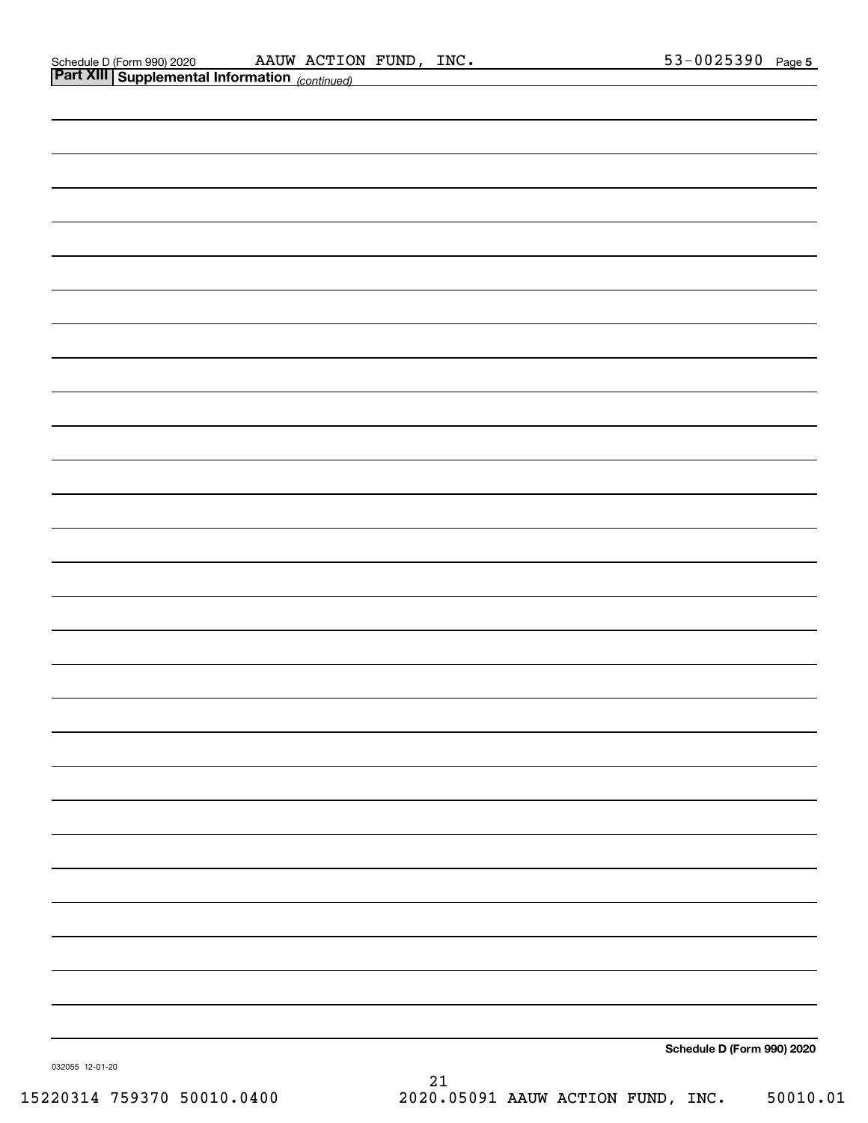|                 | <b>Part XIII Supplemental Information</b> (continued) |    |                            |
|-----------------|-------------------------------------------------------|----|----------------------------|
|                 |                                                       |    |                            |
|                 |                                                       |    |                            |
|                 |                                                       |    |                            |
|                 |                                                       |    |                            |
|                 |                                                       |    |                            |
|                 |                                                       |    |                            |
|                 |                                                       |    |                            |
|                 |                                                       |    |                            |
|                 |                                                       |    |                            |
|                 |                                                       |    |                            |
|                 |                                                       |    |                            |
|                 |                                                       |    |                            |
|                 |                                                       |    |                            |
|                 |                                                       |    |                            |
|                 |                                                       |    |                            |
|                 |                                                       |    |                            |
|                 |                                                       |    |                            |
|                 |                                                       |    |                            |
|                 |                                                       |    |                            |
|                 |                                                       |    |                            |
|                 |                                                       |    |                            |
|                 |                                                       |    |                            |
|                 |                                                       |    |                            |
|                 |                                                       |    |                            |
|                 |                                                       |    |                            |
|                 |                                                       |    |                            |
|                 |                                                       |    |                            |
|                 |                                                       |    |                            |
|                 |                                                       |    |                            |
|                 |                                                       |    | Schedule D (Form 990) 2020 |
| 032055 12-01-20 |                                                       | 21 |                            |
|                 |                                                       |    |                            |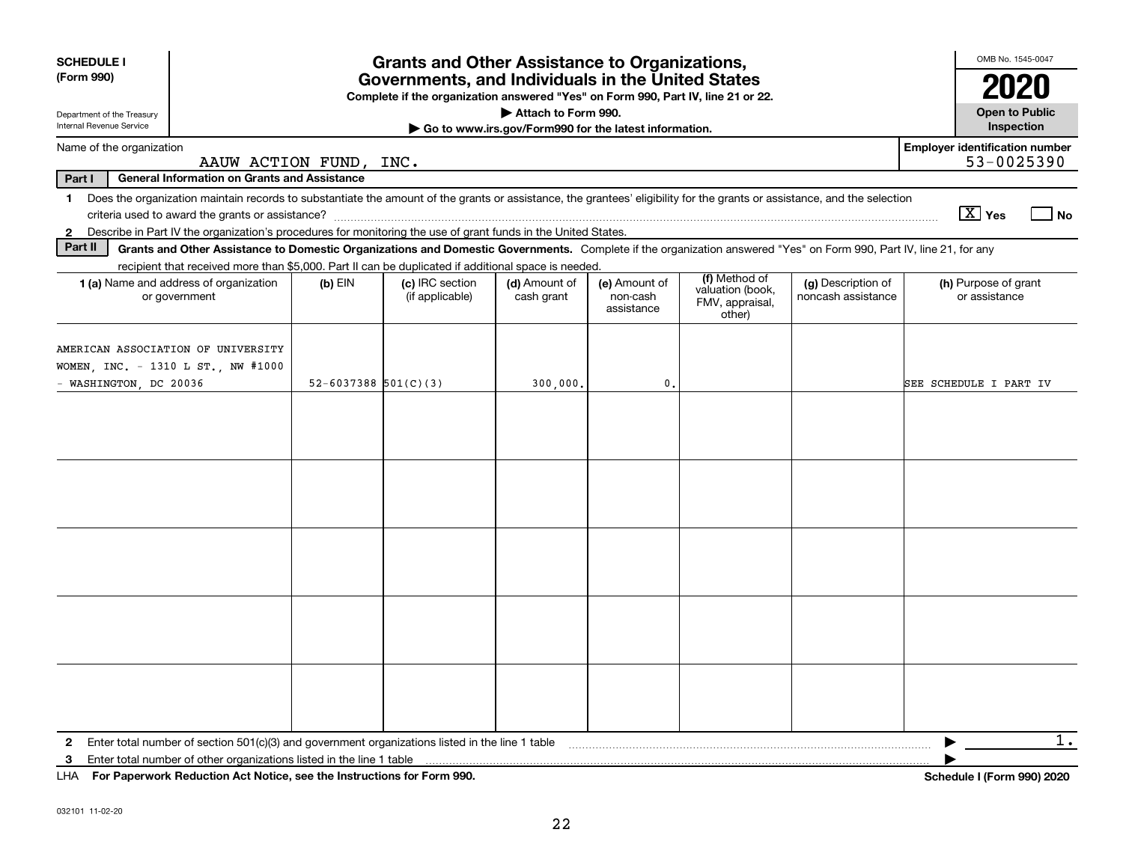| <b>SCHEDULE I</b><br>(Form 990)                                                                  | <b>Grants and Other Assistance to Organizations,</b><br>Governments, and Individuals in the United States<br>Complete if the organization answered "Yes" on Form 990, Part IV, line 21 or 22. |                        |                                    |                                                                              |                                         |                                                                |                                          |                                                     |  |  |
|--------------------------------------------------------------------------------------------------|-----------------------------------------------------------------------------------------------------------------------------------------------------------------------------------------------|------------------------|------------------------------------|------------------------------------------------------------------------------|-----------------------------------------|----------------------------------------------------------------|------------------------------------------|-----------------------------------------------------|--|--|
| Department of the Treasury<br>Internal Revenue Service                                           |                                                                                                                                                                                               |                        |                                    | Attach to Form 990.<br>Go to www.irs.gov/Form990 for the latest information. |                                         |                                                                |                                          | Open to Public<br>Inspection                        |  |  |
| Name of the organization                                                                         | AAUW ACTION FUND,                                                                                                                                                                             |                        | INC.                               |                                                                              |                                         |                                                                |                                          | <b>Employer identification number</b><br>53-0025390 |  |  |
| Part I                                                                                           | <b>General Information on Grants and Assistance</b>                                                                                                                                           |                        |                                    |                                                                              |                                         |                                                                |                                          |                                                     |  |  |
|                                                                                                  | 1 Does the organization maintain records to substantiate the amount of the grants or assistance, the grantees' eligibility for the grants or assistance, and the selection                    |                        |                                    |                                                                              |                                         |                                                                |                                          | $\boxed{\text{X}}$ Yes<br>l No                      |  |  |
| $\mathbf{2}$                                                                                     | Describe in Part IV the organization's procedures for monitoring the use of grant funds in the United States.                                                                                 |                        |                                    |                                                                              |                                         |                                                                |                                          |                                                     |  |  |
| Part II                                                                                          | Grants and Other Assistance to Domestic Organizations and Domestic Governments. Complete if the organization answered "Yes" on Form 990, Part IV, line 21, for any                            |                        |                                    |                                                                              |                                         |                                                                |                                          |                                                     |  |  |
|                                                                                                  | recipient that received more than \$5,000. Part II can be duplicated if additional space is needed.<br><b>1 (a)</b> Name and address of organization<br>or government                         | $(b)$ EIN              | (c) IRC section<br>(if applicable) | (d) Amount of<br>cash grant                                                  | (e) Amount of<br>non-cash<br>assistance | (f) Method of<br>valuation (book,<br>FMV, appraisal,<br>other) | (g) Description of<br>noncash assistance | (h) Purpose of grant<br>or assistance               |  |  |
| AMERICAN ASSOCIATION OF UNIVERSITY<br>WOMEN, INC. - 1310 L ST., NW #1000<br>WASHINGTON, DC 20036 |                                                                                                                                                                                               | 52-6037388 $501(C)(3)$ |                                    | 300,000.                                                                     | $\mathbf{0}$                            |                                                                |                                          | SEE SCHEDULE I PART IV                              |  |  |
|                                                                                                  |                                                                                                                                                                                               |                        |                                    |                                                                              |                                         |                                                                |                                          |                                                     |  |  |
|                                                                                                  |                                                                                                                                                                                               |                        |                                    |                                                                              |                                         |                                                                |                                          |                                                     |  |  |
|                                                                                                  |                                                                                                                                                                                               |                        |                                    |                                                                              |                                         |                                                                |                                          |                                                     |  |  |
|                                                                                                  |                                                                                                                                                                                               |                        |                                    |                                                                              |                                         |                                                                |                                          |                                                     |  |  |
| 3                                                                                                | $111A$ $E \sim R \sim 2$ and $E \sim 1$ and $A \sim 1$ and $A \sim 1$ and $A \sim 1$ and $A \sim 1$ and $A \sim 200$                                                                          |                        |                                    |                                                                              |                                         |                                                                |                                          | 1.<br>▶                                             |  |  |

**For Paperwork Reduction Act Notice, see the Instructions for Form 990. Schedule I (Form 990) 2020** LHA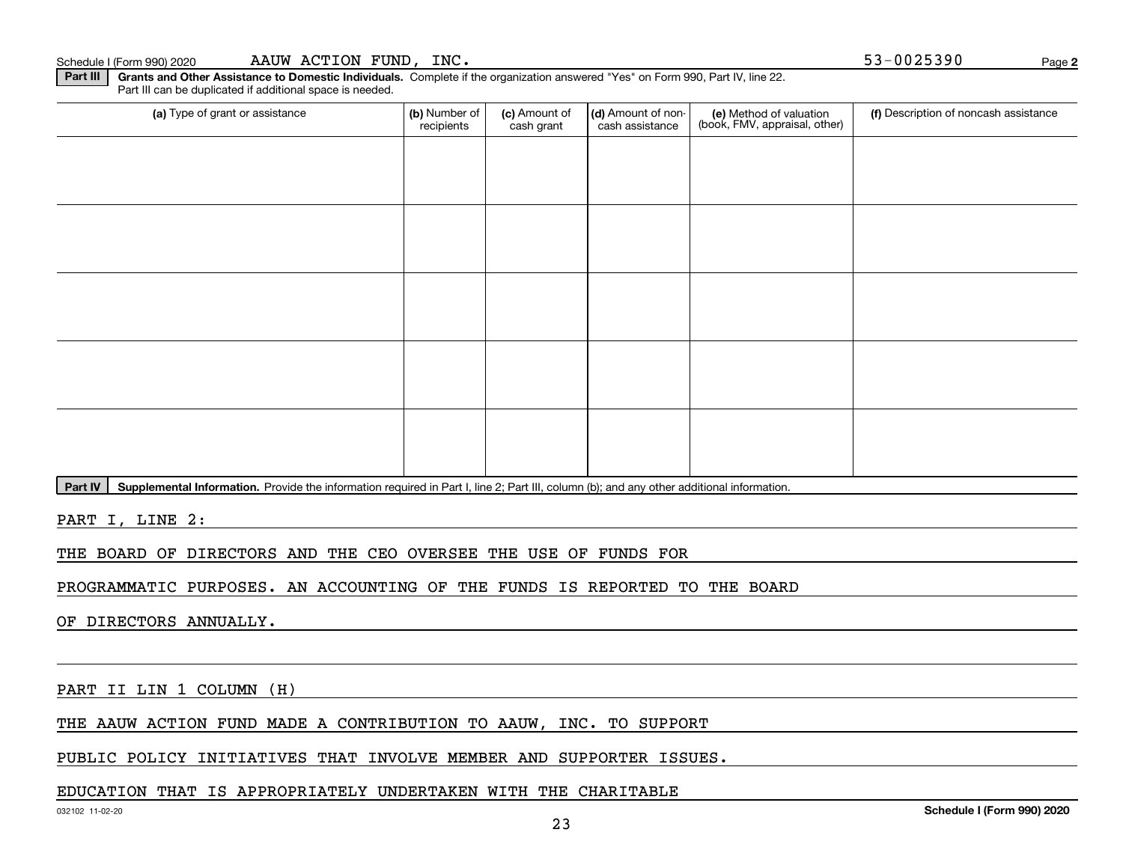**Part III | Grants and Other Assistance to Domestic Individuals. Complete if the organization answered "Yes" on Form 990, Part IV, line 22.** Part III can be duplicated if additional space is needed.

| (a) Type of grant or assistance                                                   | (b) Number of<br>recipients | (c) Amount of<br>cash grant | (d) Amount of non-<br>cash assistance | (e) Method of valuation<br>(book, FMV, appraisal, other) | (f) Description of noncash assistance |
|-----------------------------------------------------------------------------------|-----------------------------|-----------------------------|---------------------------------------|----------------------------------------------------------|---------------------------------------|
|                                                                                   |                             |                             |                                       |                                                          |                                       |
|                                                                                   |                             |                             |                                       |                                                          |                                       |
|                                                                                   |                             |                             |                                       |                                                          |                                       |
|                                                                                   |                             |                             |                                       |                                                          |                                       |
|                                                                                   |                             |                             |                                       |                                                          |                                       |
|                                                                                   |                             |                             |                                       |                                                          |                                       |
|                                                                                   |                             |                             |                                       |                                                          |                                       |
|                                                                                   |                             |                             |                                       |                                                          |                                       |
|                                                                                   |                             |                             |                                       |                                                          |                                       |
|                                                                                   |                             |                             |                                       |                                                          |                                       |
| المتحدث والمستناد والمتحدث والمستحوص والمتحدث والمتحدث والمتحدث والمعاون والمستحا |                             |                             |                                       |                                                          |                                       |

23

Part IV | Supplemental Information. Provide the information required in Part I, line 2; Part III, column (b); and any other additional information.

PART I, LINE 2:

THE BOARD OF DIRECTORS AND THE CEO OVERSEE THE USE OF FUNDS FOR

PROGRAMMATIC PURPOSES. AN ACCOUNTING OF THE FUNDS IS REPORTED TO THE BOARD

OF DIRECTORS ANNUALLY.

PART II LIN 1 COLUMN (H)

THE AAUW ACTION FUND MADE A CONTRIBUTION TO AAUW, INC. TO SUPPORT

PUBLIC POLICY INITIATIVES THAT INVOLVE MEMBER AND SUPPORTER ISSUES.

### EDUCATION THAT IS APPROPRIATELY UNDERTAKEN WITH THE CHARITABLE

**Schedule I (Form 990) 2020**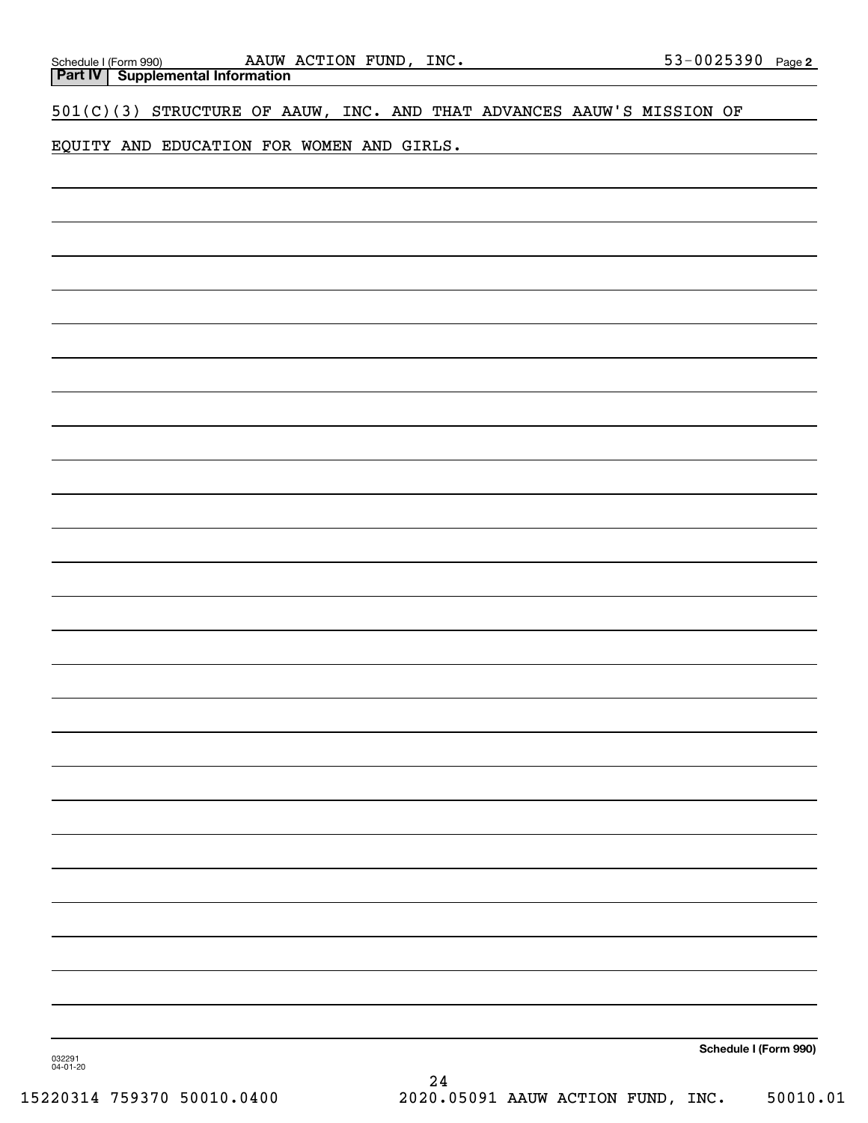| Schedule I (Form 990) |  |
|-----------------------|--|
|                       |  |
|                       |  |

**Part IV Supplemental Information**

501(C)(3) STRUCTURE OF AAUW, INC. AND THAT ADVANCES AAUW'S MISSION OF

EQUITY AND EDUCATION FOR WOMEN AND GIRLS.

**Schedule I (Form 990)**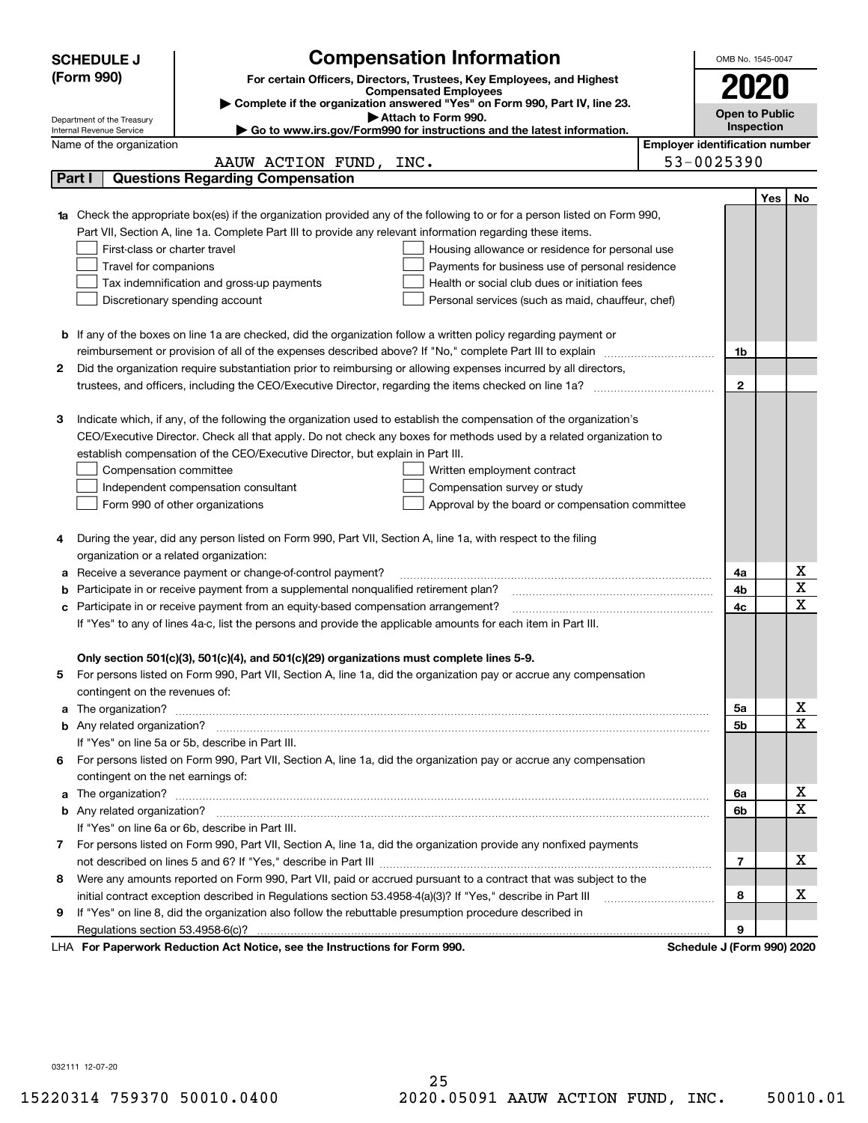|    | <b>Compensation Information</b><br><b>SCHEDULE J</b>                                                                             |                                       | OMB No. 1545-0047          |     |                  |  |  |
|----|----------------------------------------------------------------------------------------------------------------------------------|---------------------------------------|----------------------------|-----|------------------|--|--|
|    | (Form 990)<br>For certain Officers, Directors, Trustees, Key Employees, and Highest                                              |                                       |                            |     |                  |  |  |
|    | <b>Compensated Employees</b>                                                                                                     |                                       | 2020                       |     |                  |  |  |
|    | Complete if the organization answered "Yes" on Form 990, Part IV, line 23.<br>Attach to Form 990.                                |                                       | <b>Open to Public</b>      |     |                  |  |  |
|    | Department of the Treasury<br>Go to www.irs.gov/Form990 for instructions and the latest information.<br>Internal Revenue Service |                                       | Inspection                 |     |                  |  |  |
|    | Name of the organization                                                                                                         | <b>Employer identification number</b> |                            |     |                  |  |  |
|    | AAUW ACTION FUND, INC.                                                                                                           |                                       | 53-0025390                 |     |                  |  |  |
|    | <b>Questions Regarding Compensation</b><br>Part I                                                                                |                                       |                            |     |                  |  |  |
|    |                                                                                                                                  |                                       |                            | Yes | No               |  |  |
|    | Check the appropriate box(es) if the organization provided any of the following to or for a person listed on Form 990,           |                                       |                            |     |                  |  |  |
|    | Part VII, Section A, line 1a. Complete Part III to provide any relevant information regarding these items.                       |                                       |                            |     |                  |  |  |
|    | First-class or charter travel<br>Housing allowance or residence for personal use                                                 |                                       |                            |     |                  |  |  |
|    | Travel for companions<br>Payments for business use of personal residence                                                         |                                       |                            |     |                  |  |  |
|    | Tax indemnification and gross-up payments<br>Health or social club dues or initiation fees                                       |                                       |                            |     |                  |  |  |
|    | Discretionary spending account<br>Personal services (such as maid, chauffeur, chef)                                              |                                       |                            |     |                  |  |  |
|    |                                                                                                                                  |                                       |                            |     |                  |  |  |
|    | <b>b</b> If any of the boxes on line 1a are checked, did the organization follow a written policy regarding payment or           |                                       |                            |     |                  |  |  |
|    | reimbursement or provision of all of the expenses described above? If "No," complete Part III to explain                         |                                       |                            |     |                  |  |  |
| 2  | Did the organization require substantiation prior to reimbursing or allowing expenses incurred by all directors,                 |                                       |                            |     |                  |  |  |
|    |                                                                                                                                  |                                       | $\overline{2}$             |     |                  |  |  |
|    |                                                                                                                                  |                                       |                            |     |                  |  |  |
| з  | Indicate which, if any, of the following the organization used to establish the compensation of the organization's               |                                       |                            |     |                  |  |  |
|    | CEO/Executive Director. Check all that apply. Do not check any boxes for methods used by a related organization to               |                                       |                            |     |                  |  |  |
|    | establish compensation of the CEO/Executive Director, but explain in Part III.                                                   |                                       |                            |     |                  |  |  |
|    | Compensation committee<br>Written employment contract                                                                            |                                       |                            |     |                  |  |  |
|    | Independent compensation consultant<br>Compensation survey or study                                                              |                                       |                            |     |                  |  |  |
|    | Form 990 of other organizations<br>Approval by the board or compensation committee                                               |                                       |                            |     |                  |  |  |
|    |                                                                                                                                  |                                       |                            |     |                  |  |  |
| 4  | During the year, did any person listed on Form 990, Part VII, Section A, line 1a, with respect to the filing                     |                                       |                            |     |                  |  |  |
|    | organization or a related organization:                                                                                          |                                       |                            |     |                  |  |  |
| а  | Receive a severance payment or change-of-control payment?                                                                        |                                       | 4a                         |     | х                |  |  |
| b  | Participate in or receive payment from a supplemental nonqualified retirement plan?                                              |                                       | 4b                         |     | X                |  |  |
| c  | Participate in or receive payment from an equity-based compensation arrangement?                                                 |                                       | 4c                         |     | X                |  |  |
|    | If "Yes" to any of lines 4a-c, list the persons and provide the applicable amounts for each item in Part III.                    |                                       |                            |     |                  |  |  |
|    |                                                                                                                                  |                                       |                            |     |                  |  |  |
|    | Only section 501(c)(3), 501(c)(4), and 501(c)(29) organizations must complete lines 5-9.                                         |                                       |                            |     |                  |  |  |
|    | For persons listed on Form 990, Part VII, Section A, line 1a, did the organization pay or accrue any compensation                |                                       |                            |     |                  |  |  |
|    | contingent on the revenues of:                                                                                                   |                                       |                            |     |                  |  |  |
| a  |                                                                                                                                  |                                       | 5а                         |     | X<br>X           |  |  |
|    |                                                                                                                                  |                                       | 5b                         |     |                  |  |  |
|    | If "Yes" on line 5a or 5b, describe in Part III.                                                                                 |                                       |                            |     |                  |  |  |
| 6. | For persons listed on Form 990, Part VII, Section A, line 1a, did the organization pay or accrue any compensation                |                                       |                            |     |                  |  |  |
|    | contingent on the net earnings of:                                                                                               |                                       |                            |     |                  |  |  |
| a  |                                                                                                                                  |                                       | 6a                         |     | X<br>$\mathbf X$ |  |  |
|    |                                                                                                                                  |                                       | 6b                         |     |                  |  |  |
|    | If "Yes" on line 6a or 6b, describe in Part III.                                                                                 |                                       |                            |     |                  |  |  |
|    | 7 For persons listed on Form 990, Part VII, Section A, line 1a, did the organization provide any nonfixed payments               |                                       |                            |     |                  |  |  |
|    |                                                                                                                                  |                                       | 7                          |     | х                |  |  |
| 8  | Were any amounts reported on Form 990, Part VII, paid or accrued pursuant to a contract that was subject to the                  |                                       |                            |     |                  |  |  |
|    | initial contract exception described in Regulations section 53.4958-4(a)(3)? If "Yes," describe in Part III                      |                                       | 8                          |     | х                |  |  |
| 9  | If "Yes" on line 8, did the organization also follow the rebuttable presumption procedure described in                           |                                       |                            |     |                  |  |  |
|    | Regulations section 53.4958-6(c)?                                                                                                |                                       | 9                          |     |                  |  |  |
|    | LHA For Paperwork Reduction Act Notice, see the Instructions for Form 990.                                                       |                                       | Schedule J (Form 990) 2020 |     |                  |  |  |

032111 12-07-20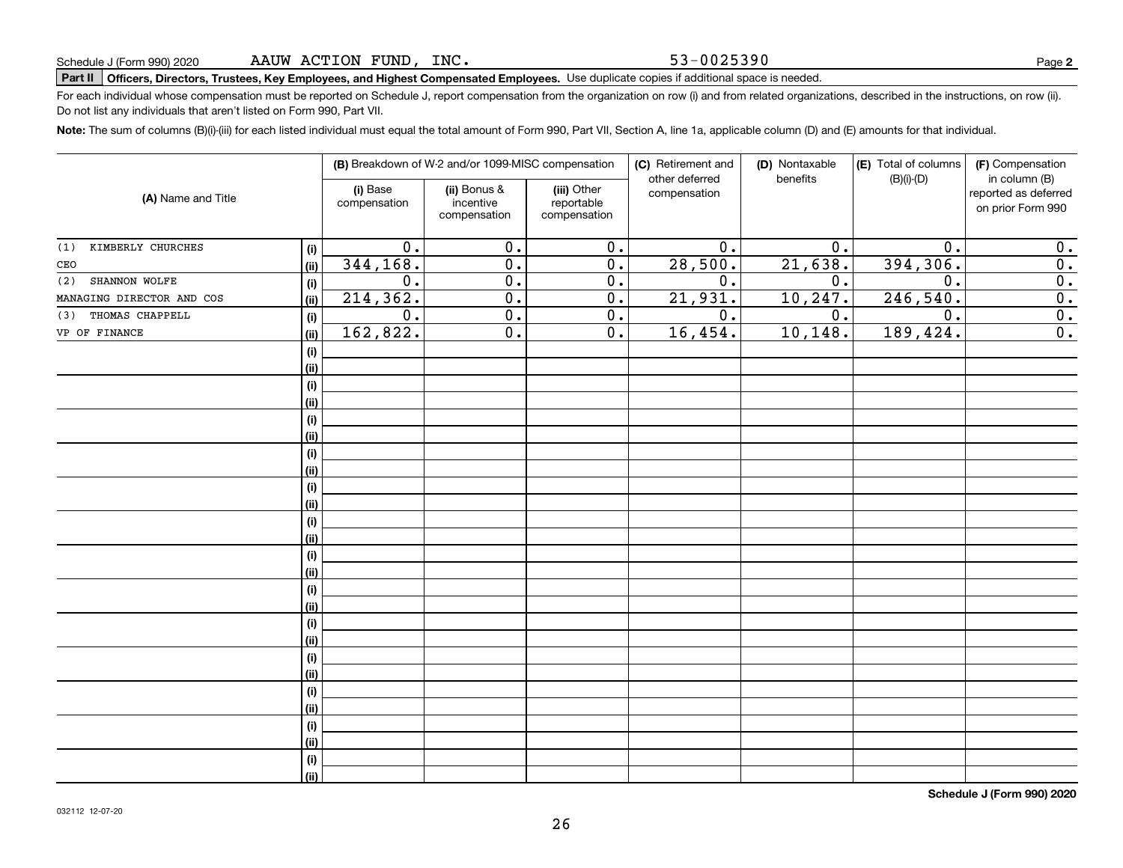53-0025390

## **Part II Officers, Directors, Trustees, Key Employees, and Highest Compensated Employees.**  Schedule J (Form 990) 2020 Page Use duplicate copies if additional space is needed.

For each individual whose compensation must be reported on Schedule J, report compensation from the organization on row (i) and from related organizations, described in the instructions, on row (ii). Do not list any individuals that aren't listed on Form 990, Part VII.

**Note:**  The sum of columns (B)(i)-(iii) for each listed individual must equal the total amount of Form 990, Part VII, Section A, line 1a, applicable column (D) and (E) amounts for that individual.

|                           |      | (B) Breakdown of W-2 and/or 1099-MISC compensation |                                           | (C) Retirement and<br>other deferred      | (D) Nontaxable<br>benefits | (E) Total of columns<br>$(B)(i)-(D)$ | (F) Compensation<br>in column (B) |                                           |
|---------------------------|------|----------------------------------------------------|-------------------------------------------|-------------------------------------------|----------------------------|--------------------------------------|-----------------------------------|-------------------------------------------|
| (A) Name and Title        |      | (i) Base<br>compensation                           | (ii) Bonus &<br>incentive<br>compensation | (iii) Other<br>reportable<br>compensation | compensation               |                                      |                                   | reported as deferred<br>on prior Form 990 |
| KIMBERLY CHURCHES<br>(1)  | (i)  | 0.                                                 | 0.                                        | 0.                                        | 0.                         | 0.                                   | 0.                                | 0.                                        |
| CEO                       | (ii) | 344,168.                                           | 0.                                        | 0.                                        | 28,500.                    | 21,638.                              | 394,306.                          | $\overline{0}$ .                          |
| SHANNON WOLFE<br>(2)      | (i)  | 0.                                                 | 0.                                        | 0.                                        | 0.                         | 0.                                   | 0.                                | 0.                                        |
| MANAGING DIRECTOR AND COS | (ii) | 214,362.                                           | 0.                                        | 0.                                        | 21,931.                    | 10,247.                              | 246,540.                          | $\overline{0}$ .                          |
| THOMAS CHAPPELL<br>(3)    | (i)  | 0.                                                 | $\overline{0}$ .                          | 0.                                        | 0.                         | 0.                                   | 0.                                | $\overline{0}$ .                          |
| VP OF FINANCE             | (ii) | 162,822.                                           | 0.                                        | 0.                                        | 16,454.                    | 10, 148.                             | 189, 424.                         | $\overline{0}$ .                          |
|                           | (i)  |                                                    |                                           |                                           |                            |                                      |                                   |                                           |
|                           | (ii) |                                                    |                                           |                                           |                            |                                      |                                   |                                           |
|                           | (i)  |                                                    |                                           |                                           |                            |                                      |                                   |                                           |
|                           | (ii) |                                                    |                                           |                                           |                            |                                      |                                   |                                           |
|                           | (i)  |                                                    |                                           |                                           |                            |                                      |                                   |                                           |
|                           | (ii) |                                                    |                                           |                                           |                            |                                      |                                   |                                           |
|                           | (i)  |                                                    |                                           |                                           |                            |                                      |                                   |                                           |
|                           | (ii) |                                                    |                                           |                                           |                            |                                      |                                   |                                           |
|                           | (i)  |                                                    |                                           |                                           |                            |                                      |                                   |                                           |
|                           | (ii) |                                                    |                                           |                                           |                            |                                      |                                   |                                           |
|                           | (i)  |                                                    |                                           |                                           |                            |                                      |                                   |                                           |
|                           | (ii) |                                                    |                                           |                                           |                            |                                      |                                   |                                           |
|                           | (i)  |                                                    |                                           |                                           |                            |                                      |                                   |                                           |
|                           | (ii) |                                                    |                                           |                                           |                            |                                      |                                   |                                           |
|                           | (i)  |                                                    |                                           |                                           |                            |                                      |                                   |                                           |
|                           | (ii) |                                                    |                                           |                                           |                            |                                      |                                   |                                           |
|                           | (i)  |                                                    |                                           |                                           |                            |                                      |                                   |                                           |
|                           | (ii) |                                                    |                                           |                                           |                            |                                      |                                   |                                           |
|                           | (i)  |                                                    |                                           |                                           |                            |                                      |                                   |                                           |
|                           | (ii) |                                                    |                                           |                                           |                            |                                      |                                   |                                           |
|                           | (i)  |                                                    |                                           |                                           |                            |                                      |                                   |                                           |
|                           | (ii) |                                                    |                                           |                                           |                            |                                      |                                   |                                           |
|                           | (i)  |                                                    |                                           |                                           |                            |                                      |                                   |                                           |
|                           | (ii) |                                                    |                                           |                                           |                            |                                      |                                   |                                           |
|                           | (i)  |                                                    |                                           |                                           |                            |                                      |                                   |                                           |
|                           | (ii) |                                                    |                                           |                                           |                            |                                      |                                   |                                           |

**Schedule J (Form 990) 2020**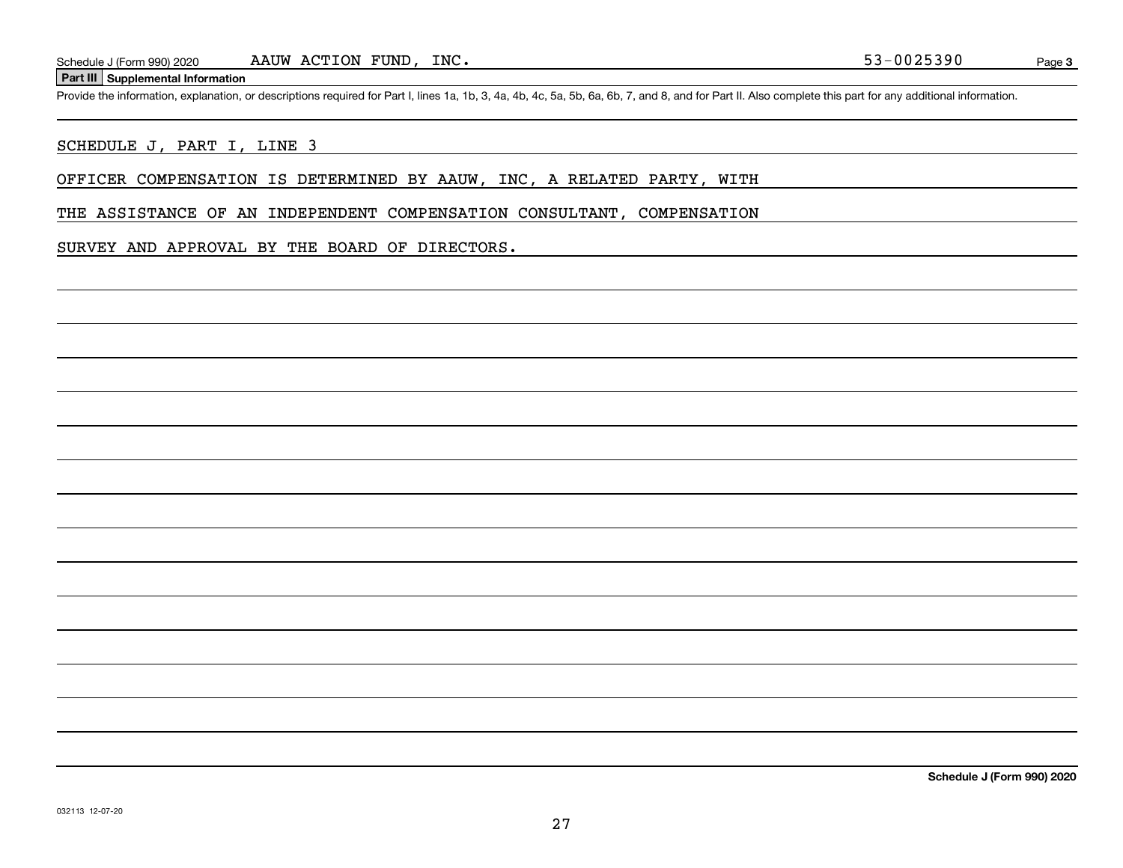### **Part III Supplemental Information**

Schedule J (Form 990) 2020 AAUW ACTION FUND, INC.<br>Part III Supplemental Information<br>Provide the information, explanation, or descriptions required for Part I, lines 1a, 1b, 3, 4a, 4b, 4c, 5a, 5b, 6a, 6b, 7, and 8, and for

### SCHEDULE J, PART I, LINE 3

OFFICER COMPENSATION IS DETERMINED BY AAUW, INC, A RELATED PARTY, WITH

THE ASSISTANCE OF AN INDEPENDENT COMPENSATION CONSULTANT, COMPENSATION

SURVEY AND APPROVAL BY THE BOARD OF DIRECTORS.

**Schedule J (Form 990) 2020**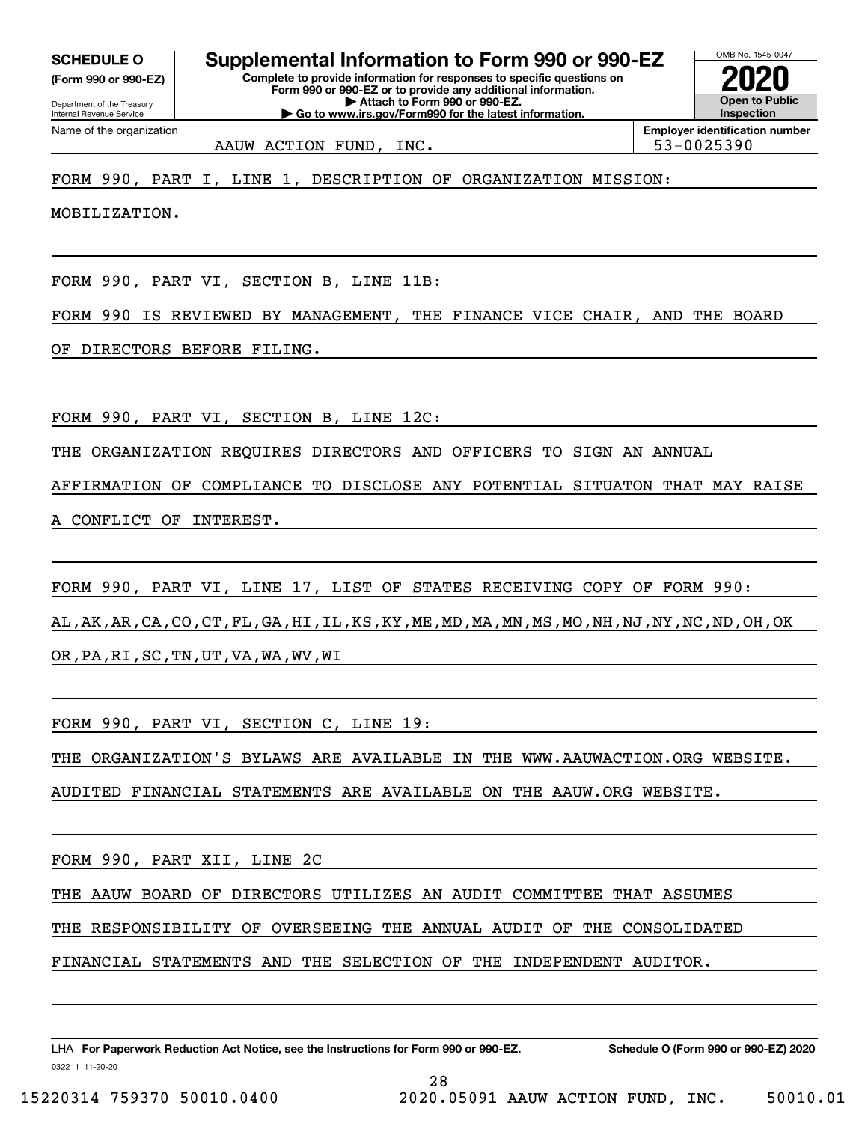**(Form 990 or 990-EZ)**

Department of the Treasury Internal Revenue Service Name of the organization

OMB No. 1545-0047 **Complete to provide information for responses to specific questions on Form 990 or 990-EZ or to provide any additional information. | Attach to Form 990 or 990-EZ. SCHEDULE O Supplemental Information to Form 990 or 990-EZ**

**| Go to www.irs.gov/Form990 for the latest information.**

**Open to Public InspectionEmployer identification number 2020**

AAUW ACTION FUND, INC.  $\vert$  53-0025390

FORM 990, PART I, LINE 1, DESCRIPTION OF ORGANIZATION MISSION:

MOBILIZATION.

FORM 990, PART VI, SECTION B, LINE 11B:

FORM 990 IS REVIEWED BY MANAGEMENT, THE FINANCE VICE CHAIR, AND THE BOARD

OF DIRECTORS BEFORE FILING.

FORM 990, PART VI, SECTION B, LINE 12C:

THE ORGANIZATION REQUIRES DIRECTORS AND OFFICERS TO SIGN AN ANNUAL

AFFIRMATION OF COMPLIANCE TO DISCLOSE ANY POTENTIAL SITUATON THAT MAY RAISE

A CONFLICT OF INTEREST.

FORM 990, PART VI, LINE 17, LIST OF STATES RECEIVING COPY OF FORM 990: AL,AK,AR,CA,CO,CT,FL,GA,HI,IL,KS,KY,ME,MD,MA,MN,MS,MO,NH,NJ,NY,NC,ND,OH,OK OR,PA,RI,SC,TN,UT,VA,WA,WV,WI

FORM 990, PART VI, SECTION C, LINE 19:

THE ORGANIZATION'S BYLAWS ARE AVAILABLE IN THE WWW.AAUWACTION.ORG WEBSITE.

AUDITED FINANCIAL STATEMENTS ARE AVAILABLE ON THE AAUW.ORG WEBSITE.

FORM 990, PART XII, LINE 2C

THE AAUW BOARD OF DIRECTORS UTILIZES AN AUDIT COMMITTEE THAT ASSUMES

THE RESPONSIBILITY OF OVERSEEING THE ANNUAL AUDIT OF THE CONSOLIDATED

28

FINANCIAL STATEMENTS AND THE SELECTION OF THE INDEPENDENT AUDITOR.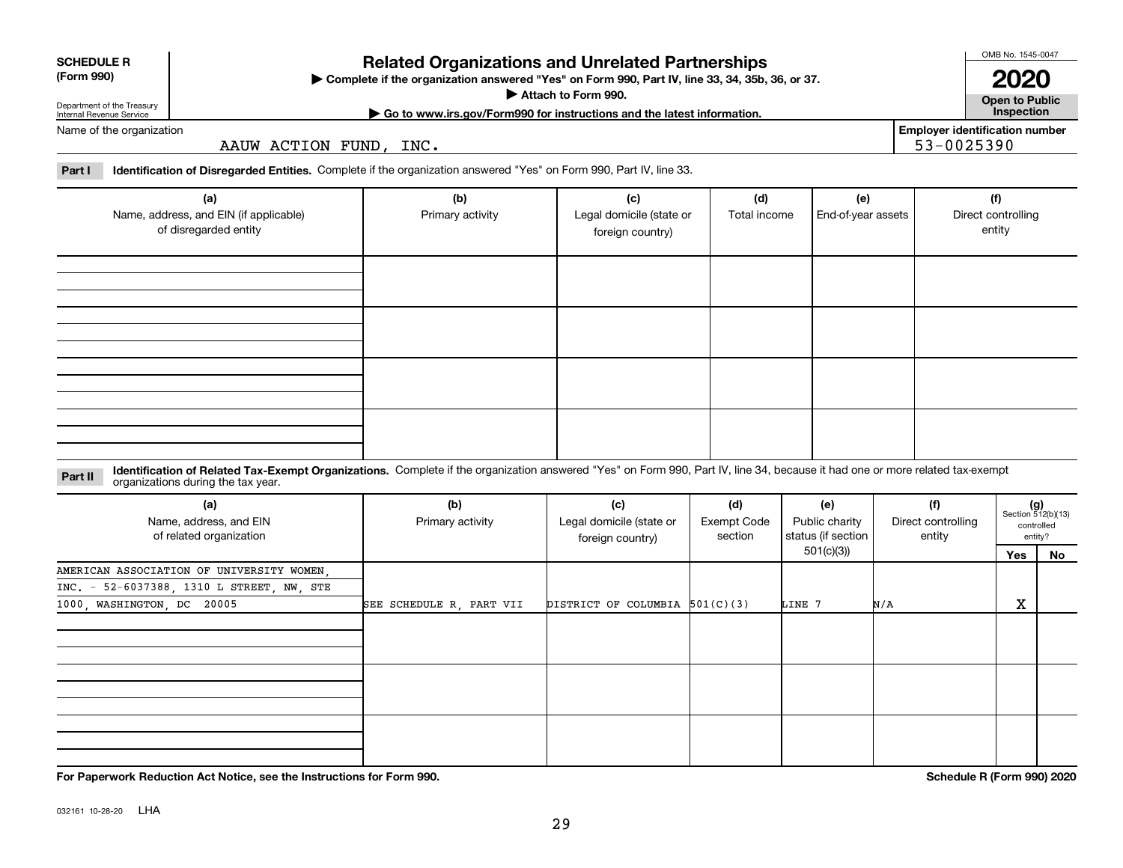| For Papery |  |
|------------|--|
|            |  |

032161 10-28-20 LHA

### **Related Organizations and Unrelated Partnerships**

**Complete if the organization answered "Yes" on Form 990, Part IV, line 33, 34, 35b, 36, or 37.** |

**Attach to Form 990.**  |

**Open to Public**

**2020**

### **| Go to www.irs.gov/Form990 for instructions and the latest information. Inspection Employer identification number**

53-0025390

**Part I Identification of Disregarded Entities.**  Complete if the organization answered "Yes" on Form 990, Part IV, line 33.

AAUW ACTION FUND, INC.

| (a)<br>Name, address, and EIN (if applicable)<br>of disregarded entity | (b)<br>Primary activity | (c)<br>Legal domicile (state or<br>foreign country) | (d)<br>Total income | (e)<br>End-of-year assets | (f)<br>Direct controlling<br>entity |
|------------------------------------------------------------------------|-------------------------|-----------------------------------------------------|---------------------|---------------------------|-------------------------------------|
|                                                                        |                         |                                                     |                     |                           |                                     |
|                                                                        |                         |                                                     |                     |                           |                                     |
|                                                                        |                         |                                                     |                     |                           |                                     |
|                                                                        |                         |                                                     |                     |                           |                                     |

#### **Identification of Related Tax-Exempt Organizations.** Complete if the organization answered "Yes" on Form 990, Part IV, line 34, because it had one or more related tax-exempt **Part II** organizations during the tax year.

| (a)<br>Name, address, and EIN<br>of related organization | (b)<br>Primary activity  | (c)<br>Legal domicile (state or<br>foreign country) | (d)<br>Exempt Code<br>section | (e)<br>Public charity<br>status (if section | (f)<br>Direct controlling<br>entity |     | $(g)$<br>Section 512(b)(13)<br>controlled<br>entity? |
|----------------------------------------------------------|--------------------------|-----------------------------------------------------|-------------------------------|---------------------------------------------|-------------------------------------|-----|------------------------------------------------------|
|                                                          |                          |                                                     |                               | 501(c)(3))                                  |                                     | Yes | No                                                   |
| AMERICAN ASSOCIATION OF UNIVERSITY WOMEN,                |                          |                                                     |                               |                                             |                                     |     |                                                      |
| INC. - 52-6037388, 1310 L STREET, NW, STE                |                          |                                                     |                               |                                             |                                     |     |                                                      |
| 1000, WASHINGTON, DC 20005                               | SEE SCHEDULE R, PART VII | DISTRICT OF COLUMBIA $501(C)(3)$                    |                               | LINE 7                                      | N/A                                 | X   |                                                      |
|                                                          |                          |                                                     |                               |                                             |                                     |     |                                                      |
|                                                          |                          |                                                     |                               |                                             |                                     |     |                                                      |
|                                                          |                          |                                                     |                               |                                             |                                     |     |                                                      |
|                                                          |                          |                                                     |                               |                                             |                                     |     |                                                      |
|                                                          |                          |                                                     |                               |                                             |                                     |     |                                                      |
|                                                          |                          |                                                     |                               |                                             |                                     |     |                                                      |
|                                                          |                          |                                                     |                               |                                             |                                     |     |                                                      |
|                                                          |                          |                                                     |                               |                                             |                                     |     |                                                      |
|                                                          |                          |                                                     |                               |                                             |                                     |     |                                                      |

**For Paperwork Reduction Act Notice, see the Instructions for Form 990. Schedule R (Form 990) 2020**

| <b>SCHEDULE R</b> |
|-------------------|
|                   |

**(Form 990)**

Department of the Treasury Internal Revenue Service

Name of the organization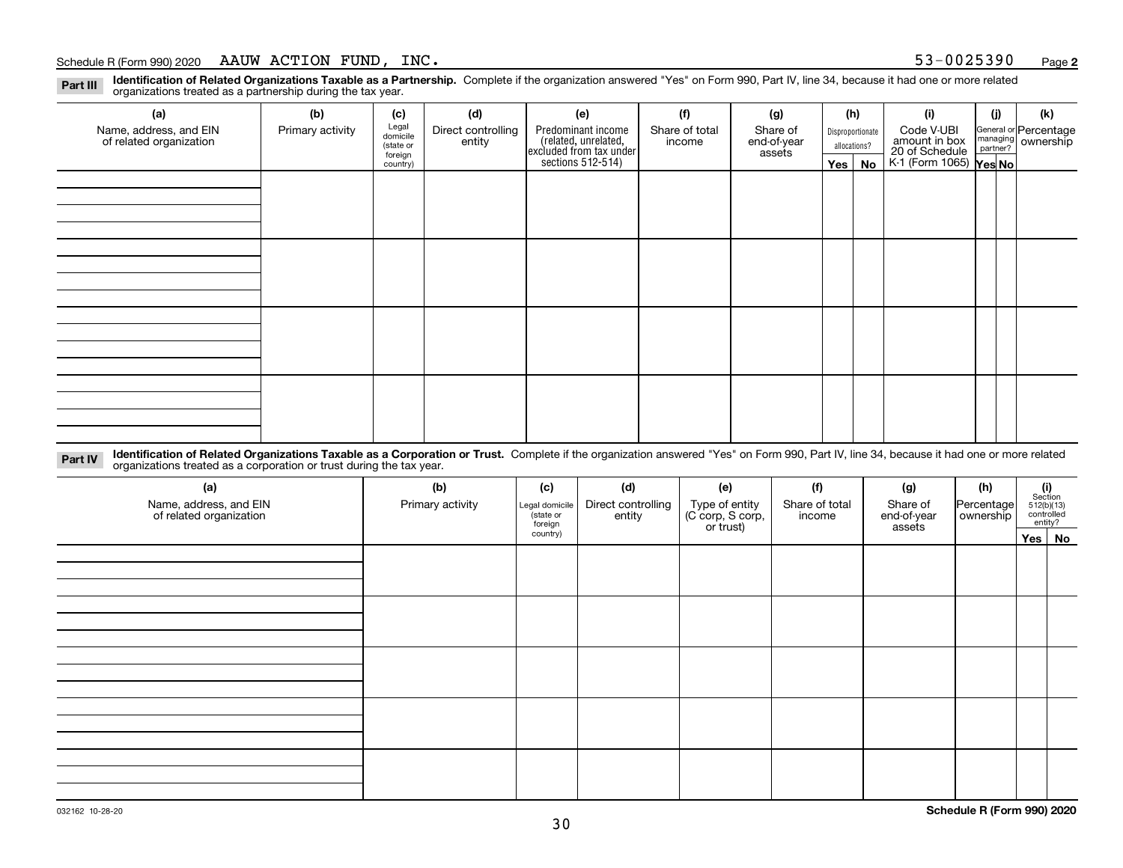**Identification of Related Organizations Taxable as a Partnership.** Complete if the organization answered "Yes" on Form 990, Part IV, line 34, because it had one or more related **Part III** organizations treated as a partnership during the tax year.

| (a)                                               | (b)              | (c)                  | (d)                                     | (e)                                                                                           | (f) | (g)    |              | (h) | (i)                                      | (j)                         | (k) |                                                           |
|---------------------------------------------------|------------------|----------------------|-----------------------------------------|-----------------------------------------------------------------------------------------------|-----|--------|--------------|-----|------------------------------------------|-----------------------------|-----|-----------------------------------------------------------|
| Name, address, and EIN<br>of related organization | Primary activity | entity               | Legal<br>domicile<br>Direct controlling | Predominant income<br>Share of<br>Share of total<br>Disproportionate<br>end-of-year<br>income |     |        |              |     |                                          | Code V-UBI<br>amount in box |     | General or Percentage<br>managing<br>partner?<br>partner? |
|                                                   |                  | (state or<br>foreign |                                         |                                                                                               |     | assets | allocations? |     |                                          |                             |     |                                                           |
|                                                   |                  | country)             |                                         | related, unrelated,<br>excluded from tax under<br>sections 512-514)                           |     |        | Yes $ $      | No  | 20 of Schedule<br>K-1 (Form 1065) Yes No |                             |     |                                                           |
|                                                   |                  |                      |                                         |                                                                                               |     |        |              |     |                                          |                             |     |                                                           |
|                                                   |                  |                      |                                         |                                                                                               |     |        |              |     |                                          |                             |     |                                                           |
|                                                   |                  |                      |                                         |                                                                                               |     |        |              |     |                                          |                             |     |                                                           |
|                                                   |                  |                      |                                         |                                                                                               |     |        |              |     |                                          |                             |     |                                                           |
|                                                   |                  |                      |                                         |                                                                                               |     |        |              |     |                                          |                             |     |                                                           |
|                                                   |                  |                      |                                         |                                                                                               |     |        |              |     |                                          |                             |     |                                                           |
|                                                   |                  |                      |                                         |                                                                                               |     |        |              |     |                                          |                             |     |                                                           |
|                                                   |                  |                      |                                         |                                                                                               |     |        |              |     |                                          |                             |     |                                                           |
|                                                   |                  |                      |                                         |                                                                                               |     |        |              |     |                                          |                             |     |                                                           |
|                                                   |                  |                      |                                         |                                                                                               |     |        |              |     |                                          |                             |     |                                                           |
|                                                   |                  |                      |                                         |                                                                                               |     |        |              |     |                                          |                             |     |                                                           |
|                                                   |                  |                      |                                         |                                                                                               |     |        |              |     |                                          |                             |     |                                                           |
|                                                   |                  |                      |                                         |                                                                                               |     |        |              |     |                                          |                             |     |                                                           |
|                                                   |                  |                      |                                         |                                                                                               |     |        |              |     |                                          |                             |     |                                                           |
|                                                   |                  |                      |                                         |                                                                                               |     |        |              |     |                                          |                             |     |                                                           |
|                                                   |                  |                      |                                         |                                                                                               |     |        |              |     |                                          |                             |     |                                                           |
|                                                   |                  |                      |                                         |                                                                                               |     |        |              |     |                                          |                             |     |                                                           |

**Identification of Related Organizations Taxable as a Corporation or Trust.** Complete if the organization answered "Yes" on Form 990, Part IV, line 34, because it had one or more related **Part IV** organizations treated as a corporation or trust during the tax year.

| (a)<br>Name, address, and EIN<br>of related organization | (b)<br>Primary activity | (c)<br>Legal domicile<br>(state or<br>foreign | (d)<br>Direct controlling<br>entity | (e)<br>Type of entity<br>(C corp, S corp,<br>or trust) | (f)<br>Share of total<br>income | (g)<br>Share of<br>end-of-year<br>assets | (h)<br>Percentage<br>ownership | (i)<br>Section<br>512(b)(13)<br>controlled | entity? |
|----------------------------------------------------------|-------------------------|-----------------------------------------------|-------------------------------------|--------------------------------------------------------|---------------------------------|------------------------------------------|--------------------------------|--------------------------------------------|---------|
|                                                          |                         | country)                                      |                                     |                                                        |                                 |                                          |                                |                                            | Yes No  |
|                                                          |                         |                                               |                                     |                                                        |                                 |                                          |                                |                                            |         |
|                                                          |                         |                                               |                                     |                                                        |                                 |                                          |                                |                                            |         |
|                                                          |                         |                                               |                                     |                                                        |                                 |                                          |                                |                                            |         |
|                                                          |                         |                                               |                                     |                                                        |                                 |                                          |                                |                                            |         |
|                                                          |                         |                                               |                                     |                                                        |                                 |                                          |                                |                                            |         |
|                                                          |                         |                                               |                                     |                                                        |                                 |                                          |                                |                                            |         |
|                                                          |                         |                                               |                                     |                                                        |                                 |                                          |                                |                                            |         |
|                                                          |                         |                                               |                                     |                                                        |                                 |                                          |                                |                                            |         |
|                                                          |                         |                                               |                                     |                                                        |                                 |                                          |                                |                                            |         |
|                                                          |                         |                                               |                                     |                                                        |                                 |                                          |                                |                                            |         |
|                                                          |                         |                                               |                                     |                                                        |                                 |                                          |                                |                                            |         |
|                                                          |                         |                                               |                                     |                                                        |                                 |                                          |                                |                                            |         |
|                                                          |                         |                                               |                                     |                                                        |                                 |                                          |                                |                                            |         |
|                                                          |                         |                                               |                                     |                                                        |                                 |                                          |                                |                                            |         |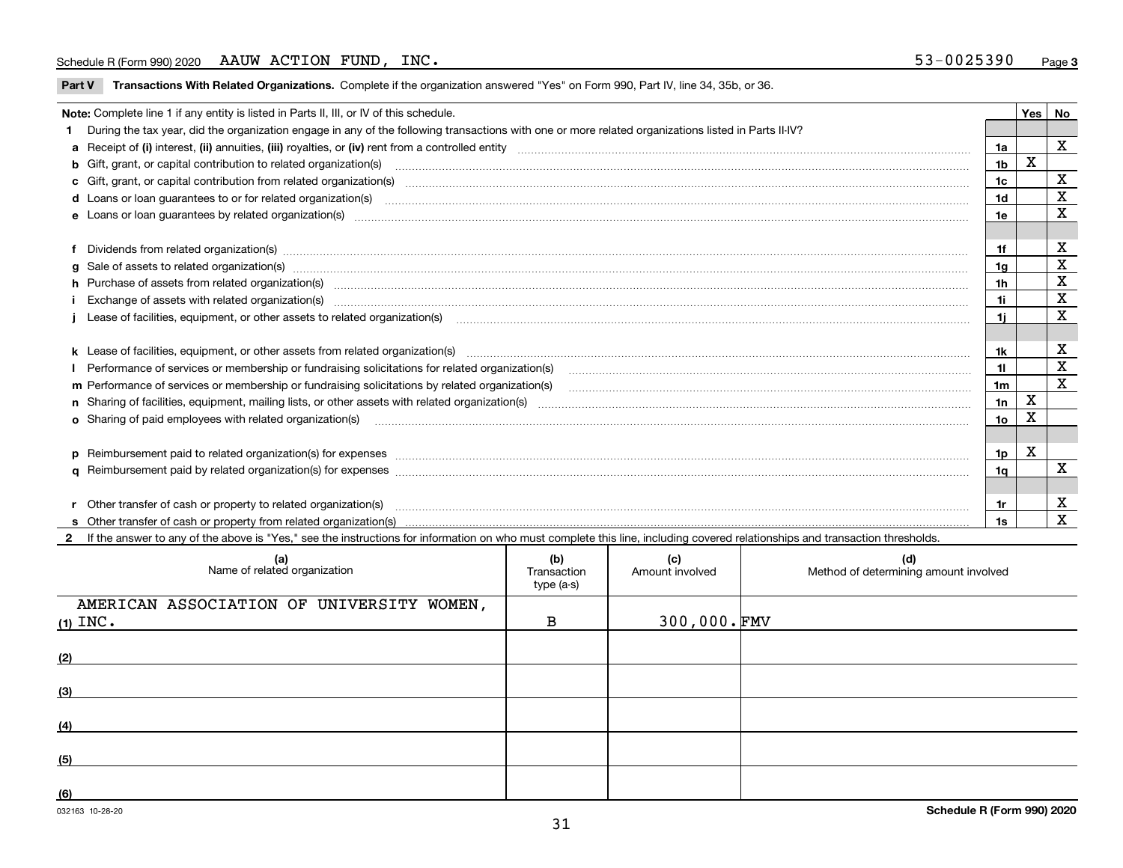**Part V** T**ransactions With Related Organizations.** Complete if the organization answered "Yes" on Form 990, Part IV, line 34, 35b, or 36.

|  | Note: Complete line 1 if any entity is listed in Parts II, III, or IV of this schedule.                                                                                                                                        |     | Yes         | No          |  |  |  |  |
|--|--------------------------------------------------------------------------------------------------------------------------------------------------------------------------------------------------------------------------------|-----|-------------|-------------|--|--|--|--|
|  | 1 During the tax year, did the organization engage in any of the following transactions with one or more related organizations listed in Parts II-IV?                                                                          |     |             |             |  |  |  |  |
|  |                                                                                                                                                                                                                                | 1a  |             | X           |  |  |  |  |
|  | <b>b</b> Gift, grant, or capital contribution to related organization(s)                                                                                                                                                       | 1b  | х           |             |  |  |  |  |
|  | c Gift, grant, or capital contribution from related organization(s)                                                                                                                                                            | 1c  |             | X           |  |  |  |  |
|  |                                                                                                                                                                                                                                | 1d  |             | х           |  |  |  |  |
|  | e Loans or loan quarantees by related organization(s)                                                                                                                                                                          | 1e  |             | X           |  |  |  |  |
|  |                                                                                                                                                                                                                                |     |             |             |  |  |  |  |
|  | f Dividends from related organization(s) manufactured contains and contained and contained contained and contained and contained and contained and contained and contained and contained and contained and contained and conta | 1f  |             | X           |  |  |  |  |
|  | g Sale of assets to related organization(s) manufactured contains and contained contained and contained and contained and contained and contained and contained and contained and contained and contained and contained and co | 1g  |             | X           |  |  |  |  |
|  | h Purchase of assets from related organization(s) manufactured and content to the content of the content of the content of the content of the content of the content of the content of the content of the content of the conte | 1h  |             | X           |  |  |  |  |
|  | Exchange of assets with related organization(s) www.array.com/www.array.com/www.array.com/www.array.com/www.array.com/www.array.com/www.array.com/www.array.com/www.array.com/www.array.com/www.array.com/www.array.com/www.ar | 1i  |             | X           |  |  |  |  |
|  |                                                                                                                                                                                                                                | 1i. |             | X           |  |  |  |  |
|  |                                                                                                                                                                                                                                |     |             |             |  |  |  |  |
|  |                                                                                                                                                                                                                                | 1k  |             | х           |  |  |  |  |
|  | Performance of services or membership or fundraising solicitations for related organization(s)                                                                                                                                 | 11  |             | X           |  |  |  |  |
|  | m Performance of services or membership or fundraising solicitations by related organization(s)                                                                                                                                | 1m  |             | $\mathbf X$ |  |  |  |  |
|  |                                                                                                                                                                                                                                | 1n  | $\mathbf X$ |             |  |  |  |  |
|  | <b>o</b> Sharing of paid employees with related organization(s)                                                                                                                                                                | 10  | Χ           |             |  |  |  |  |
|  |                                                                                                                                                                                                                                |     |             |             |  |  |  |  |
|  |                                                                                                                                                                                                                                | 1p  | х           |             |  |  |  |  |
|  |                                                                                                                                                                                                                                | 1a  |             | X           |  |  |  |  |
|  |                                                                                                                                                                                                                                |     |             |             |  |  |  |  |
|  | r Other transfer of cash or property to related organization(s)                                                                                                                                                                | 1r  |             | х           |  |  |  |  |
|  |                                                                                                                                                                                                                                | 1s  |             | X           |  |  |  |  |

**2**If the answer to any of the above is "Yes," see the instructions for information on who must complete this line, including covered relationships and transaction thresholds.

| (a)<br>Name of related organization                     | (b)<br>Transaction<br>type (a-s) | (c)<br>Amount involved | (d)<br>Method of determining amount involved |
|---------------------------------------------------------|----------------------------------|------------------------|----------------------------------------------|
| AMERICAN ASSOCIATION OF UNIVERSITY WOMEN,<br>$(1)$ INC. | в                                | $300,000.$ FMV         |                                              |
| (2)                                                     |                                  |                        |                                              |
| (3)                                                     |                                  |                        |                                              |
| (4)                                                     |                                  |                        |                                              |
| (5)                                                     |                                  |                        |                                              |
| (6)                                                     |                                  |                        |                                              |

 $\overline{\phantom{a}}$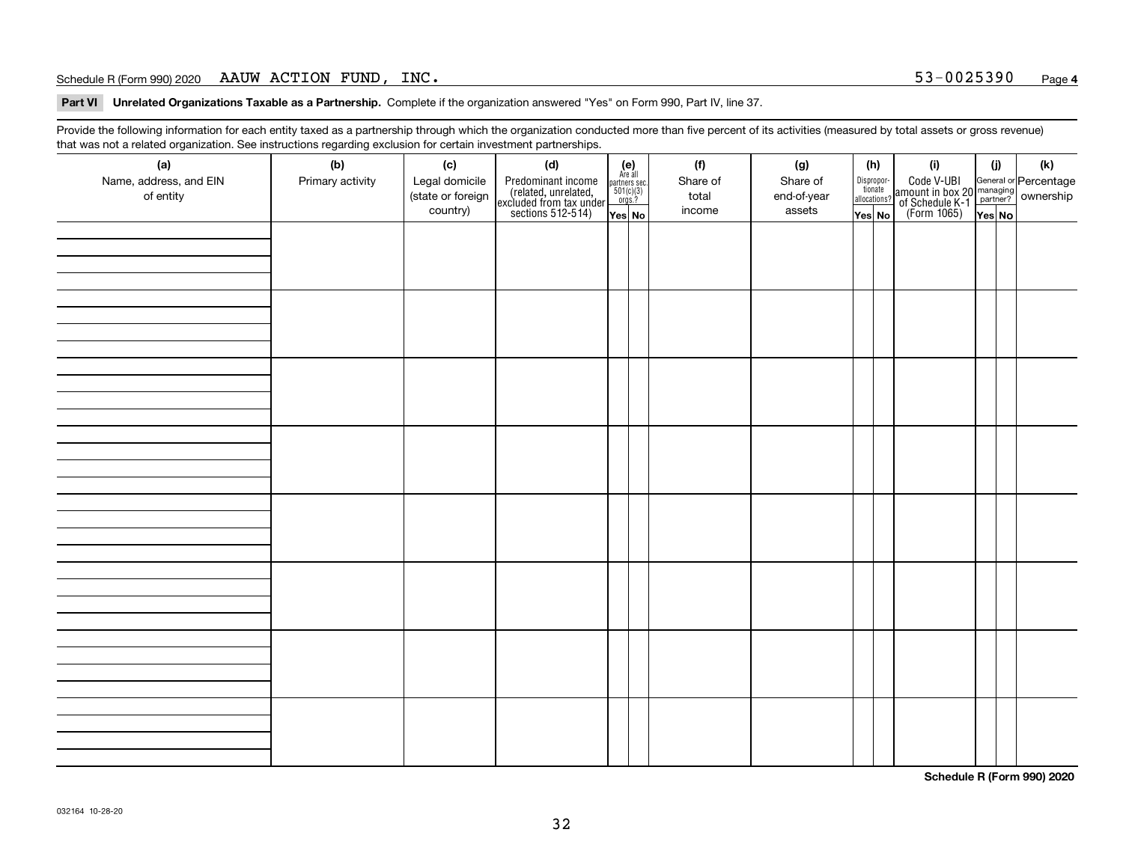**Part VI Unrelated Organizations Taxable as a Partnership. Complete if the organization answered "Yes" on Form 990, Part IV, line 37.** 

Provide the following information for each entity taxed as a partnership through which the organization conducted more than five percent of its activities (measured by total assets or gross revenue) that was not a related organization. See instructions regarding exclusion for certain investment partnerships.

| ັ                      | ັ<br>ັ           |                   |                                                                                            |                                      |  |          |             |  |                                       |                                                                                              |        |     |  |  |  |
|------------------------|------------------|-------------------|--------------------------------------------------------------------------------------------|--------------------------------------|--|----------|-------------|--|---------------------------------------|----------------------------------------------------------------------------------------------|--------|-----|--|--|--|
| (a)                    | (b)              | (c)               | (d)                                                                                        | (e)<br>Are all                       |  | (f)      | (g)         |  | (h)                                   | (i)                                                                                          | (i)    | (k) |  |  |  |
| Name, address, and EIN | Primary activity | Legal domicile    | Predominant income<br>(related, unrelated,<br>excluded from tax under<br>sections 512-514) | partners sec.<br>501(c)(3)<br>orgs.? |  | Share of | Share of    |  | Dispropor-<br>tionate<br>allocations? | Code V-UBI<br>amount in box 20 managing<br>of Schedule K-1 partner?<br>(Form 1065)<br>ves No |        |     |  |  |  |
| of entity              |                  | (state or foreign |                                                                                            |                                      |  | total    | end-of-year |  |                                       |                                                                                              |        |     |  |  |  |
|                        |                  | country)          |                                                                                            | Yes No                               |  | income   | assets      |  | Yes No                                |                                                                                              | Yes No |     |  |  |  |
|                        |                  |                   |                                                                                            |                                      |  |          |             |  |                                       |                                                                                              |        |     |  |  |  |
|                        |                  |                   |                                                                                            |                                      |  |          |             |  |                                       |                                                                                              |        |     |  |  |  |
|                        |                  |                   |                                                                                            |                                      |  |          |             |  |                                       |                                                                                              |        |     |  |  |  |
|                        |                  |                   |                                                                                            |                                      |  |          |             |  |                                       |                                                                                              |        |     |  |  |  |
|                        |                  |                   |                                                                                            |                                      |  |          |             |  |                                       |                                                                                              |        |     |  |  |  |
|                        |                  |                   |                                                                                            |                                      |  |          |             |  |                                       |                                                                                              |        |     |  |  |  |
|                        |                  |                   |                                                                                            |                                      |  |          |             |  |                                       |                                                                                              |        |     |  |  |  |
|                        |                  |                   |                                                                                            |                                      |  |          |             |  |                                       |                                                                                              |        |     |  |  |  |
|                        |                  |                   |                                                                                            |                                      |  |          |             |  |                                       |                                                                                              |        |     |  |  |  |
|                        |                  |                   |                                                                                            |                                      |  |          |             |  |                                       |                                                                                              |        |     |  |  |  |
|                        |                  |                   |                                                                                            |                                      |  |          |             |  |                                       |                                                                                              |        |     |  |  |  |
|                        |                  |                   |                                                                                            |                                      |  |          |             |  |                                       |                                                                                              |        |     |  |  |  |
|                        |                  |                   |                                                                                            |                                      |  |          |             |  |                                       |                                                                                              |        |     |  |  |  |
|                        |                  |                   |                                                                                            |                                      |  |          |             |  |                                       |                                                                                              |        |     |  |  |  |
|                        |                  |                   |                                                                                            |                                      |  |          |             |  |                                       |                                                                                              |        |     |  |  |  |
|                        |                  |                   |                                                                                            |                                      |  |          |             |  |                                       |                                                                                              |        |     |  |  |  |
|                        |                  |                   |                                                                                            |                                      |  |          |             |  |                                       |                                                                                              |        |     |  |  |  |
|                        |                  |                   |                                                                                            |                                      |  |          |             |  |                                       |                                                                                              |        |     |  |  |  |
|                        |                  |                   |                                                                                            |                                      |  |          |             |  |                                       |                                                                                              |        |     |  |  |  |
|                        |                  |                   |                                                                                            |                                      |  |          |             |  |                                       |                                                                                              |        |     |  |  |  |
|                        |                  |                   |                                                                                            |                                      |  |          |             |  |                                       |                                                                                              |        |     |  |  |  |
|                        |                  |                   |                                                                                            |                                      |  |          |             |  |                                       |                                                                                              |        |     |  |  |  |
|                        |                  |                   |                                                                                            |                                      |  |          |             |  |                                       |                                                                                              |        |     |  |  |  |
|                        |                  |                   |                                                                                            |                                      |  |          |             |  |                                       |                                                                                              |        |     |  |  |  |
|                        |                  |                   |                                                                                            |                                      |  |          |             |  |                                       |                                                                                              |        |     |  |  |  |
|                        |                  |                   |                                                                                            |                                      |  |          |             |  |                                       |                                                                                              |        |     |  |  |  |
|                        |                  |                   |                                                                                            |                                      |  |          |             |  |                                       |                                                                                              |        |     |  |  |  |
|                        |                  |                   |                                                                                            |                                      |  |          |             |  |                                       |                                                                                              |        |     |  |  |  |
|                        |                  |                   |                                                                                            |                                      |  |          |             |  |                                       |                                                                                              |        |     |  |  |  |
|                        |                  |                   |                                                                                            |                                      |  |          |             |  |                                       |                                                                                              |        |     |  |  |  |
|                        |                  |                   |                                                                                            |                                      |  |          |             |  |                                       |                                                                                              |        |     |  |  |  |
|                        |                  |                   |                                                                                            |                                      |  |          |             |  |                                       |                                                                                              |        |     |  |  |  |
|                        |                  |                   |                                                                                            |                                      |  |          |             |  |                                       |                                                                                              |        |     |  |  |  |
|                        |                  |                   |                                                                                            |                                      |  |          |             |  |                                       |                                                                                              |        |     |  |  |  |
|                        |                  |                   |                                                                                            |                                      |  |          |             |  |                                       |                                                                                              |        |     |  |  |  |
|                        |                  |                   |                                                                                            |                                      |  |          |             |  |                                       |                                                                                              |        |     |  |  |  |

**Schedule R (Form 990) 2020**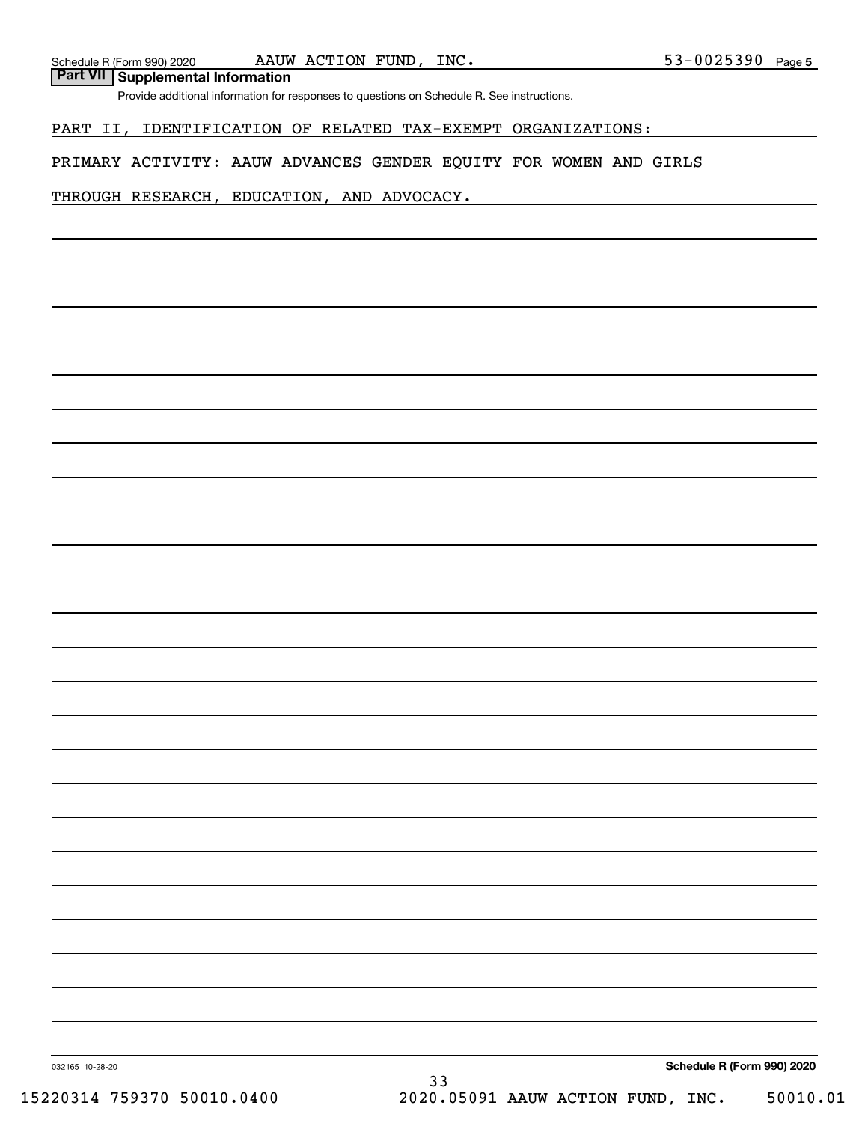**Part VII Supplemental Information**

Provide additional information for responses to questions on Schedule R. See instructions.

### PART II, IDENTIFICATION OF RELATED TAX-EXEMPT ORGANIZATIONS:

### PRIMARY ACTIVITY: AAUW ADVANCES GENDER EQUITY FOR WOMEN AND GIRLS

### THROUGH RESEARCH, EDUCATION, AND ADVOCACY.

**Schedule R (Form 990) 2020**

032165 10-28-20